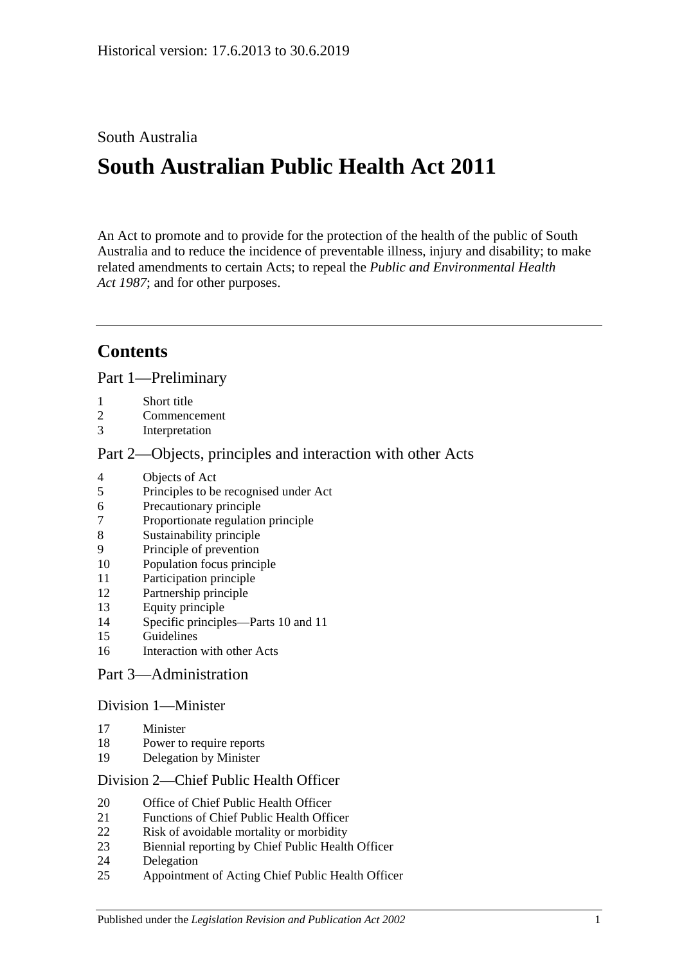## South Australia

# **South Australian Public Health Act 2011**

An Act to promote and to provide for the protection of the health of the public of South Australia and to reduce the incidence of preventable illness, injury and disability; to make related amendments to certain Acts; to repeal the *[Public and Environmental Health](http://www.legislation.sa.gov.au/index.aspx?action=legref&type=act&legtitle=Public%20and%20Environmental%20Health%20Act%201987)  Act [1987](http://www.legislation.sa.gov.au/index.aspx?action=legref&type=act&legtitle=Public%20and%20Environmental%20Health%20Act%201987)*; and for other purposes.

## **Contents**

Part [1—Preliminary](#page-4-0)

- [Short title](#page-4-1)
- [Commencement](#page-4-2)
- [Interpretation](#page-4-3)

### Part [2—Objects, principles and interaction with other Acts](#page-7-0)

- [Objects of Act](#page-7-1)
- [Principles to be recognised under Act](#page-8-0)
- [Precautionary principle](#page-8-1)
- [Proportionate regulation principle](#page-8-2)
- [Sustainability principle](#page-9-0)
- [Principle of prevention](#page-9-1)
- [Population focus principle](#page-9-2)
- [Participation principle](#page-9-3)
- [Partnership principle](#page-9-4)
- [Equity principle](#page-9-5)
- [Specific principles—Parts](#page-9-6) 10 and [11](#page-9-6)
- [Guidelines](#page-11-0)
- [Interaction with other Acts](#page-11-1)

## Part [3—Administration](#page-11-2)

#### Division [1—Minister](#page-11-3)

- [Minister](#page-11-4)
- [Power to require reports](#page-12-0)
- [Delegation by Minister](#page-13-0)

#### Division [2—Chief Public Health Officer](#page-13-1)

- [Office of Chief Public Health Officer](#page-13-2)
- [Functions of Chief Public Health Officer](#page-13-3)
- [Risk of avoidable mortality or morbidity](#page-14-0)
- [Biennial reporting by Chief Public Health Officer](#page-15-0)
- [Delegation](#page-15-1)
- [Appointment of Acting Chief Public Health Officer](#page-16-0)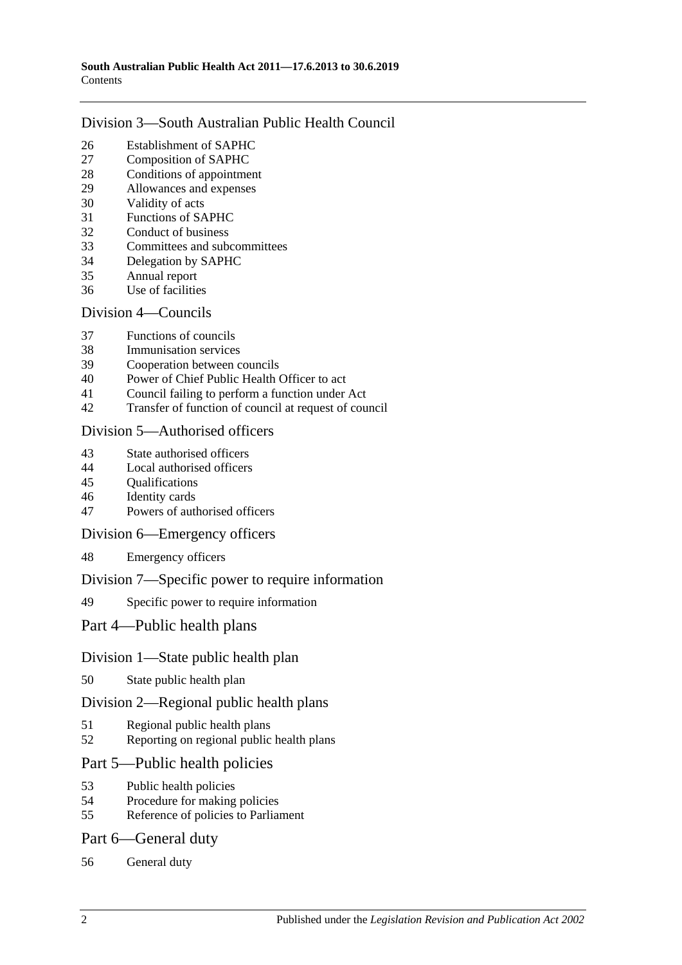#### Division [3—South Australian Public Health Council](#page-16-1)

- [Establishment of SAPHC](#page-16-2)<br>27 Composition of SAPHC
- [Composition of SAPHC](#page-16-3)
- [Conditions of appointment](#page-17-0)
- [Allowances and expenses](#page-17-1)
- [Validity of acts](#page-17-2)
- [Functions of SAPHC](#page-17-3)
- [Conduct of business](#page-18-0)
- [Committees and subcommittees](#page-18-1)
- [Delegation by SAPHC](#page-19-0)
- [Annual report](#page-19-1)
- [Use of facilities](#page-19-2)

#### Division [4—Councils](#page-19-3)

- [Functions of councils](#page-19-4)
- [Immunisation services](#page-20-0)
- [Cooperation between councils](#page-20-1)
- [Power of Chief Public Health Officer to act](#page-20-2)
- [Council failing to perform a function under Act](#page-21-0)
- [Transfer of function of council at request of council](#page-22-0)

#### Division [5—Authorised officers](#page-23-0)

- [State authorised officers](#page-23-1)
- [Local authorised officers](#page-23-2)
- [Qualifications](#page-23-3)
- [Identity cards](#page-24-0)
- [Powers of authorised officers](#page-24-1)

#### Division [6—Emergency officers](#page-26-0)

[Emergency officers](#page-26-1)

#### Division [7—Specific power to require information](#page-26-2)

[Specific power to require information](#page-26-3)

#### Part [4—Public health plans](#page-27-0)

#### Division [1—State public health plan](#page-27-1)

[State public health plan](#page-27-2)

#### Division [2—Regional public health plans](#page-28-0)

- [Regional public health plans](#page-28-1)
- [Reporting on regional public health plans](#page-31-0)

#### Part [5—Public health policies](#page-31-1)

- [Public health policies](#page-31-2)
- [Procedure for making policies](#page-32-0)
- [Reference of policies to Parliament](#page-32-1)

#### Part [6—General duty](#page-33-0)

[General duty](#page-33-1)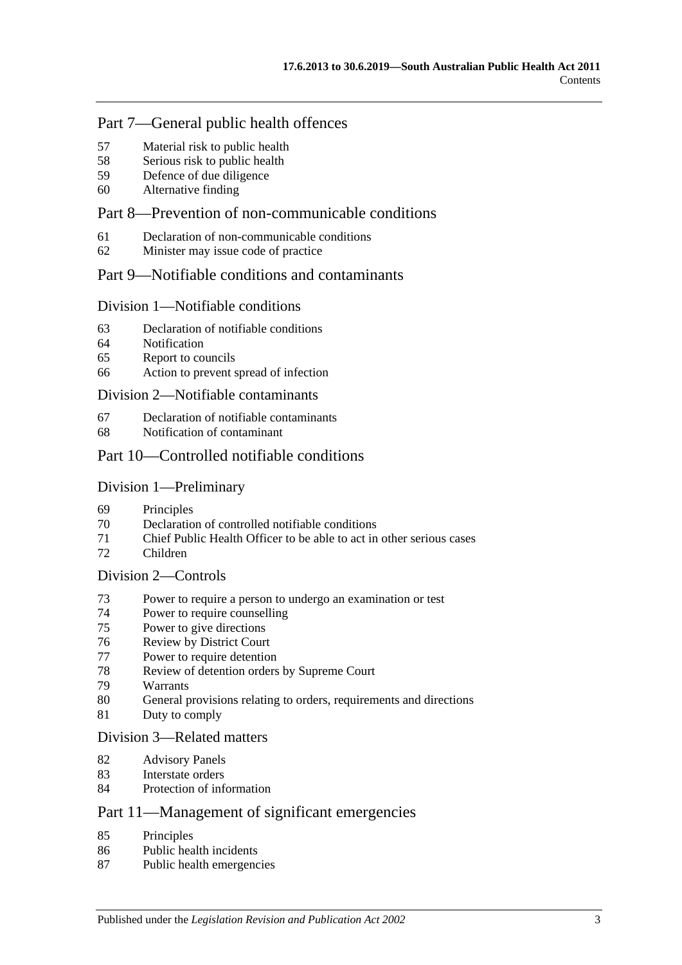### Part [7—General public health offences](#page-33-2)

- [Material risk to public health](#page-33-3)
- [Serious risk to public health](#page-34-0)
- [Defence of due diligence](#page-34-1)
- [Alternative finding](#page-35-0)

## Part [8—Prevention of non-communicable conditions](#page-35-1)

- [Declaration of non-communicable conditions](#page-35-2)
- [Minister may issue code of practice](#page-35-3)

### Part [9—Notifiable conditions and contaminants](#page-36-0)

#### Division [1—Notifiable conditions](#page-36-1)

- [Declaration of notifiable conditions](#page-36-2)
- [Notification](#page-36-3)
- [Report to councils](#page-38-0)
- [Action to prevent spread of infection](#page-38-1)

#### Division [2—Notifiable contaminants](#page-39-0)

- [Declaration of notifiable contaminants](#page-39-1)
- [Notification of contaminant](#page-39-2)

### Part [10—Controlled notifiable conditions](#page-41-0)

#### Division [1—Preliminary](#page-41-1)

- [Principles](#page-41-2)
- [Declaration of controlled notifiable conditions](#page-41-3)
- [Chief Public Health Officer to be able to act in other serious cases](#page-42-0)
- [Children](#page-43-0)

#### Division [2—Controls](#page-43-1)

- [Power to require a person to undergo an examination or test](#page-43-2)
- [Power to require counselling](#page-45-0)
- [Power to give directions](#page-45-1)
- [Review by District Court](#page-47-0)
- [Power to require detention](#page-48-0)
- [Review of detention orders by Supreme](#page-49-0) Court
- [Warrants](#page-50-0)
- [General provisions relating to orders, requirements and directions](#page-51-0)
- [Duty to comply](#page-51-1)

#### Division [3—Related matters](#page-51-2)

- [Advisory Panels](#page-51-3)
- [Interstate orders](#page-52-0)
- [Protection of information](#page-53-0)

## Part [11—Management of significant emergencies](#page-53-1)

- [Principles](#page-53-2)
- [Public health incidents](#page-53-3)
- [Public health emergencies](#page-53-4)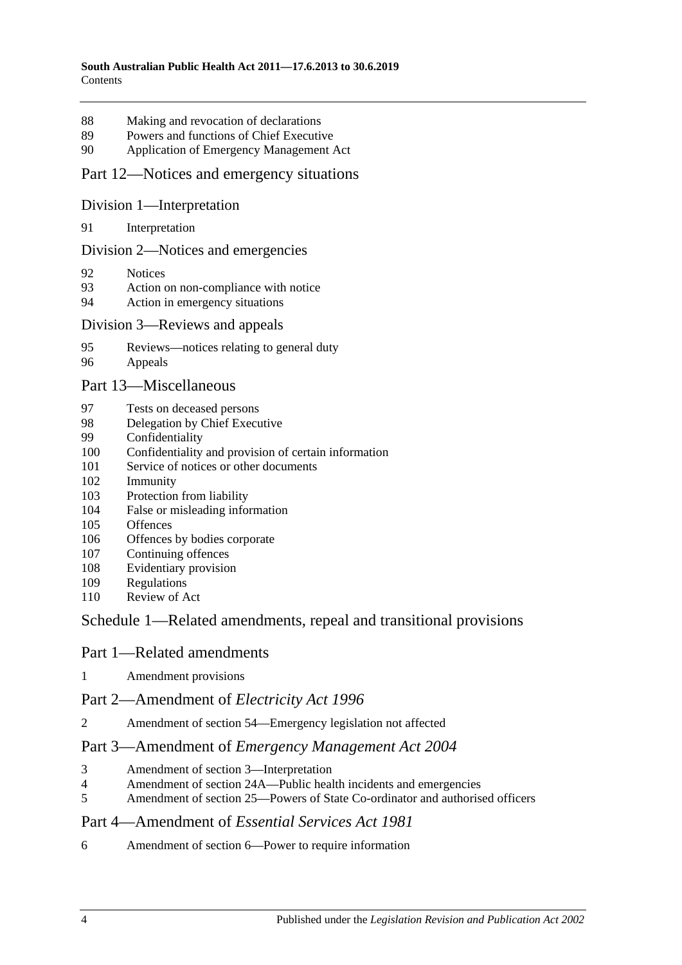- [Making and revocation of declarations](#page-53-5)
- [Powers and functions of Chief Executive](#page-54-0)
- [Application of Emergency Management Act](#page-54-1)

#### Part [12—Notices and emergency situations](#page-58-0)

#### Division [1—Interpretation](#page-58-1)

[Interpretation](#page-58-2)

#### Division [2—Notices and emergencies](#page-58-3)

- [Notices](#page-58-4)
- [Action on non-compliance with notice](#page-61-0)
- [Action in emergency situations](#page-61-1)

#### Division [3—Reviews and appeals](#page-62-0)

- [Reviews—notices relating to general duty](#page-62-1)
- [Appeals](#page-63-0)

#### Part [13—Miscellaneous](#page-64-0)

- [Tests on deceased persons](#page-64-1)
- [Delegation by Chief Executive](#page-65-0)
- [Confidentiality](#page-65-1)
- [Confidentiality and provision of certain information](#page-66-0)
- [Service of notices or other documents](#page-67-0)
- [Immunity](#page-68-0)
- [Protection from liability](#page-68-1)
- [False or misleading information](#page-69-0)
- [Offences](#page-69-1)
- [Offences by bodies corporate](#page-69-2)
- [Continuing offences](#page-70-0)
- [Evidentiary provision](#page-70-1)
- [Regulations](#page-70-2)
- [Review of Act](#page-73-0)

### Schedule [1—Related amendments, repeal and transitional provisions](#page-73-1)

#### Part 1—Related amendments

[Amendment provisions](#page-73-2)

#### Part 2—Amendment of *Electricity Act 1996*

Amendment of section [54—Emergency legislation not affected](#page-73-3)

#### Part 3—Amendment of *Emergency Management Act 2004*

- [Amendment of section](#page-74-0) 3—Interpretation
- Amendment of section [24A—Public health incidents and emergencies](#page-74-1)
- Amendment of section [25—Powers of State Co-ordinator and authorised officers](#page-74-2)

#### Part 4—Amendment of *Essential Services Act 1981*

Amendment of section [6—Power to require information](#page-74-3)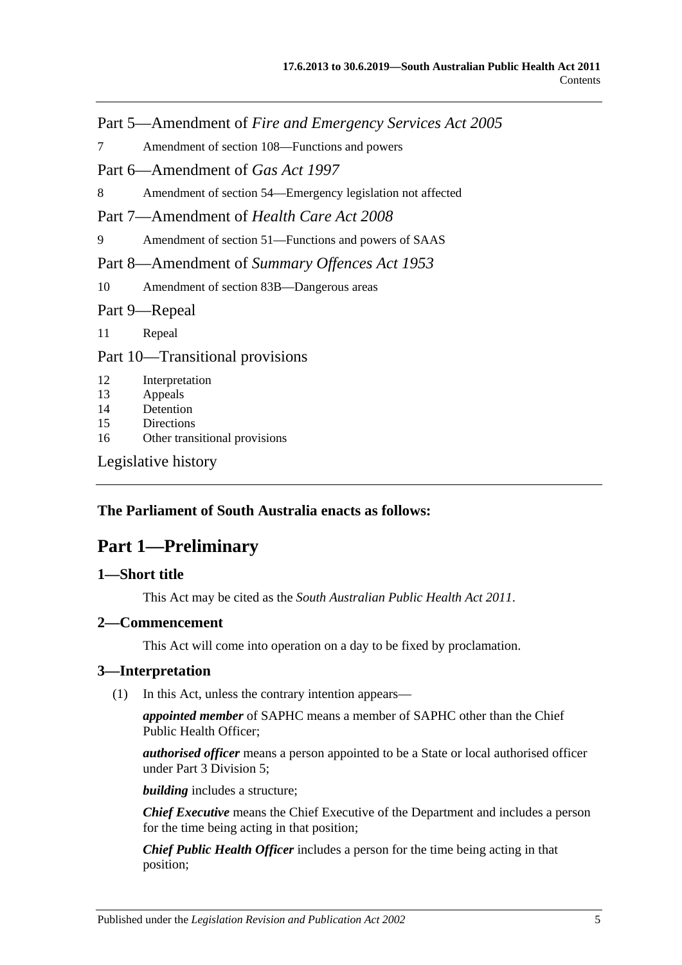Part 5—Amendment of *Fire and Emergency Services Act 2005*

7 Amendment of section [108—Functions and powers](#page-74-4)

Part 6—Amendment of *Gas Act 1997*

8 Amendment of section [54—Emergency legislation not affected](#page-74-5)

Part 7—Amendment of *Health Care Act 2008*

9 Amendment of section [51—Functions and powers of SAAS](#page-75-0)

Part 8—Amendment of *Summary Offences Act 1953*

10 Amendment of section [83B—Dangerous areas](#page-75-1)

Part 9—Repeal

11 [Repeal](#page-75-2)

Part 10—Transitional provisions

12 [Interpretation](#page-75-3)

13 [Appeals](#page-75-4)

14 [Detention](#page-76-0)

15 [Directions](#page-76-1)

16 [Other transitional provisions](#page-76-2)

[Legislative history](#page-77-0)

#### <span id="page-4-0"></span>**The Parliament of South Australia enacts as follows:**

## **Part 1—Preliminary**

#### <span id="page-4-1"></span>**1—Short title**

This Act may be cited as the *South Australian Public Health Act 2011*.

#### <span id="page-4-2"></span>**2—Commencement**

This Act will come into operation on a day to be fixed by proclamation.

#### <span id="page-4-4"></span><span id="page-4-3"></span>**3—Interpretation**

(1) In this Act, unless the contrary intention appears—

*appointed member* of SAPHC means a member of SAPHC other than the Chief Public Health Officer;

*authorised officer* means a person appointed to be a State or local authorised officer under Part [3 Division](#page-23-0) 5;

*building* includes a structure;

*Chief Executive* means the Chief Executive of the Department and includes a person for the time being acting in that position;

*Chief Public Health Officer* includes a person for the time being acting in that position;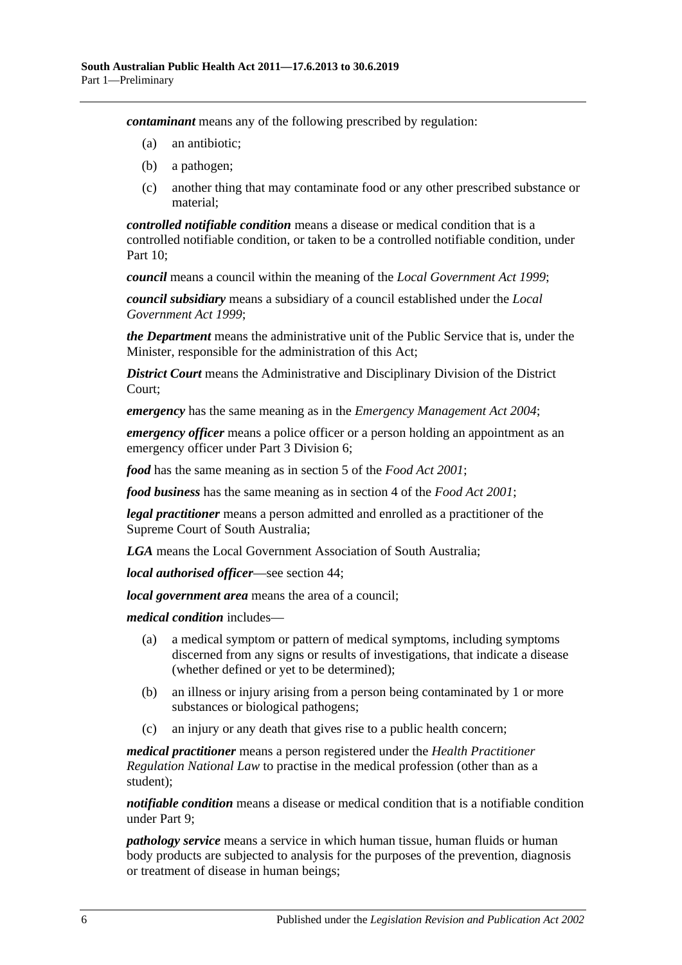*contaminant* means any of the following prescribed by regulation:

- (a) an antibiotic;
- (b) a pathogen;
- (c) another thing that may contaminate food or any other prescribed substance or material;

*controlled notifiable condition* means a disease or medical condition that is a controlled notifiable condition, or taken to be a controlled notifiable condition, under [Part](#page-41-0) 10;

*council* means a council within the meaning of the *[Local Government Act](http://www.legislation.sa.gov.au/index.aspx?action=legref&type=act&legtitle=Local%20Government%20Act%201999) 1999*;

*council subsidiary* means a subsidiary of a council established under the *[Local](http://www.legislation.sa.gov.au/index.aspx?action=legref&type=act&legtitle=Local%20Government%20Act%201999)  [Government Act](http://www.legislation.sa.gov.au/index.aspx?action=legref&type=act&legtitle=Local%20Government%20Act%201999) 1999*;

*the Department* means the administrative unit of the Public Service that is, under the Minister, responsible for the administration of this Act;

*District Court* means the Administrative and Disciplinary Division of the District Court;

*emergency* has the same meaning as in the *[Emergency Management Act](http://www.legislation.sa.gov.au/index.aspx?action=legref&type=act&legtitle=Emergency%20Management%20Act%202004) 2004*;

*emergency officer* means a police officer or a person holding an appointment as an emergency officer under Part [3 Division](#page-26-0) 6;

*food* has the same meaning as in section 5 of the *[Food Act](http://www.legislation.sa.gov.au/index.aspx?action=legref&type=act&legtitle=Food%20Act%202001) 2001*;

*food business* has the same meaning as in section 4 of the *[Food Act](http://www.legislation.sa.gov.au/index.aspx?action=legref&type=act&legtitle=Food%20Act%202001) 2001*;

*legal practitioner* means a person admitted and enrolled as a practitioner of the Supreme Court of South Australia;

*LGA* means the Local Government Association of South Australia;

*local authorised officer*—see [section](#page-23-2) 44;

*local government area* means the area of a council;

*medical condition* includes—

- (a) a medical symptom or pattern of medical symptoms, including symptoms discerned from any signs or results of investigations, that indicate a disease (whether defined or yet to be determined);
- (b) an illness or injury arising from a person being contaminated by 1 or more substances or biological pathogens;
- (c) an injury or any death that gives rise to a public health concern;

*medical practitioner* means a person registered under the *Health Practitioner Regulation National Law* to practise in the medical profession (other than as a student);

*notifiable condition* means a disease or medical condition that is a notifiable condition under [Part](#page-36-0) 9;

*pathology service* means a service in which human tissue, human fluids or human body products are subjected to analysis for the purposes of the prevention, diagnosis or treatment of disease in human beings;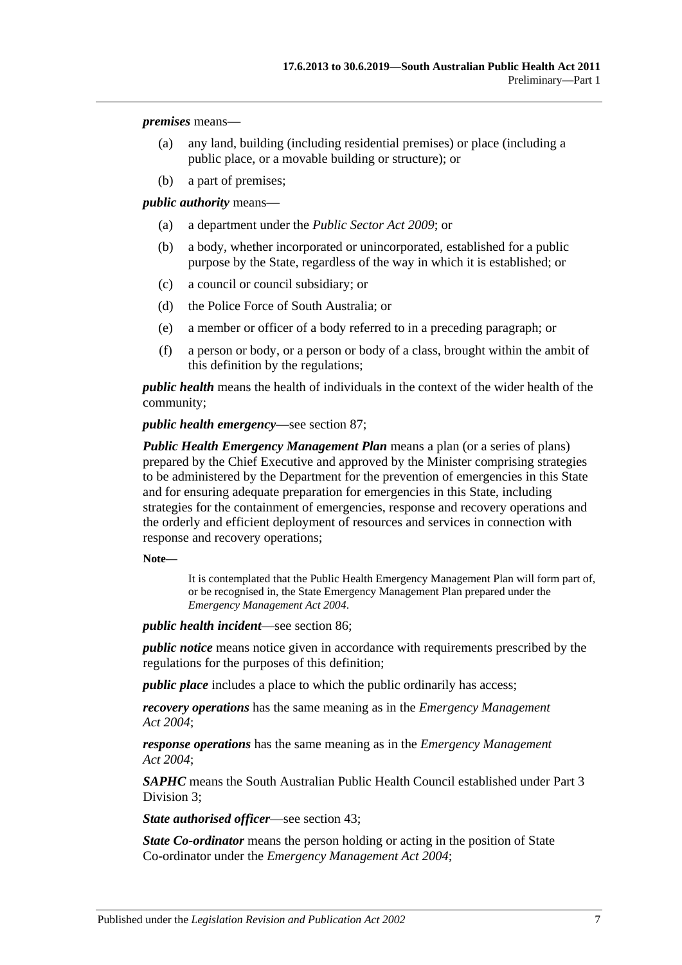*premises* means—

- (a) any land, building (including residential premises) or place (including a public place, or a movable building or structure); or
- (b) a part of premises;

*public authority* means—

- (a) a department under the *[Public Sector Act](http://www.legislation.sa.gov.au/index.aspx?action=legref&type=act&legtitle=Public%20Sector%20Act%202009) 2009*; or
- (b) a body, whether incorporated or unincorporated, established for a public purpose by the State, regardless of the way in which it is established; or
- (c) a council or council subsidiary; or
- (d) the Police Force of South Australia; or
- (e) a member or officer of a body referred to in a preceding paragraph; or
- (f) a person or body, or a person or body of a class, brought within the ambit of this definition by the regulations;

*public health* means the health of individuals in the context of the wider health of the community;

*public health emergency*—see [section](#page-53-4) 87;

*Public Health Emergency Management Plan* means a plan (or a series of plans) prepared by the Chief Executive and approved by the Minister comprising strategies to be administered by the Department for the prevention of emergencies in this State and for ensuring adequate preparation for emergencies in this State, including strategies for the containment of emergencies, response and recovery operations and the orderly and efficient deployment of resources and services in connection with response and recovery operations;

**Note—**

It is contemplated that the Public Health Emergency Management Plan will form part of, or be recognised in, the State Emergency Management Plan prepared under the *[Emergency Management Act](http://www.legislation.sa.gov.au/index.aspx?action=legref&type=act&legtitle=Emergency%20Management%20Act%202004) 2004*.

*public health incident*—see [section](#page-53-3) 86;

*public notice* means notice given in accordance with requirements prescribed by the regulations for the purposes of this definition;

*public place* includes a place to which the public ordinarily has access;

*recovery operations* has the same meaning as in the *[Emergency Management](http://www.legislation.sa.gov.au/index.aspx?action=legref&type=act&legtitle=Emergency%20Management%20Act%202004)  Act [2004](http://www.legislation.sa.gov.au/index.aspx?action=legref&type=act&legtitle=Emergency%20Management%20Act%202004)*;

*response operations* has the same meaning as in the *[Emergency Management](http://www.legislation.sa.gov.au/index.aspx?action=legref&type=act&legtitle=Emergency%20Management%20Act%202004)  Act [2004](http://www.legislation.sa.gov.au/index.aspx?action=legref&type=act&legtitle=Emergency%20Management%20Act%202004)*;

*SAPHC* means the South Australian Public Health Council established under [Part](#page-16-1) 3 [Division](#page-16-1) 3;

*State authorised officer*—see [section](#page-23-1) 43;

*State Co-ordinator* means the person holding or acting in the position of State Co-ordinator under the *[Emergency Management Act](http://www.legislation.sa.gov.au/index.aspx?action=legref&type=act&legtitle=Emergency%20Management%20Act%202004) 2004*;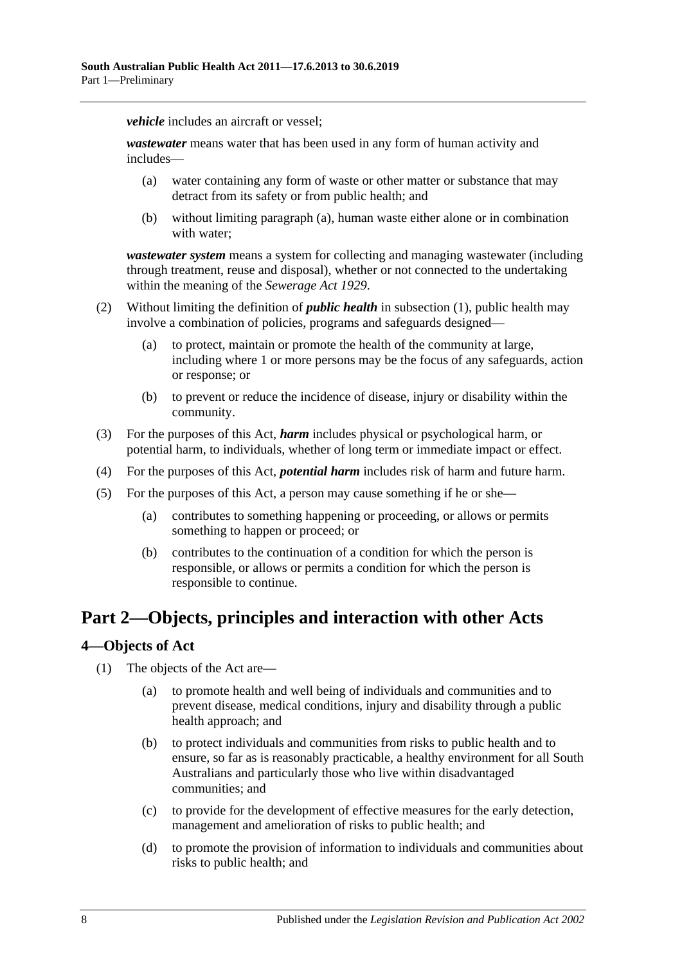*vehicle* includes an aircraft or vessel:

<span id="page-7-2"></span>*wastewater* means water that has been used in any form of human activity and includes—

- (a) water containing any form of waste or other matter or substance that may detract from its safety or from public health; and
- (b) without limiting [paragraph](#page-7-2) (a), human waste either alone or in combination with water;

*wastewater system* means a system for collecting and managing wastewater (including through treatment, reuse and disposal), whether or not connected to the undertaking within the meaning of the *[Sewerage Act](http://www.legislation.sa.gov.au/index.aspx?action=legref&type=act&legtitle=Sewerage%20Act%201929) 1929*.

- (2) Without limiting the definition of *public health* in [subsection](#page-4-4) (1), public health may involve a combination of policies, programs and safeguards designed—
	- (a) to protect, maintain or promote the health of the community at large, including where 1 or more persons may be the focus of any safeguards, action or response; or
	- (b) to prevent or reduce the incidence of disease, injury or disability within the community.
- (3) For the purposes of this Act, *harm* includes physical or psychological harm, or potential harm, to individuals, whether of long term or immediate impact or effect.
- (4) For the purposes of this Act, *potential harm* includes risk of harm and future harm.
- (5) For the purposes of this Act, a person may cause something if he or she—
	- (a) contributes to something happening or proceeding, or allows or permits something to happen or proceed; or
	- (b) contributes to the continuation of a condition for which the person is responsible, or allows or permits a condition for which the person is responsible to continue.

## <span id="page-7-0"></span>**Part 2—Objects, principles and interaction with other Acts**

#### <span id="page-7-1"></span>**4—Objects of Act**

- (1) The objects of the Act are—
	- (a) to promote health and well being of individuals and communities and to prevent disease, medical conditions, injury and disability through a public health approach; and
	- (b) to protect individuals and communities from risks to public health and to ensure, so far as is reasonably practicable, a healthy environment for all South Australians and particularly those who live within disadvantaged communities; and
	- (c) to provide for the development of effective measures for the early detection, management and amelioration of risks to public health; and
	- (d) to promote the provision of information to individuals and communities about risks to public health; and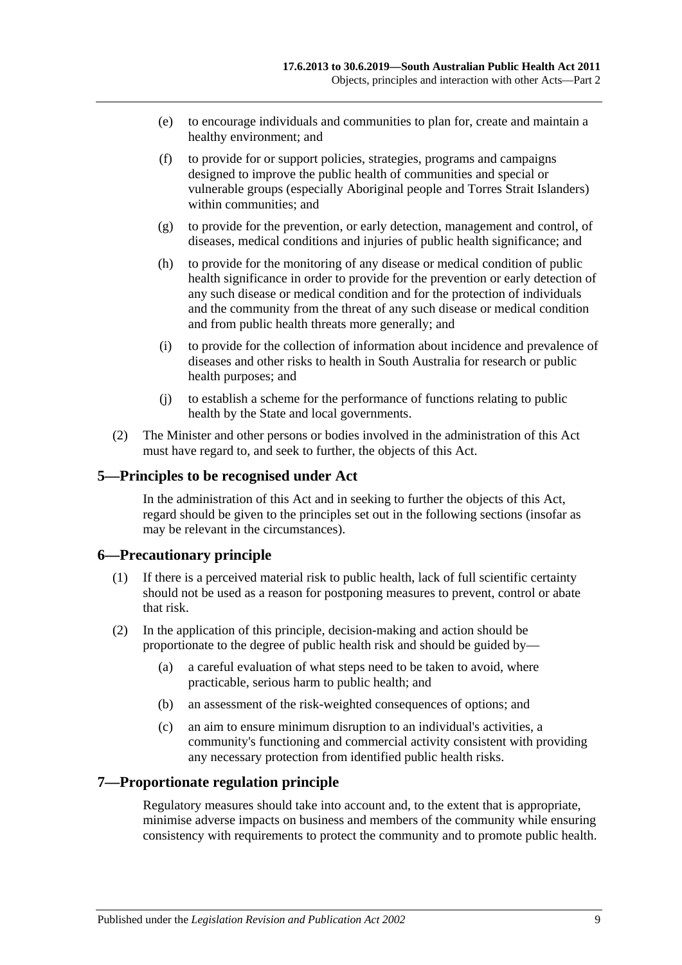- (e) to encourage individuals and communities to plan for, create and maintain a healthy environment; and
- (f) to provide for or support policies, strategies, programs and campaigns designed to improve the public health of communities and special or vulnerable groups (especially Aboriginal people and Torres Strait Islanders) within communities; and
- (g) to provide for the prevention, or early detection, management and control, of diseases, medical conditions and injuries of public health significance; and
- (h) to provide for the monitoring of any disease or medical condition of public health significance in order to provide for the prevention or early detection of any such disease or medical condition and for the protection of individuals and the community from the threat of any such disease or medical condition and from public health threats more generally; and
- (i) to provide for the collection of information about incidence and prevalence of diseases and other risks to health in South Australia for research or public health purposes; and
- (j) to establish a scheme for the performance of functions relating to public health by the State and local governments.
- (2) The Minister and other persons or bodies involved in the administration of this Act must have regard to, and seek to further, the objects of this Act.

#### <span id="page-8-0"></span>**5—Principles to be recognised under Act**

In the administration of this Act and in seeking to further the objects of this Act, regard should be given to the principles set out in the following sections (insofar as may be relevant in the circumstances).

#### <span id="page-8-1"></span>**6—Precautionary principle**

- (1) If there is a perceived material risk to public health, lack of full scientific certainty should not be used as a reason for postponing measures to prevent, control or abate that risk.
- (2) In the application of this principle, decision-making and action should be proportionate to the degree of public health risk and should be guided by—
	- (a) a careful evaluation of what steps need to be taken to avoid, where practicable, serious harm to public health; and
	- (b) an assessment of the risk-weighted consequences of options; and
	- (c) an aim to ensure minimum disruption to an individual's activities, a community's functioning and commercial activity consistent with providing any necessary protection from identified public health risks.

#### <span id="page-8-2"></span>**7—Proportionate regulation principle**

Regulatory measures should take into account and, to the extent that is appropriate, minimise adverse impacts on business and members of the community while ensuring consistency with requirements to protect the community and to promote public health.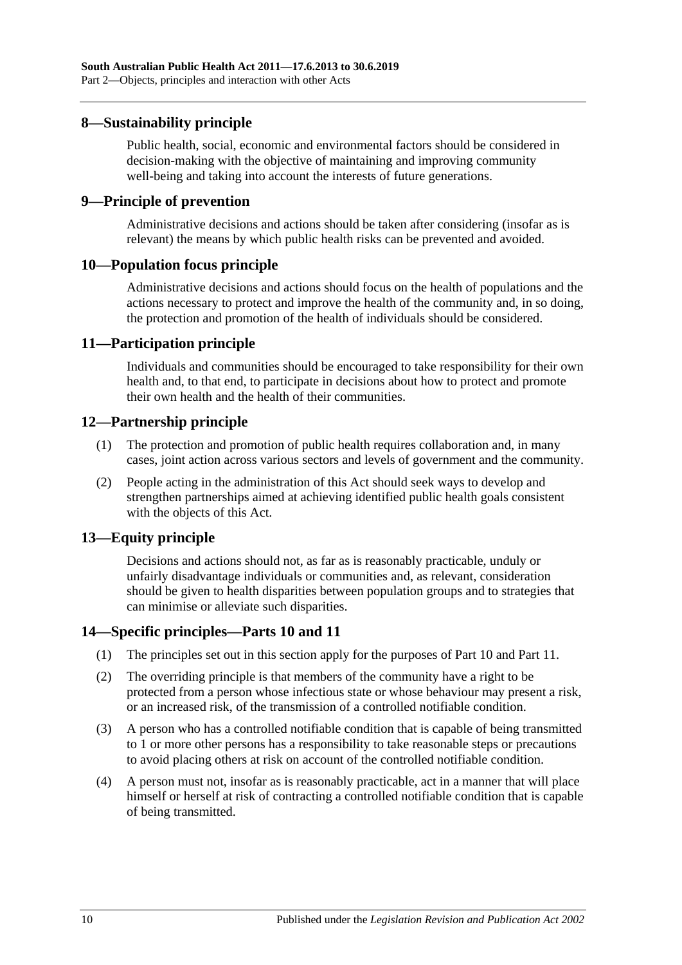#### <span id="page-9-0"></span>**8—Sustainability principle**

Public health, social, economic and environmental factors should be considered in decision-making with the objective of maintaining and improving community well-being and taking into account the interests of future generations.

#### <span id="page-9-1"></span>**9—Principle of prevention**

Administrative decisions and actions should be taken after considering (insofar as is relevant) the means by which public health risks can be prevented and avoided.

#### <span id="page-9-2"></span>**10—Population focus principle**

Administrative decisions and actions should focus on the health of populations and the actions necessary to protect and improve the health of the community and, in so doing, the protection and promotion of the health of individuals should be considered.

#### <span id="page-9-3"></span>**11—Participation principle**

Individuals and communities should be encouraged to take responsibility for their own health and, to that end, to participate in decisions about how to protect and promote their own health and the health of their communities.

#### <span id="page-9-4"></span>**12—Partnership principle**

- (1) The protection and promotion of public health requires collaboration and, in many cases, joint action across various sectors and levels of government and the community.
- (2) People acting in the administration of this Act should seek ways to develop and strengthen partnerships aimed at achieving identified public health goals consistent with the objects of this Act.

#### <span id="page-9-5"></span>**13—Equity principle**

Decisions and actions should not, as far as is reasonably practicable, unduly or unfairly disadvantage individuals or communities and, as relevant, consideration should be given to health disparities between population groups and to strategies that can minimise or alleviate such disparities.

#### <span id="page-9-6"></span>**14—Specific principles[—Parts](#page-41-0) 10 and [11](#page-53-1)**

- (1) The principles set out in this section apply for the purposes of [Part](#page-41-0) 10 and [Part](#page-53-1) 11.
- (2) The overriding principle is that members of the community have a right to be protected from a person whose infectious state or whose behaviour may present a risk, or an increased risk, of the transmission of a controlled notifiable condition.
- (3) A person who has a controlled notifiable condition that is capable of being transmitted to 1 or more other persons has a responsibility to take reasonable steps or precautions to avoid placing others at risk on account of the controlled notifiable condition.
- (4) A person must not, insofar as is reasonably practicable, act in a manner that will place himself or herself at risk of contracting a controlled notifiable condition that is capable of being transmitted.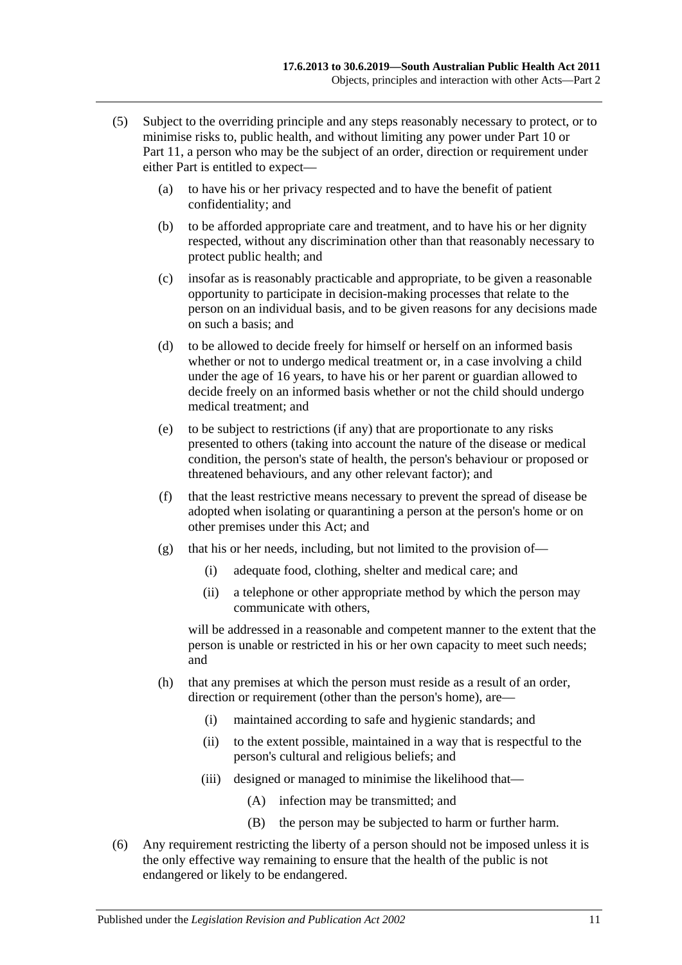- (5) Subject to the overriding principle and any steps reasonably necessary to protect, or to minimise risks to, public health, and without limiting any power under [Part](#page-41-0) 10 or [Part](#page-53-1) 11, a person who may be the subject of an order, direction or requirement under either Part is entitled to expect—
	- (a) to have his or her privacy respected and to have the benefit of patient confidentiality; and
	- (b) to be afforded appropriate care and treatment, and to have his or her dignity respected, without any discrimination other than that reasonably necessary to protect public health; and
	- (c) insofar as is reasonably practicable and appropriate, to be given a reasonable opportunity to participate in decision-making processes that relate to the person on an individual basis, and to be given reasons for any decisions made on such a basis; and
	- (d) to be allowed to decide freely for himself or herself on an informed basis whether or not to undergo medical treatment or, in a case involving a child under the age of 16 years, to have his or her parent or guardian allowed to decide freely on an informed basis whether or not the child should undergo medical treatment; and
	- (e) to be subject to restrictions (if any) that are proportionate to any risks presented to others (taking into account the nature of the disease or medical condition, the person's state of health, the person's behaviour or proposed or threatened behaviours, and any other relevant factor); and
	- (f) that the least restrictive means necessary to prevent the spread of disease be adopted when isolating or quarantining a person at the person's home or on other premises under this Act; and
	- (g) that his or her needs, including, but not limited to the provision of—
		- (i) adequate food, clothing, shelter and medical care; and
		- (ii) a telephone or other appropriate method by which the person may communicate with others,

will be addressed in a reasonable and competent manner to the extent that the person is unable or restricted in his or her own capacity to meet such needs; and

- (h) that any premises at which the person must reside as a result of an order, direction or requirement (other than the person's home), are—
	- (i) maintained according to safe and hygienic standards; and
	- (ii) to the extent possible, maintained in a way that is respectful to the person's cultural and religious beliefs; and
	- (iii) designed or managed to minimise the likelihood that—
		- (A) infection may be transmitted; and
		- (B) the person may be subjected to harm or further harm.
- <span id="page-10-0"></span>(6) Any requirement restricting the liberty of a person should not be imposed unless it is the only effective way remaining to ensure that the health of the public is not endangered or likely to be endangered.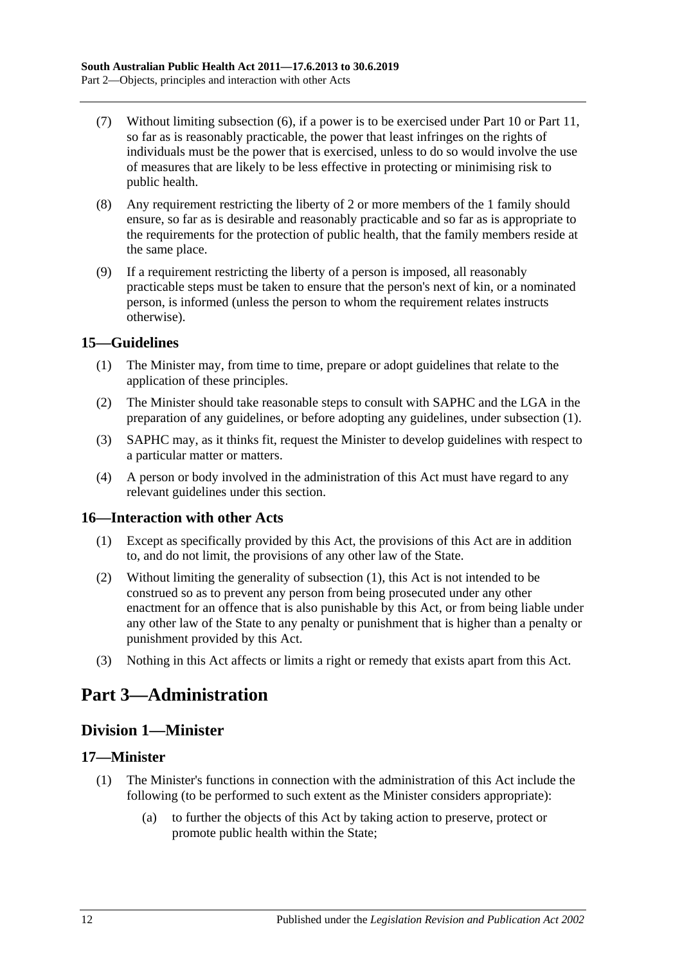- (7) Without limiting [subsection](#page-10-0) (6), if a power is to be exercised under [Part](#page-41-0) 10 or [Part](#page-53-1) 11, so far as is reasonably practicable, the power that least infringes on the rights of individuals must be the power that is exercised, unless to do so would involve the use of measures that are likely to be less effective in protecting or minimising risk to public health.
- (8) Any requirement restricting the liberty of 2 or more members of the 1 family should ensure, so far as is desirable and reasonably practicable and so far as is appropriate to the requirements for the protection of public health, that the family members reside at the same place.
- (9) If a requirement restricting the liberty of a person is imposed, all reasonably practicable steps must be taken to ensure that the person's next of kin, or a nominated person, is informed (unless the person to whom the requirement relates instructs otherwise).

#### <span id="page-11-5"></span><span id="page-11-0"></span>**15—Guidelines**

- (1) The Minister may, from time to time, prepare or adopt guidelines that relate to the application of these principles.
- (2) The Minister should take reasonable steps to consult with SAPHC and the LGA in the preparation of any guidelines, or before adopting any guidelines, under [subsection](#page-11-5) (1).
- (3) SAPHC may, as it thinks fit, request the Minister to develop guidelines with respect to a particular matter or matters.
- (4) A person or body involved in the administration of this Act must have regard to any relevant guidelines under this section.

#### <span id="page-11-6"></span><span id="page-11-1"></span>**16—Interaction with other Acts**

- (1) Except as specifically provided by this Act, the provisions of this Act are in addition to, and do not limit, the provisions of any other law of the State.
- (2) Without limiting the generality of [subsection](#page-11-6) (1), this Act is not intended to be construed so as to prevent any person from being prosecuted under any other enactment for an offence that is also punishable by this Act, or from being liable under any other law of the State to any penalty or punishment that is higher than a penalty or punishment provided by this Act.
- (3) Nothing in this Act affects or limits a right or remedy that exists apart from this Act.

## <span id="page-11-2"></span>**Part 3—Administration**

## <span id="page-11-3"></span>**Division 1—Minister**

#### <span id="page-11-4"></span>**17—Minister**

- (1) The Minister's functions in connection with the administration of this Act include the following (to be performed to such extent as the Minister considers appropriate):
	- (a) to further the objects of this Act by taking action to preserve, protect or promote public health within the State;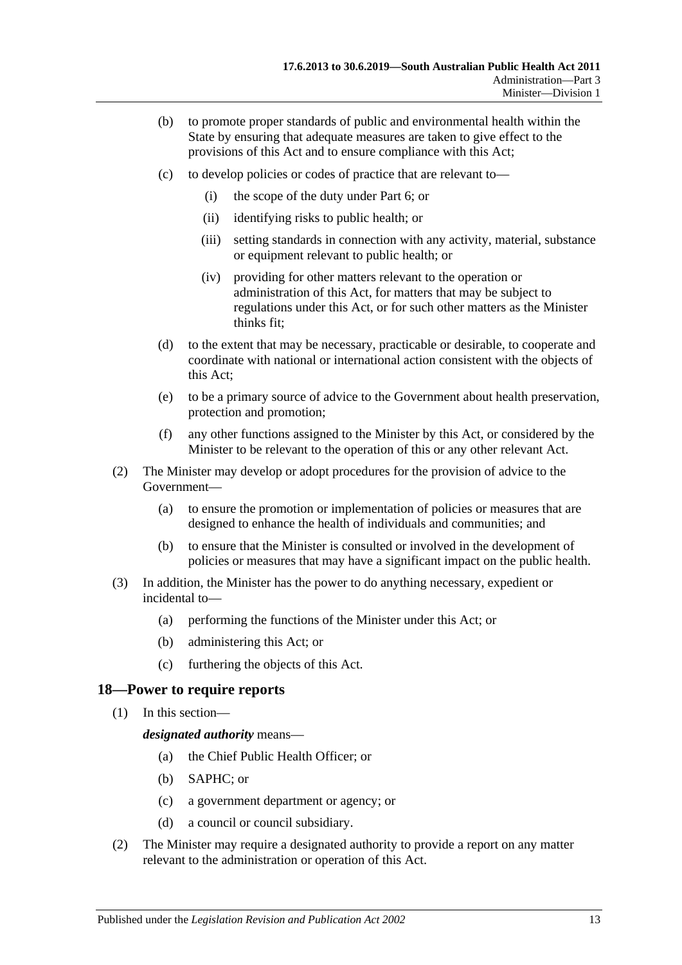- (b) to promote proper standards of public and environmental health within the State by ensuring that adequate measures are taken to give effect to the provisions of this Act and to ensure compliance with this Act;
- (c) to develop policies or codes of practice that are relevant to—
	- (i) the scope of the duty under [Part](#page-33-0) 6; or
	- (ii) identifying risks to public health; or
	- (iii) setting standards in connection with any activity, material, substance or equipment relevant to public health; or
	- (iv) providing for other matters relevant to the operation or administration of this Act, for matters that may be subject to regulations under this Act, or for such other matters as the Minister thinks fit;
- (d) to the extent that may be necessary, practicable or desirable, to cooperate and coordinate with national or international action consistent with the objects of this Act;
- (e) to be a primary source of advice to the Government about health preservation, protection and promotion;
- (f) any other functions assigned to the Minister by this Act, or considered by the Minister to be relevant to the operation of this or any other relevant Act.
- (2) The Minister may develop or adopt procedures for the provision of advice to the Government—
	- (a) to ensure the promotion or implementation of policies or measures that are designed to enhance the health of individuals and communities; and
	- (b) to ensure that the Minister is consulted or involved in the development of policies or measures that may have a significant impact on the public health.
- (3) In addition, the Minister has the power to do anything necessary, expedient or incidental to—
	- (a) performing the functions of the Minister under this Act; or
	- (b) administering this Act; or
	- (c) furthering the objects of this Act.

#### <span id="page-12-0"></span>**18—Power to require reports**

(1) In this section—

*designated authority* means—

- (a) the Chief Public Health Officer; or
- (b) SAPHC; or
- (c) a government department or agency; or
- (d) a council or council subsidiary.
- (2) The Minister may require a designated authority to provide a report on any matter relevant to the administration or operation of this Act.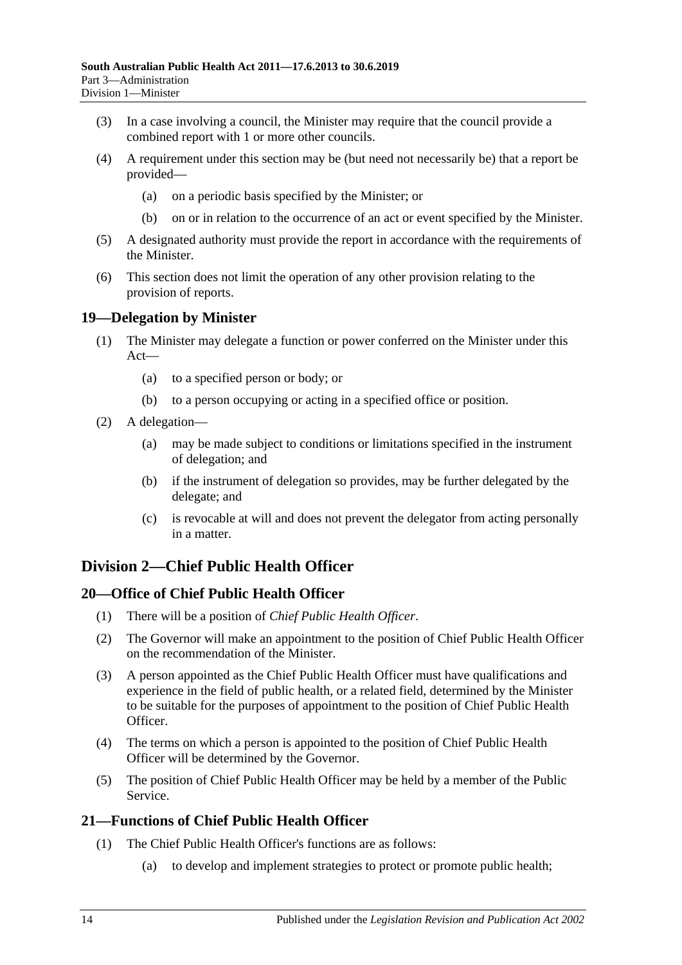- (3) In a case involving a council, the Minister may require that the council provide a combined report with 1 or more other councils.
- (4) A requirement under this section may be (but need not necessarily be) that a report be provided—
	- (a) on a periodic basis specified by the Minister; or
	- (b) on or in relation to the occurrence of an act or event specified by the Minister.
- (5) A designated authority must provide the report in accordance with the requirements of the Minister.
- (6) This section does not limit the operation of any other provision relating to the provision of reports.

### <span id="page-13-0"></span>**19—Delegation by Minister**

- (1) The Minister may delegate a function or power conferred on the Minister under this Act—
	- (a) to a specified person or body; or
	- (b) to a person occupying or acting in a specified office or position.
- (2) A delegation—
	- (a) may be made subject to conditions or limitations specified in the instrument of delegation; and
	- (b) if the instrument of delegation so provides, may be further delegated by the delegate; and
	- (c) is revocable at will and does not prevent the delegator from acting personally in a matter.

## <span id="page-13-1"></span>**Division 2—Chief Public Health Officer**

## <span id="page-13-2"></span>**20—Office of Chief Public Health Officer**

- (1) There will be a position of *Chief Public Health Officer*.
- (2) The Governor will make an appointment to the position of Chief Public Health Officer on the recommendation of the Minister.
- (3) A person appointed as the Chief Public Health Officer must have qualifications and experience in the field of public health, or a related field, determined by the Minister to be suitable for the purposes of appointment to the position of Chief Public Health Officer.
- (4) The terms on which a person is appointed to the position of Chief Public Health Officer will be determined by the Governor.
- (5) The position of Chief Public Health Officer may be held by a member of the Public Service.

## <span id="page-13-4"></span><span id="page-13-3"></span>**21—Functions of Chief Public Health Officer**

- (1) The Chief Public Health Officer's functions are as follows:
	- (a) to develop and implement strategies to protect or promote public health;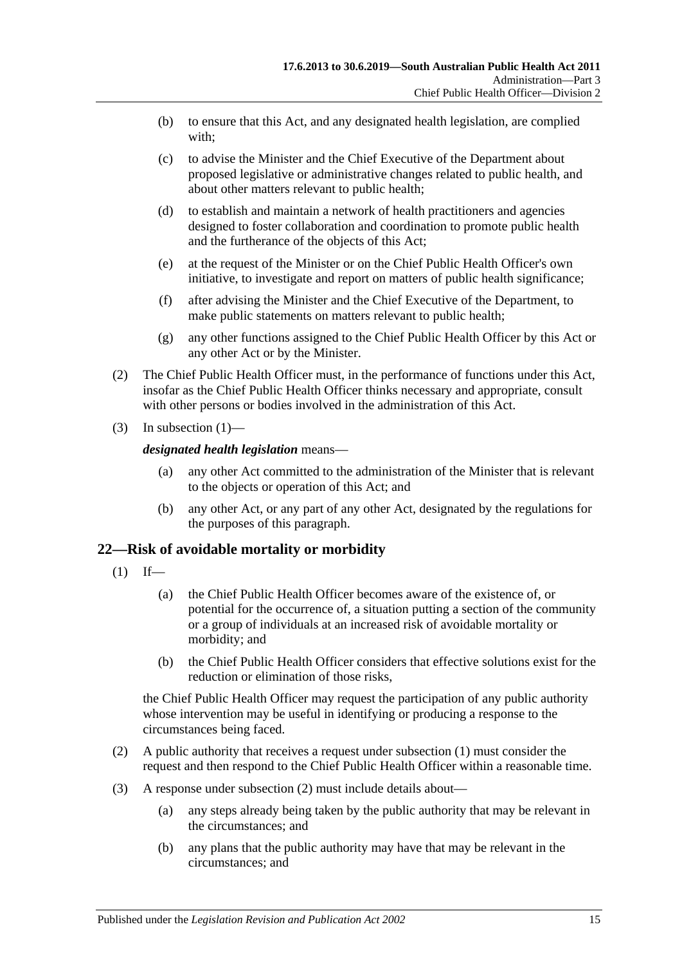- (b) to ensure that this Act, and any designated health legislation, are complied with;
- (c) to advise the Minister and the Chief Executive of the Department about proposed legislative or administrative changes related to public health, and about other matters relevant to public health;
- (d) to establish and maintain a network of health practitioners and agencies designed to foster collaboration and coordination to promote public health and the furtherance of the objects of this Act;
- (e) at the request of the Minister or on the Chief Public Health Officer's own initiative, to investigate and report on matters of public health significance;
- (f) after advising the Minister and the Chief Executive of the Department, to make public statements on matters relevant to public health;
- (g) any other functions assigned to the Chief Public Health Officer by this Act or any other Act or by the Minister.
- (2) The Chief Public Health Officer must, in the performance of functions under this Act, insofar as the Chief Public Health Officer thinks necessary and appropriate, consult with other persons or bodies involved in the administration of this Act.
- (3) In [subsection](#page-13-4)  $(1)$ —

#### *designated health legislation* means—

- (a) any other Act committed to the administration of the Minister that is relevant to the objects or operation of this Act; and
- (b) any other Act, or any part of any other Act, designated by the regulations for the purposes of this paragraph.

#### <span id="page-14-1"></span><span id="page-14-0"></span>**22—Risk of avoidable mortality or morbidity**

- $(1)$  If—
	- (a) the Chief Public Health Officer becomes aware of the existence of, or potential for the occurrence of, a situation putting a section of the community or a group of individuals at an increased risk of avoidable mortality or morbidity; and
	- (b) the Chief Public Health Officer considers that effective solutions exist for the reduction or elimination of those risks,

the Chief Public Health Officer may request the participation of any public authority whose intervention may be useful in identifying or producing a response to the circumstances being faced.

- <span id="page-14-2"></span>(2) A public authority that receives a request under [subsection](#page-14-1) (1) must consider the request and then respond to the Chief Public Health Officer within a reasonable time.
- (3) A response under [subsection](#page-14-2) (2) must include details about—
	- (a) any steps already being taken by the public authority that may be relevant in the circumstances; and
	- (b) any plans that the public authority may have that may be relevant in the circumstances; and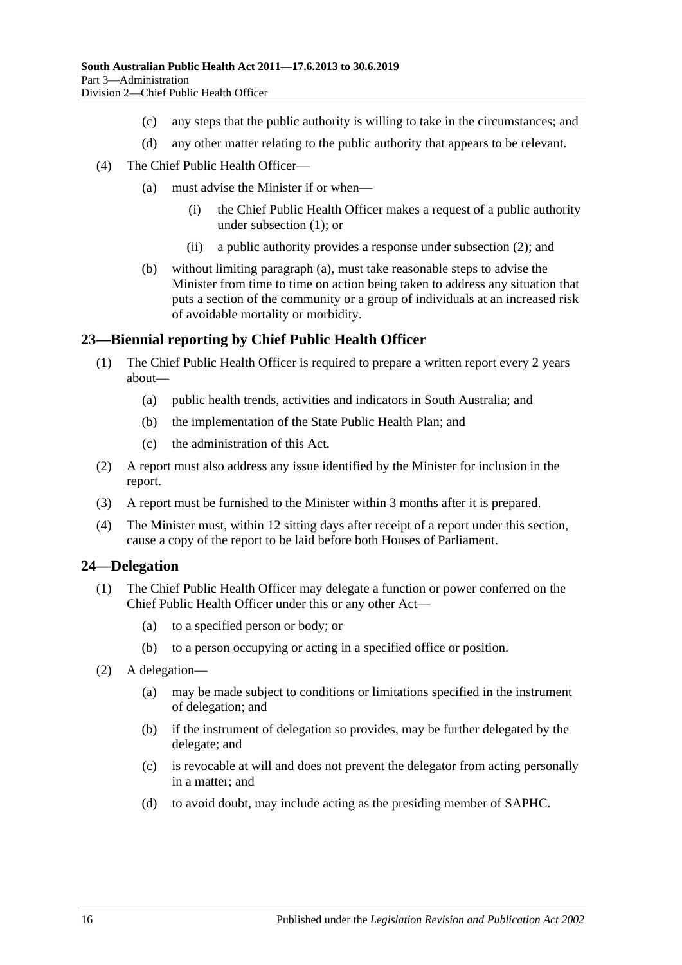- (c) any steps that the public authority is willing to take in the circumstances; and
- (d) any other matter relating to the public authority that appears to be relevant.
- <span id="page-15-2"></span>(4) The Chief Public Health Officer—
	- (a) must advise the Minister if or when—
		- (i) the Chief Public Health Officer makes a request of a public authority under [subsection](#page-14-1) (1); or
		- (ii) a public authority provides a response under [subsection](#page-14-2) (2); and
	- (b) without limiting [paragraph](#page-15-2) (a), must take reasonable steps to advise the Minister from time to time on action being taken to address any situation that puts a section of the community or a group of individuals at an increased risk of avoidable mortality or morbidity.

#### <span id="page-15-0"></span>**23—Biennial reporting by Chief Public Health Officer**

- (1) The Chief Public Health Officer is required to prepare a written report every 2 years about—
	- (a) public health trends, activities and indicators in South Australia; and
	- (b) the implementation of the State Public Health Plan; and
	- (c) the administration of this Act.
- (2) A report must also address any issue identified by the Minister for inclusion in the report.
- (3) A report must be furnished to the Minister within 3 months after it is prepared.
- (4) The Minister must, within 12 sitting days after receipt of a report under this section, cause a copy of the report to be laid before both Houses of Parliament.

#### <span id="page-15-1"></span>**24—Delegation**

- (1) The Chief Public Health Officer may delegate a function or power conferred on the Chief Public Health Officer under this or any other Act—
	- (a) to a specified person or body; or
	- (b) to a person occupying or acting in a specified office or position.
- (2) A delegation—
	- (a) may be made subject to conditions or limitations specified in the instrument of delegation; and
	- (b) if the instrument of delegation so provides, may be further delegated by the delegate; and
	- (c) is revocable at will and does not prevent the delegator from acting personally in a matter; and
	- (d) to avoid doubt, may include acting as the presiding member of SAPHC.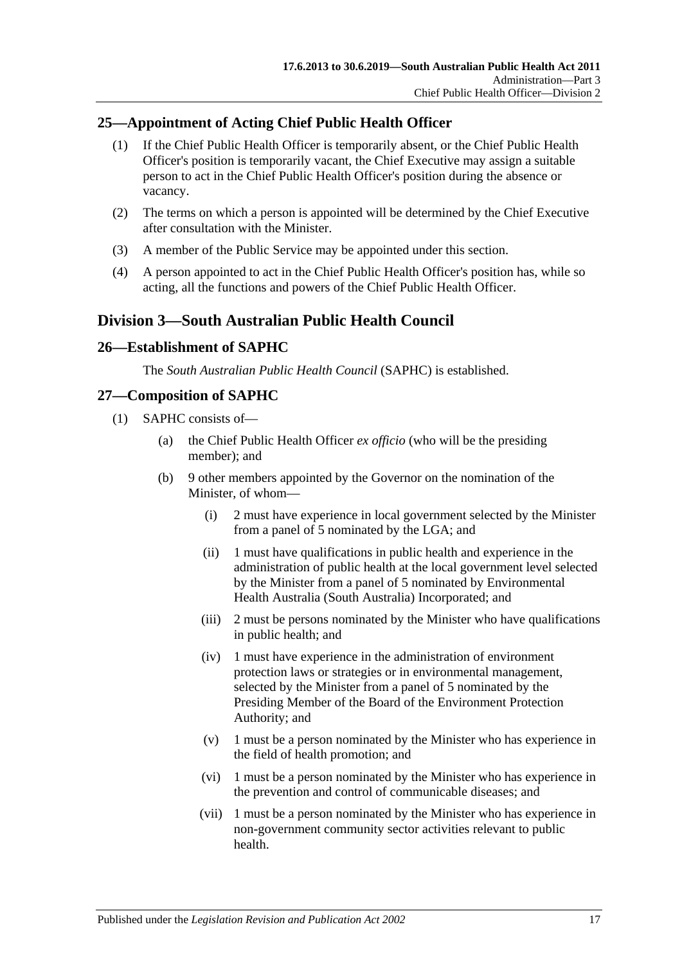## <span id="page-16-0"></span>**25—Appointment of Acting Chief Public Health Officer**

- (1) If the Chief Public Health Officer is temporarily absent, or the Chief Public Health Officer's position is temporarily vacant, the Chief Executive may assign a suitable person to act in the Chief Public Health Officer's position during the absence or vacancy.
- (2) The terms on which a person is appointed will be determined by the Chief Executive after consultation with the Minister.
- (3) A member of the Public Service may be appointed under this section.
- (4) A person appointed to act in the Chief Public Health Officer's position has, while so acting, all the functions and powers of the Chief Public Health Officer.

## <span id="page-16-1"></span>**Division 3—South Australian Public Health Council**

#### <span id="page-16-2"></span>**26—Establishment of SAPHC**

The *South Australian Public Health Council* (SAPHC) is established.

## <span id="page-16-3"></span>**27—Composition of SAPHC**

- (1) SAPHC consists of—
	- (a) the Chief Public Health Officer *ex officio* (who will be the presiding member); and
	- (b) 9 other members appointed by the Governor on the nomination of the Minister, of whom—
		- (i) 2 must have experience in local government selected by the Minister from a panel of 5 nominated by the LGA; and
		- (ii) 1 must have qualifications in public health and experience in the administration of public health at the local government level selected by the Minister from a panel of 5 nominated by Environmental Health Australia (South Australia) Incorporated; and
		- (iii) 2 must be persons nominated by the Minister who have qualifications in public health; and
		- (iv) 1 must have experience in the administration of environment protection laws or strategies or in environmental management, selected by the Minister from a panel of 5 nominated by the Presiding Member of the Board of the Environment Protection Authority; and
		- (v) 1 must be a person nominated by the Minister who has experience in the field of health promotion; and
		- (vi) 1 must be a person nominated by the Minister who has experience in the prevention and control of communicable diseases; and
		- (vii) 1 must be a person nominated by the Minister who has experience in non-government community sector activities relevant to public health.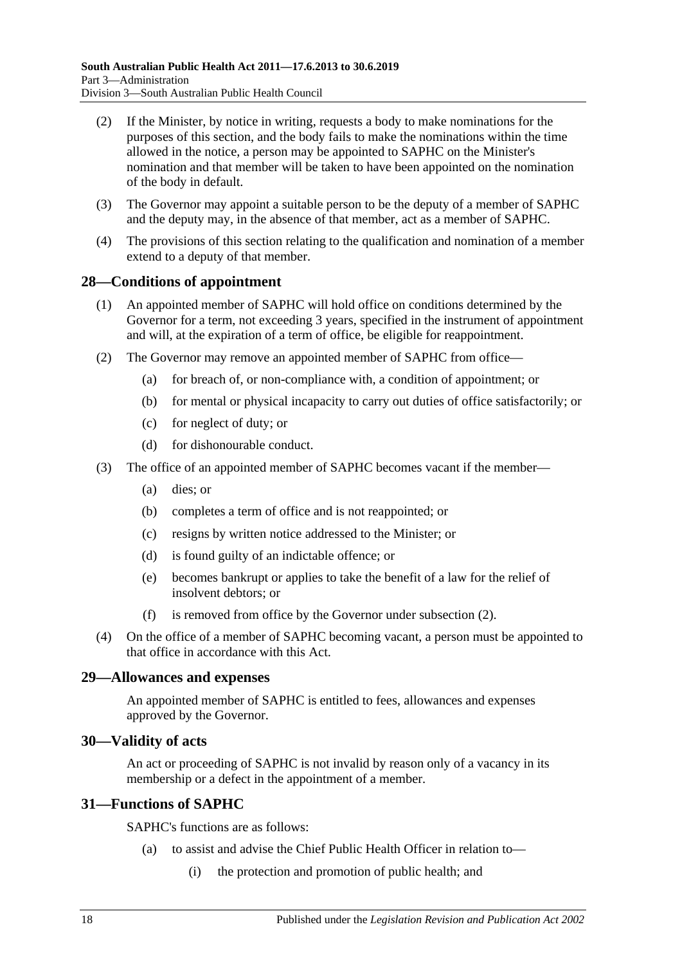- (2) If the Minister, by notice in writing, requests a body to make nominations for the purposes of this section, and the body fails to make the nominations within the time allowed in the notice, a person may be appointed to SAPHC on the Minister's nomination and that member will be taken to have been appointed on the nomination of the body in default.
- (3) The Governor may appoint a suitable person to be the deputy of a member of SAPHC and the deputy may, in the absence of that member, act as a member of SAPHC.
- (4) The provisions of this section relating to the qualification and nomination of a member extend to a deputy of that member.

#### <span id="page-17-0"></span>**28—Conditions of appointment**

- (1) An appointed member of SAPHC will hold office on conditions determined by the Governor for a term, not exceeding 3 years, specified in the instrument of appointment and will, at the expiration of a term of office, be eligible for reappointment.
- <span id="page-17-4"></span>(2) The Governor may remove an appointed member of SAPHC from office—
	- (a) for breach of, or non-compliance with, a condition of appointment; or
	- (b) for mental or physical incapacity to carry out duties of office satisfactorily; or
	- (c) for neglect of duty; or
	- (d) for dishonourable conduct.
- (3) The office of an appointed member of SAPHC becomes vacant if the member—
	- (a) dies; or
	- (b) completes a term of office and is not reappointed; or
	- (c) resigns by written notice addressed to the Minister; or
	- (d) is found guilty of an indictable offence; or
	- (e) becomes bankrupt or applies to take the benefit of a law for the relief of insolvent debtors; or
	- (f) is removed from office by the Governor under [subsection](#page-17-4) (2).
- (4) On the office of a member of SAPHC becoming vacant, a person must be appointed to that office in accordance with this Act.

#### <span id="page-17-1"></span>**29—Allowances and expenses**

An appointed member of SAPHC is entitled to fees, allowances and expenses approved by the Governor.

#### <span id="page-17-2"></span>**30—Validity of acts**

An act or proceeding of SAPHC is not invalid by reason only of a vacancy in its membership or a defect in the appointment of a member.

#### <span id="page-17-3"></span>**31—Functions of SAPHC**

SAPHC's functions are as follows:

- (a) to assist and advise the Chief Public Health Officer in relation to—
	- (i) the protection and promotion of public health; and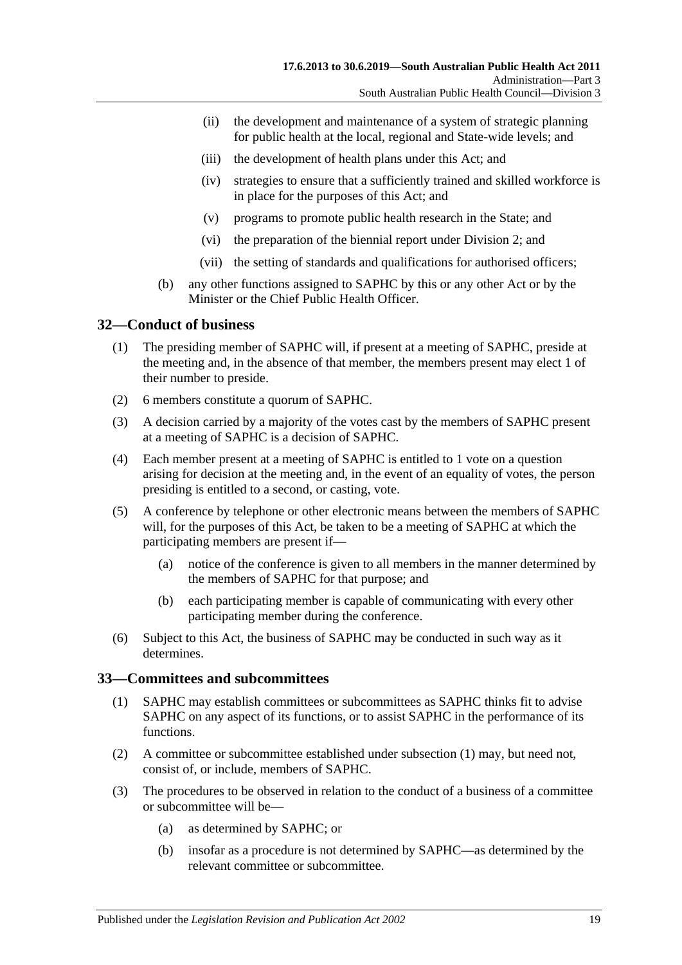- (ii) the development and maintenance of a system of strategic planning for public health at the local, regional and State-wide levels; and
- (iii) the development of health plans under this Act; and
- (iv) strategies to ensure that a sufficiently trained and skilled workforce is in place for the purposes of this Act; and
- (v) programs to promote public health research in the State; and
- (vi) the preparation of the biennial report under [Division](#page-13-1) 2; and
- (vii) the setting of standards and qualifications for authorised officers;
- (b) any other functions assigned to SAPHC by this or any other Act or by the Minister or the Chief Public Health Officer

## <span id="page-18-0"></span>**32—Conduct of business**

- (1) The presiding member of SAPHC will, if present at a meeting of SAPHC, preside at the meeting and, in the absence of that member, the members present may elect 1 of their number to preside.
- (2) 6 members constitute a quorum of SAPHC.
- (3) A decision carried by a majority of the votes cast by the members of SAPHC present at a meeting of SAPHC is a decision of SAPHC.
- (4) Each member present at a meeting of SAPHC is entitled to 1 vote on a question arising for decision at the meeting and, in the event of an equality of votes, the person presiding is entitled to a second, or casting, vote.
- (5) A conference by telephone or other electronic means between the members of SAPHC will, for the purposes of this Act, be taken to be a meeting of SAPHC at which the participating members are present if—
	- (a) notice of the conference is given to all members in the manner determined by the members of SAPHC for that purpose; and
	- (b) each participating member is capable of communicating with every other participating member during the conference.
- (6) Subject to this Act, the business of SAPHC may be conducted in such way as it determines.

#### <span id="page-18-2"></span><span id="page-18-1"></span>**33—Committees and subcommittees**

- (1) SAPHC may establish committees or subcommittees as SAPHC thinks fit to advise SAPHC on any aspect of its functions, or to assist SAPHC in the performance of its functions.
- (2) A committee or subcommittee established under [subsection](#page-18-2) (1) may, but need not, consist of, or include, members of SAPHC.
- (3) The procedures to be observed in relation to the conduct of a business of a committee or subcommittee will be—
	- (a) as determined by SAPHC; or
	- (b) insofar as a procedure is not determined by SAPHC—as determined by the relevant committee or subcommittee.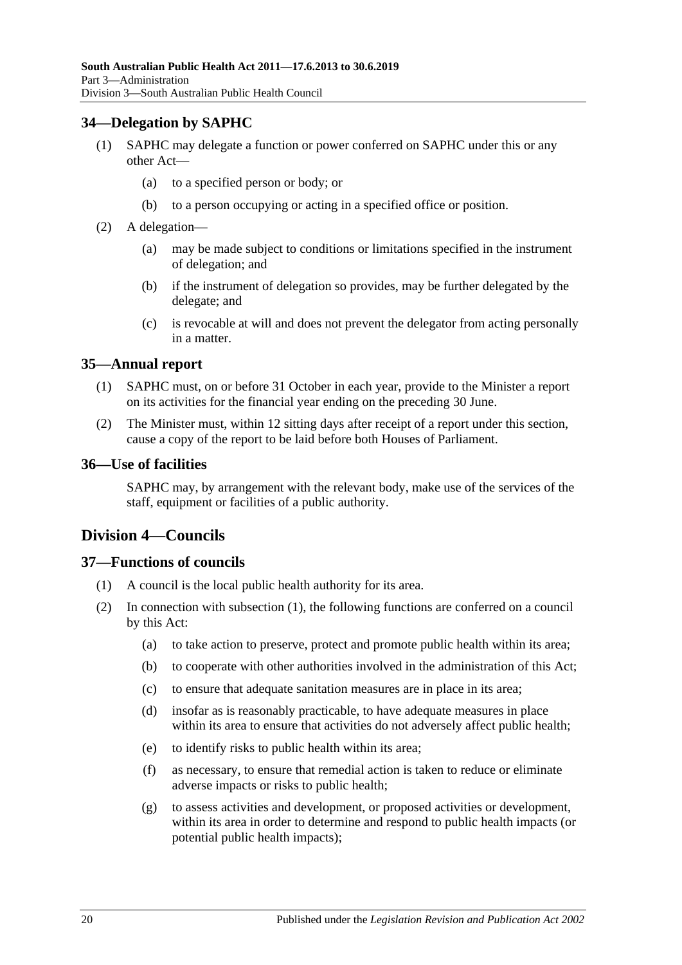### <span id="page-19-0"></span>**34—Delegation by SAPHC**

- (1) SAPHC may delegate a function or power conferred on SAPHC under this or any other Act—
	- (a) to a specified person or body; or
	- (b) to a person occupying or acting in a specified office or position.
- (2) A delegation—
	- (a) may be made subject to conditions or limitations specified in the instrument of delegation; and
	- (b) if the instrument of delegation so provides, may be further delegated by the delegate; and
	- (c) is revocable at will and does not prevent the delegator from acting personally in a matter.

#### <span id="page-19-1"></span>**35—Annual report**

- (1) SAPHC must, on or before 31 October in each year, provide to the Minister a report on its activities for the financial year ending on the preceding 30 June.
- (2) The Minister must, within 12 sitting days after receipt of a report under this section, cause a copy of the report to be laid before both Houses of Parliament.

#### <span id="page-19-2"></span>**36—Use of facilities**

SAPHC may, by arrangement with the relevant body, make use of the services of the staff, equipment or facilities of a public authority.

## <span id="page-19-3"></span>**Division 4—Councils**

## <span id="page-19-5"></span><span id="page-19-4"></span>**37—Functions of councils**

- (1) A council is the local public health authority for its area.
- (2) In connection with [subsection](#page-19-5) (1), the following functions are conferred on a council by this Act:
	- (a) to take action to preserve, protect and promote public health within its area;
	- (b) to cooperate with other authorities involved in the administration of this Act;
	- (c) to ensure that adequate sanitation measures are in place in its area;
	- (d) insofar as is reasonably practicable, to have adequate measures in place within its area to ensure that activities do not adversely affect public health;
	- (e) to identify risks to public health within its area;
	- (f) as necessary, to ensure that remedial action is taken to reduce or eliminate adverse impacts or risks to public health;
	- (g) to assess activities and development, or proposed activities or development, within its area in order to determine and respond to public health impacts (or potential public health impacts);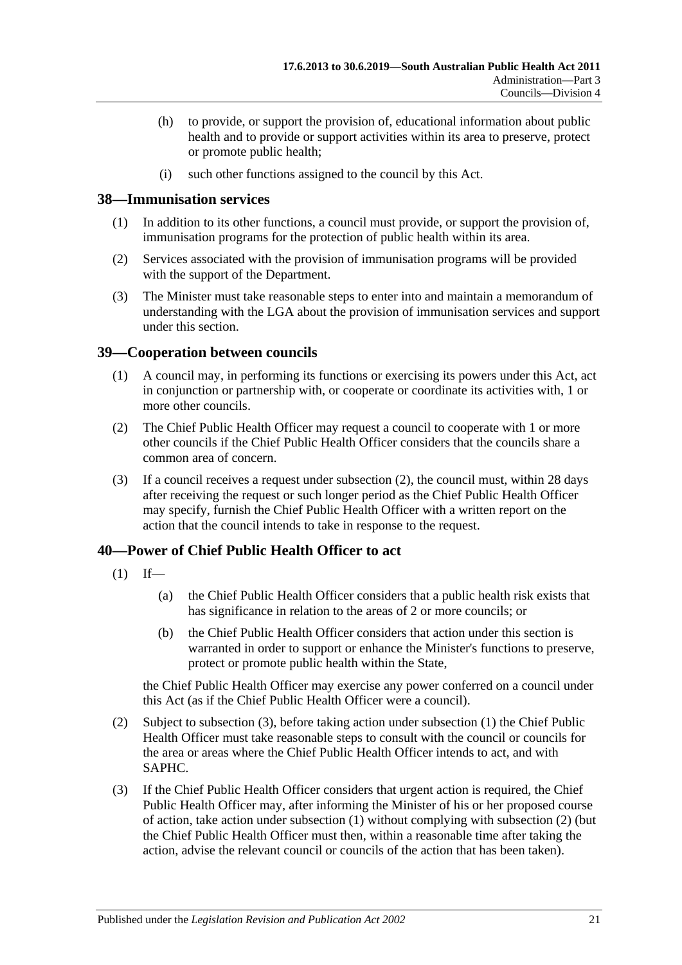- (h) to provide, or support the provision of, educational information about public health and to provide or support activities within its area to preserve, protect or promote public health;
- (i) such other functions assigned to the council by this Act.

#### <span id="page-20-0"></span>**38—Immunisation services**

- (1) In addition to its other functions, a council must provide, or support the provision of, immunisation programs for the protection of public health within its area.
- (2) Services associated with the provision of immunisation programs will be provided with the support of the Department.
- (3) The Minister must take reasonable steps to enter into and maintain a memorandum of understanding with the LGA about the provision of immunisation services and support under this section.

#### <span id="page-20-1"></span>**39—Cooperation between councils**

- (1) A council may, in performing its functions or exercising its powers under this Act, act in conjunction or partnership with, or cooperate or coordinate its activities with, 1 or more other councils.
- <span id="page-20-3"></span>(2) The Chief Public Health Officer may request a council to cooperate with 1 or more other councils if the Chief Public Health Officer considers that the councils share a common area of concern.
- (3) If a council receives a request under [subsection](#page-20-3) (2), the council must, within 28 days after receiving the request or such longer period as the Chief Public Health Officer may specify, furnish the Chief Public Health Officer with a written report on the action that the council intends to take in response to the request.

## <span id="page-20-5"></span><span id="page-20-2"></span>**40—Power of Chief Public Health Officer to act**

- $(1)$  If—
	- (a) the Chief Public Health Officer considers that a public health risk exists that has significance in relation to the areas of 2 or more councils; or
	- (b) the Chief Public Health Officer considers that action under this section is warranted in order to support or enhance the Minister's functions to preserve, protect or promote public health within the State,

the Chief Public Health Officer may exercise any power conferred on a council under this Act (as if the Chief Public Health Officer were a council).

- <span id="page-20-6"></span>(2) Subject to [subsection](#page-20-4) (3), before taking action under [subsection](#page-20-5) (1) the Chief Public Health Officer must take reasonable steps to consult with the council or councils for the area or areas where the Chief Public Health Officer intends to act, and with SAPHC.
- <span id="page-20-4"></span>(3) If the Chief Public Health Officer considers that urgent action is required, the Chief Public Health Officer may, after informing the Minister of his or her proposed course of action, take action under [subsection](#page-20-5) (1) without complying with [subsection](#page-20-6) (2) (but the Chief Public Health Officer must then, within a reasonable time after taking the action, advise the relevant council or councils of the action that has been taken).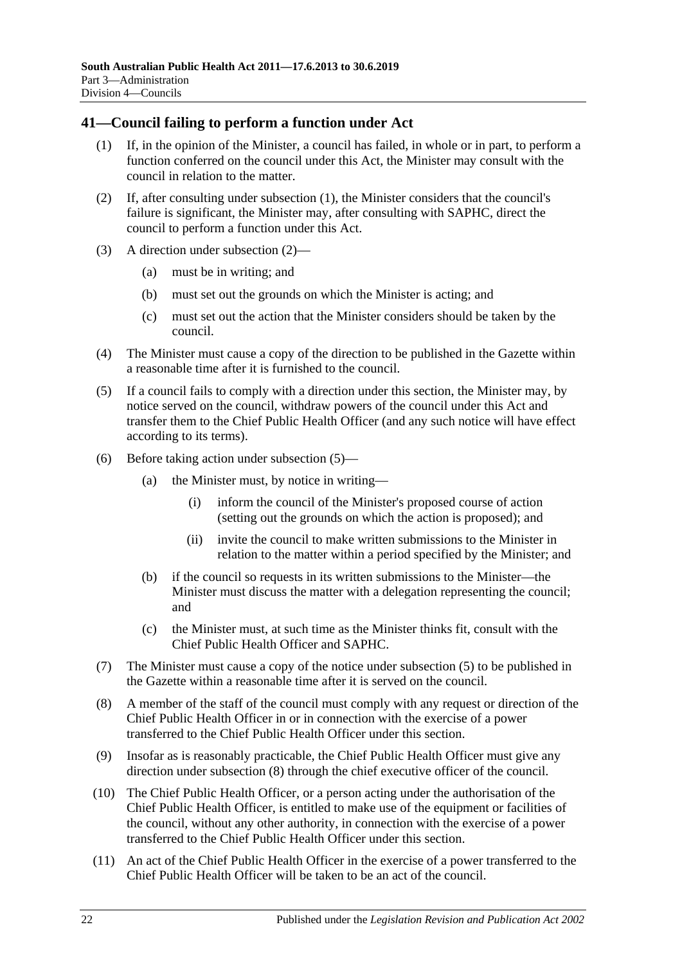### <span id="page-21-1"></span><span id="page-21-0"></span>**41—Council failing to perform a function under Act**

- (1) If, in the opinion of the Minister, a council has failed, in whole or in part, to perform a function conferred on the council under this Act, the Minister may consult with the council in relation to the matter.
- <span id="page-21-2"></span>(2) If, after consulting under [subsection](#page-21-1) (1), the Minister considers that the council's failure is significant, the Minister may, after consulting with SAPHC, direct the council to perform a function under this Act.
- (3) A direction under [subsection](#page-21-2) (2)—
	- (a) must be in writing; and
	- (b) must set out the grounds on which the Minister is acting; and
	- (c) must set out the action that the Minister considers should be taken by the council.
- (4) The Minister must cause a copy of the direction to be published in the Gazette within a reasonable time after it is furnished to the council.
- <span id="page-21-3"></span>(5) If a council fails to comply with a direction under this section, the Minister may, by notice served on the council, withdraw powers of the council under this Act and transfer them to the Chief Public Health Officer (and any such notice will have effect according to its terms).
- (6) Before taking action under [subsection](#page-21-3) (5)—
	- (a) the Minister must, by notice in writing—
		- (i) inform the council of the Minister's proposed course of action (setting out the grounds on which the action is proposed); and
		- (ii) invite the council to make written submissions to the Minister in relation to the matter within a period specified by the Minister; and
	- (b) if the council so requests in its written submissions to the Minister—the Minister must discuss the matter with a delegation representing the council; and
	- (c) the Minister must, at such time as the Minister thinks fit, consult with the Chief Public Health Officer and SAPHC.
- (7) The Minister must cause a copy of the notice under [subsection](#page-21-3) (5) to be published in the Gazette within a reasonable time after it is served on the council.
- <span id="page-21-4"></span>(8) A member of the staff of the council must comply with any request or direction of the Chief Public Health Officer in or in connection with the exercise of a power transferred to the Chief Public Health Officer under this section.
- (9) Insofar as is reasonably practicable, the Chief Public Health Officer must give any direction under [subsection](#page-21-4) (8) through the chief executive officer of the council.
- (10) The Chief Public Health Officer, or a person acting under the authorisation of the Chief Public Health Officer, is entitled to make use of the equipment or facilities of the council, without any other authority, in connection with the exercise of a power transferred to the Chief Public Health Officer under this section.
- (11) An act of the Chief Public Health Officer in the exercise of a power transferred to the Chief Public Health Officer will be taken to be an act of the council.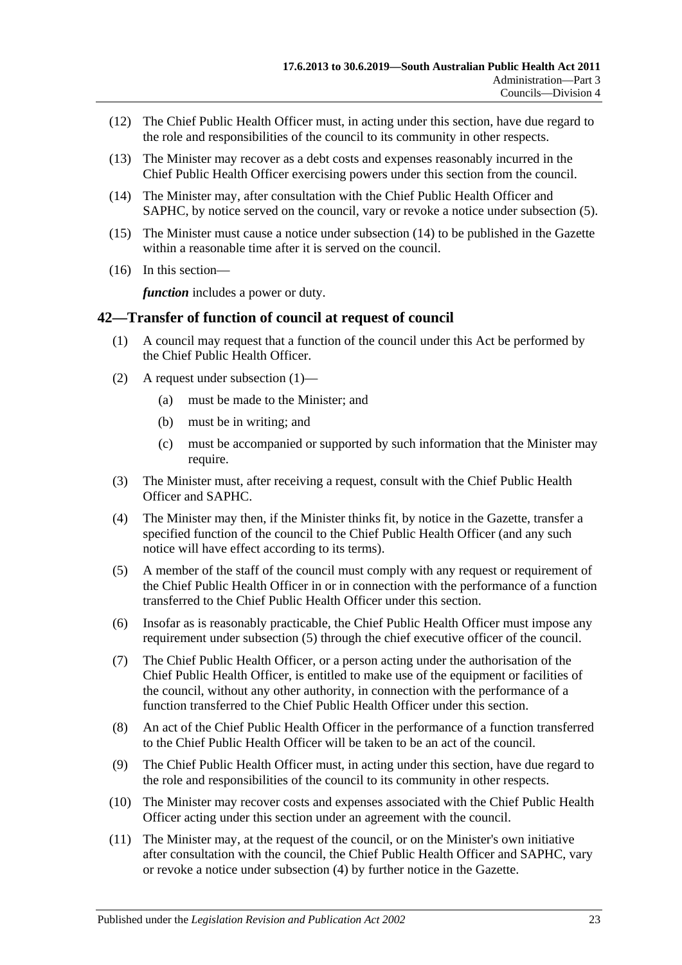- (12) The Chief Public Health Officer must, in acting under this section, have due regard to the role and responsibilities of the council to its community in other respects.
- (13) The Minister may recover as a debt costs and expenses reasonably incurred in the Chief Public Health Officer exercising powers under this section from the council.
- <span id="page-22-1"></span>(14) The Minister may, after consultation with the Chief Public Health Officer and SAPHC, by notice served on the council, vary or revoke a notice under [subsection](#page-21-3) (5).
- (15) The Minister must cause a notice under [subsection](#page-22-1) (14) to be published in the Gazette within a reasonable time after it is served on the council.
- (16) In this section—

*function* includes a power or duty.

#### <span id="page-22-2"></span><span id="page-22-0"></span>**42—Transfer of function of council at request of council**

- (1) A council may request that a function of the council under this Act be performed by the Chief Public Health Officer.
- (2) A request under [subsection](#page-22-2) (1)—
	- (a) must be made to the Minister; and
	- (b) must be in writing; and
	- (c) must be accompanied or supported by such information that the Minister may require.
- (3) The Minister must, after receiving a request, consult with the Chief Public Health Officer and SAPHC.
- <span id="page-22-4"></span>(4) The Minister may then, if the Minister thinks fit, by notice in the Gazette, transfer a specified function of the council to the Chief Public Health Officer (and any such notice will have effect according to its terms).
- <span id="page-22-3"></span>(5) A member of the staff of the council must comply with any request or requirement of the Chief Public Health Officer in or in connection with the performance of a function transferred to the Chief Public Health Officer under this section.
- (6) Insofar as is reasonably practicable, the Chief Public Health Officer must impose any requirement under [subsection](#page-22-3) (5) through the chief executive officer of the council.
- (7) The Chief Public Health Officer, or a person acting under the authorisation of the Chief Public Health Officer, is entitled to make use of the equipment or facilities of the council, without any other authority, in connection with the performance of a function transferred to the Chief Public Health Officer under this section.
- (8) An act of the Chief Public Health Officer in the performance of a function transferred to the Chief Public Health Officer will be taken to be an act of the council.
- (9) The Chief Public Health Officer must, in acting under this section, have due regard to the role and responsibilities of the council to its community in other respects.
- (10) The Minister may recover costs and expenses associated with the Chief Public Health Officer acting under this section under an agreement with the council.
- (11) The Minister may, at the request of the council, or on the Minister's own initiative after consultation with the council, the Chief Public Health Officer and SAPHC, vary or revoke a notice under [subsection](#page-22-4) (4) by further notice in the Gazette.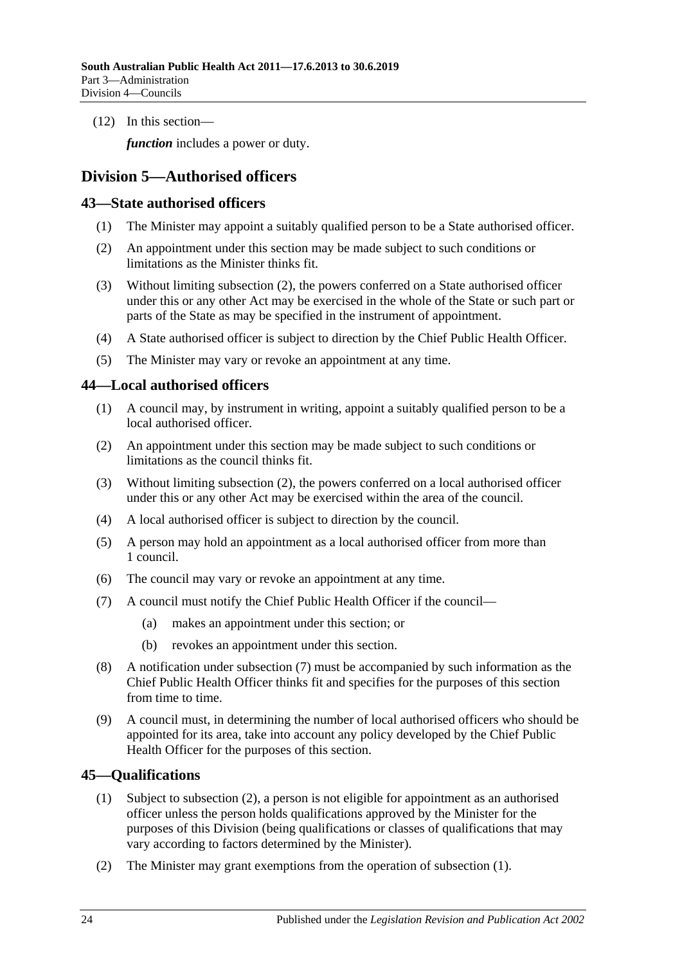(12) In this section—

*function* includes a power or duty.

## <span id="page-23-0"></span>**Division 5—Authorised officers**

#### <span id="page-23-1"></span>**43—State authorised officers**

- (1) The Minister may appoint a suitably qualified person to be a State authorised officer.
- <span id="page-23-4"></span>(2) An appointment under this section may be made subject to such conditions or limitations as the Minister thinks fit.
- (3) Without limiting [subsection](#page-23-4) (2), the powers conferred on a State authorised officer under this or any other Act may be exercised in the whole of the State or such part or parts of the State as may be specified in the instrument of appointment.
- (4) A State authorised officer is subject to direction by the Chief Public Health Officer.
- (5) The Minister may vary or revoke an appointment at any time.

#### <span id="page-23-2"></span>**44—Local authorised officers**

- (1) A council may, by instrument in writing, appoint a suitably qualified person to be a local authorised officer.
- <span id="page-23-5"></span>(2) An appointment under this section may be made subject to such conditions or limitations as the council thinks fit.
- (3) Without limiting [subsection](#page-23-5) (2), the powers conferred on a local authorised officer under this or any other Act may be exercised within the area of the council.
- (4) A local authorised officer is subject to direction by the council.
- (5) A person may hold an appointment as a local authorised officer from more than 1 council.
- (6) The council may vary or revoke an appointment at any time.
- <span id="page-23-6"></span>(7) A council must notify the Chief Public Health Officer if the council—
	- (a) makes an appointment under this section; or
	- (b) revokes an appointment under this section.
- (8) A notification under [subsection](#page-23-6) (7) must be accompanied by such information as the Chief Public Health Officer thinks fit and specifies for the purposes of this section from time to time.
- (9) A council must, in determining the number of local authorised officers who should be appointed for its area, take into account any policy developed by the Chief Public Health Officer for the purposes of this section.

#### <span id="page-23-8"></span><span id="page-23-3"></span>**45—Qualifications**

- (1) Subject to [subsection](#page-23-7) (2), a person is not eligible for appointment as an authorised officer unless the person holds qualifications approved by the Minister for the purposes of this Division (being qualifications or classes of qualifications that may vary according to factors determined by the Minister).
- <span id="page-23-7"></span>(2) The Minister may grant exemptions from the operation of [subsection](#page-23-8) (1).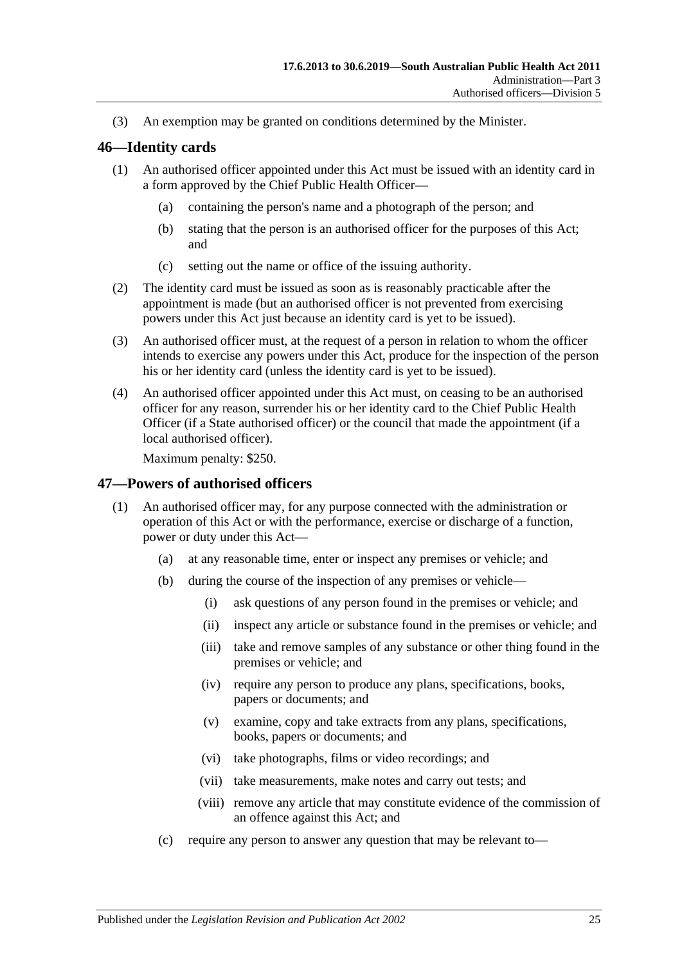(3) An exemption may be granted on conditions determined by the Minister.

#### <span id="page-24-0"></span>**46—Identity cards**

- (1) An authorised officer appointed under this Act must be issued with an identity card in a form approved by the Chief Public Health Officer—
	- (a) containing the person's name and a photograph of the person; and
	- (b) stating that the person is an authorised officer for the purposes of this Act; and
	- (c) setting out the name or office of the issuing authority.
- (2) The identity card must be issued as soon as is reasonably practicable after the appointment is made (but an authorised officer is not prevented from exercising powers under this Act just because an identity card is yet to be issued).
- (3) An authorised officer must, at the request of a person in relation to whom the officer intends to exercise any powers under this Act, produce for the inspection of the person his or her identity card (unless the identity card is yet to be issued).
- (4) An authorised officer appointed under this Act must, on ceasing to be an authorised officer for any reason, surrender his or her identity card to the Chief Public Health Officer (if a State authorised officer) or the council that made the appointment (if a local authorised officer).

Maximum penalty: \$250.

#### <span id="page-24-1"></span>**47—Powers of authorised officers**

- (1) An authorised officer may, for any purpose connected with the administration or operation of this Act or with the performance, exercise or discharge of a function, power or duty under this Act—
	- (a) at any reasonable time, enter or inspect any premises or vehicle; and
	- (b) during the course of the inspection of any premises or vehicle—
		- (i) ask questions of any person found in the premises or vehicle; and
		- (ii) inspect any article or substance found in the premises or vehicle; and
		- (iii) take and remove samples of any substance or other thing found in the premises or vehicle; and
		- (iv) require any person to produce any plans, specifications, books, papers or documents; and
		- (v) examine, copy and take extracts from any plans, specifications, books, papers or documents; and
		- (vi) take photographs, films or video recordings; and
		- (vii) take measurements, make notes and carry out tests; and
		- (viii) remove any article that may constitute evidence of the commission of an offence against this Act; and
	- (c) require any person to answer any question that may be relevant to—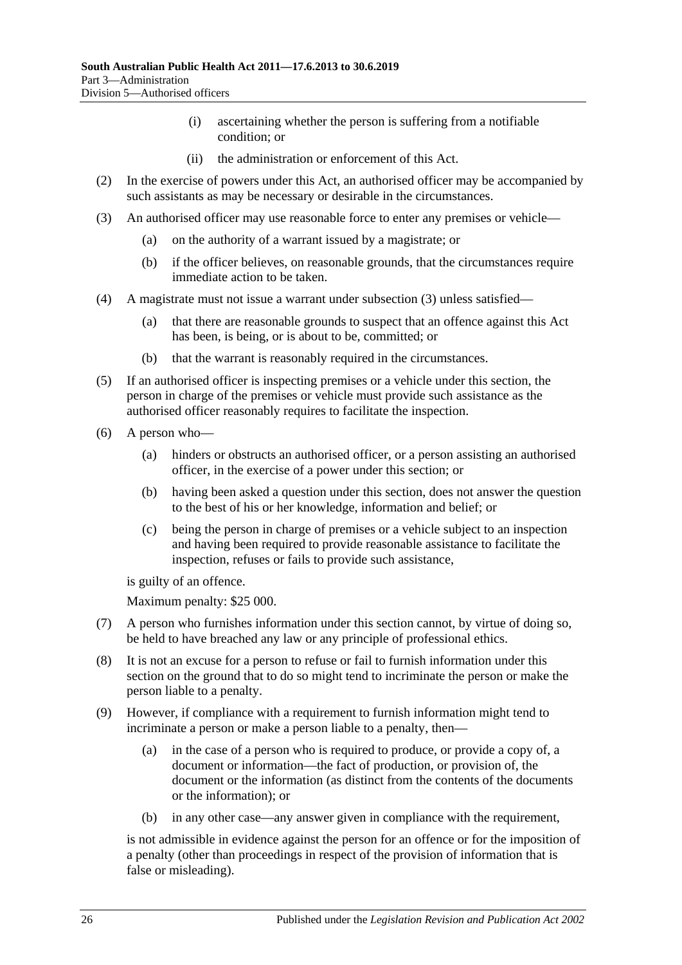- (i) ascertaining whether the person is suffering from a notifiable condition; or
- (ii) the administration or enforcement of this Act.
- (2) In the exercise of powers under this Act, an authorised officer may be accompanied by such assistants as may be necessary or desirable in the circumstances.
- <span id="page-25-0"></span>(3) An authorised officer may use reasonable force to enter any premises or vehicle—
	- (a) on the authority of a warrant issued by a magistrate; or
	- (b) if the officer believes, on reasonable grounds, that the circumstances require immediate action to be taken.
- (4) A magistrate must not issue a warrant under [subsection](#page-25-0) (3) unless satisfied—
	- (a) that there are reasonable grounds to suspect that an offence against this Act has been, is being, or is about to be, committed; or
	- (b) that the warrant is reasonably required in the circumstances.
- (5) If an authorised officer is inspecting premises or a vehicle under this section, the person in charge of the premises or vehicle must provide such assistance as the authorised officer reasonably requires to facilitate the inspection.
- (6) A person who—
	- (a) hinders or obstructs an authorised officer, or a person assisting an authorised officer, in the exercise of a power under this section; or
	- (b) having been asked a question under this section, does not answer the question to the best of his or her knowledge, information and belief; or
	- (c) being the person in charge of premises or a vehicle subject to an inspection and having been required to provide reasonable assistance to facilitate the inspection, refuses or fails to provide such assistance,

is guilty of an offence.

Maximum penalty: \$25 000.

- (7) A person who furnishes information under this section cannot, by virtue of doing so, be held to have breached any law or any principle of professional ethics.
- (8) It is not an excuse for a person to refuse or fail to furnish information under this section on the ground that to do so might tend to incriminate the person or make the person liable to a penalty.
- (9) However, if compliance with a requirement to furnish information might tend to incriminate a person or make a person liable to a penalty, then—
	- (a) in the case of a person who is required to produce, or provide a copy of, a document or information—the fact of production, or provision of, the document or the information (as distinct from the contents of the documents or the information); or
	- (b) in any other case—any answer given in compliance with the requirement,

is not admissible in evidence against the person for an offence or for the imposition of a penalty (other than proceedings in respect of the provision of information that is false or misleading).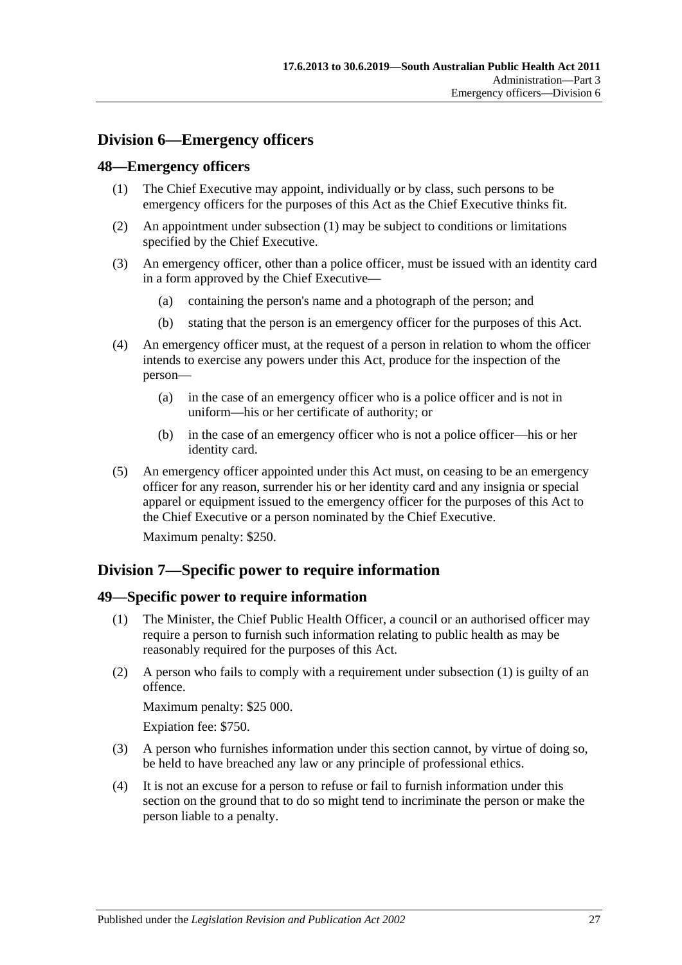## <span id="page-26-0"></span>**Division 6—Emergency officers**

#### <span id="page-26-4"></span><span id="page-26-1"></span>**48—Emergency officers**

- (1) The Chief Executive may appoint, individually or by class, such persons to be emergency officers for the purposes of this Act as the Chief Executive thinks fit.
- (2) An appointment under [subsection](#page-26-4) (1) may be subject to conditions or limitations specified by the Chief Executive.
- (3) An emergency officer, other than a police officer, must be issued with an identity card in a form approved by the Chief Executive—
	- (a) containing the person's name and a photograph of the person; and
	- (b) stating that the person is an emergency officer for the purposes of this Act.
- (4) An emergency officer must, at the request of a person in relation to whom the officer intends to exercise any powers under this Act, produce for the inspection of the person—
	- (a) in the case of an emergency officer who is a police officer and is not in uniform—his or her certificate of authority; or
	- (b) in the case of an emergency officer who is not a police officer—his or her identity card.
- (5) An emergency officer appointed under this Act must, on ceasing to be an emergency officer for any reason, surrender his or her identity card and any insignia or special apparel or equipment issued to the emergency officer for the purposes of this Act to the Chief Executive or a person nominated by the Chief Executive.

Maximum penalty: \$250.

## <span id="page-26-2"></span>**Division 7—Specific power to require information**

#### <span id="page-26-5"></span><span id="page-26-3"></span>**49—Specific power to require information**

- (1) The Minister, the Chief Public Health Officer, a council or an authorised officer may require a person to furnish such information relating to public health as may be reasonably required for the purposes of this Act.
- (2) A person who fails to comply with a requirement under [subsection](#page-26-5) (1) is guilty of an offence.

Maximum penalty: \$25 000.

Expiation fee: \$750.

- (3) A person who furnishes information under this section cannot, by virtue of doing so, be held to have breached any law or any principle of professional ethics.
- (4) It is not an excuse for a person to refuse or fail to furnish information under this section on the ground that to do so might tend to incriminate the person or make the person liable to a penalty.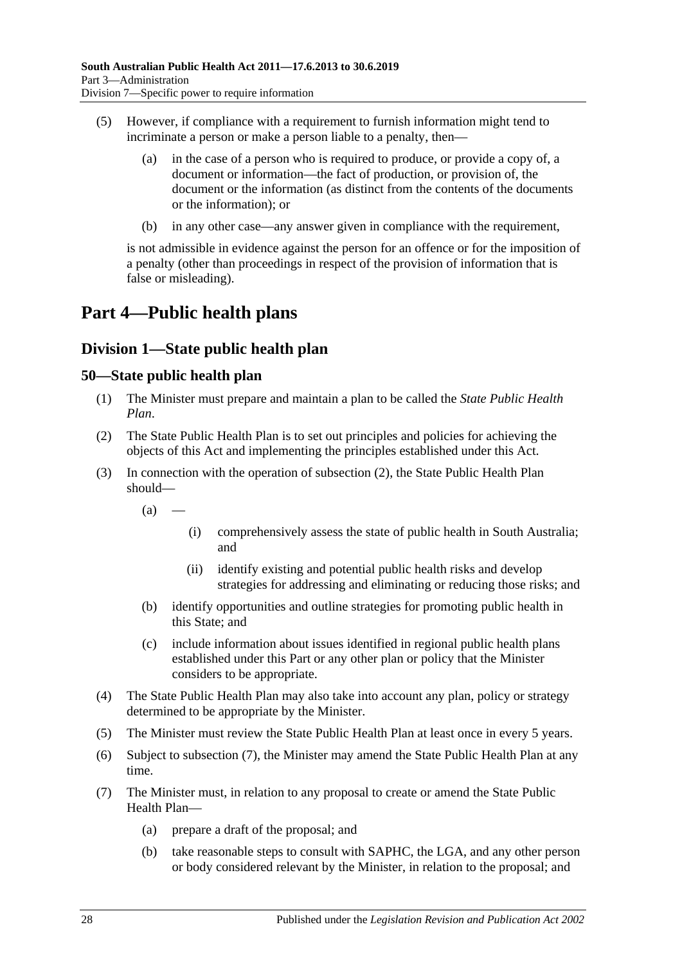- (5) However, if compliance with a requirement to furnish information might tend to incriminate a person or make a person liable to a penalty, then—
	- (a) in the case of a person who is required to produce, or provide a copy of, a document or information—the fact of production, or provision of, the document or the information (as distinct from the contents of the documents or the information); or
	- (b) in any other case—any answer given in compliance with the requirement,

is not admissible in evidence against the person for an offence or for the imposition of a penalty (other than proceedings in respect of the provision of information that is false or misleading).

## <span id="page-27-0"></span>**Part 4—Public health plans**

## <span id="page-27-1"></span>**Division 1—State public health plan**

#### <span id="page-27-2"></span>**50—State public health plan**

- (1) The Minister must prepare and maintain a plan to be called the *State Public Health Plan*.
- <span id="page-27-3"></span>(2) The State Public Health Plan is to set out principles and policies for achieving the objects of this Act and implementing the principles established under this Act.
- (3) In connection with the operation of [subsection](#page-27-3) (2), the State Public Health Plan should—
	- $(a)$
- (i) comprehensively assess the state of public health in South Australia; and
- (ii) identify existing and potential public health risks and develop strategies for addressing and eliminating or reducing those risks; and
- (b) identify opportunities and outline strategies for promoting public health in this State; and
- (c) include information about issues identified in regional public health plans established under this Part or any other plan or policy that the Minister considers to be appropriate.
- (4) The State Public Health Plan may also take into account any plan, policy or strategy determined to be appropriate by the Minister.
- (5) The Minister must review the State Public Health Plan at least once in every 5 years.
- (6) Subject to [subsection](#page-27-4) (7), the Minister may amend the State Public Health Plan at any time.
- <span id="page-27-4"></span>(7) The Minister must, in relation to any proposal to create or amend the State Public Health Plan—
	- (a) prepare a draft of the proposal; and
	- (b) take reasonable steps to consult with SAPHC, the LGA, and any other person or body considered relevant by the Minister, in relation to the proposal; and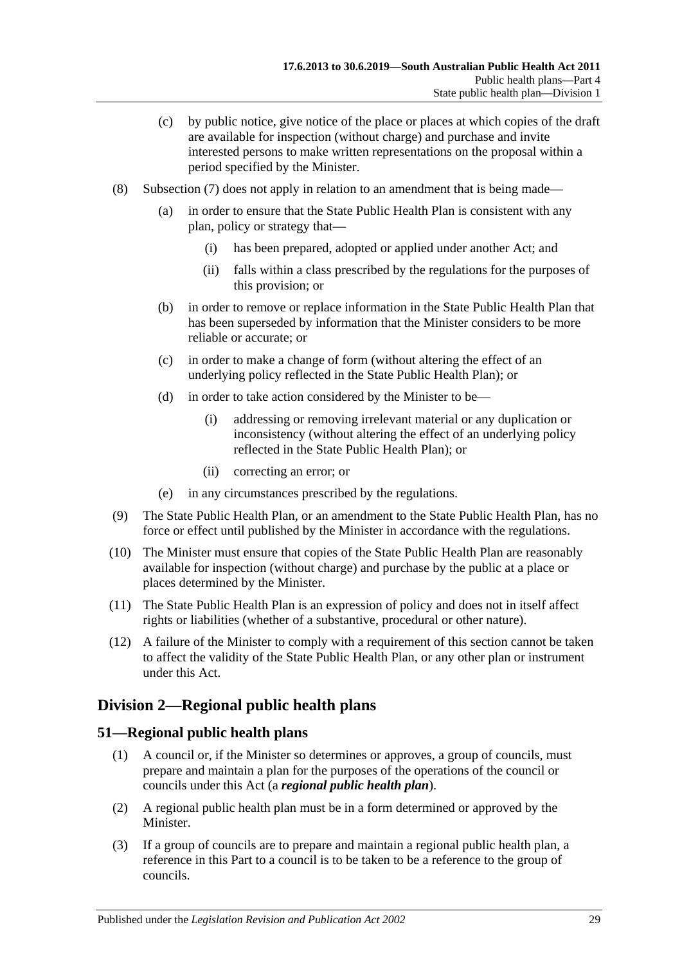- (c) by public notice, give notice of the place or places at which copies of the draft are available for inspection (without charge) and purchase and invite interested persons to make written representations on the proposal within a period specified by the Minister.
- (8) [Subsection](#page-27-4) (7) does not apply in relation to an amendment that is being made—
	- (a) in order to ensure that the State Public Health Plan is consistent with any plan, policy or strategy that—
		- (i) has been prepared, adopted or applied under another Act; and
		- (ii) falls within a class prescribed by the regulations for the purposes of this provision; or
	- (b) in order to remove or replace information in the State Public Health Plan that has been superseded by information that the Minister considers to be more reliable or accurate; or
	- (c) in order to make a change of form (without altering the effect of an underlying policy reflected in the State Public Health Plan); or
	- (d) in order to take action considered by the Minister to be—
		- (i) addressing or removing irrelevant material or any duplication or inconsistency (without altering the effect of an underlying policy reflected in the State Public Health Plan); or
		- (ii) correcting an error; or
	- (e) in any circumstances prescribed by the regulations.
- (9) The State Public Health Plan, or an amendment to the State Public Health Plan, has no force or effect until published by the Minister in accordance with the regulations.
- (10) The Minister must ensure that copies of the State Public Health Plan are reasonably available for inspection (without charge) and purchase by the public at a place or places determined by the Minister.
- (11) The State Public Health Plan is an expression of policy and does not in itself affect rights or liabilities (whether of a substantive, procedural or other nature).
- (12) A failure of the Minister to comply with a requirement of this section cannot be taken to affect the validity of the State Public Health Plan, or any other plan or instrument under this Act.

## <span id="page-28-0"></span>**Division 2—Regional public health plans**

## <span id="page-28-1"></span>**51—Regional public health plans**

- (1) A council or, if the Minister so determines or approves, a group of councils, must prepare and maintain a plan for the purposes of the operations of the council or councils under this Act (a *regional public health plan*).
- (2) A regional public health plan must be in a form determined or approved by the Minister.
- (3) If a group of councils are to prepare and maintain a regional public health plan, a reference in this Part to a council is to be taken to be a reference to the group of councils.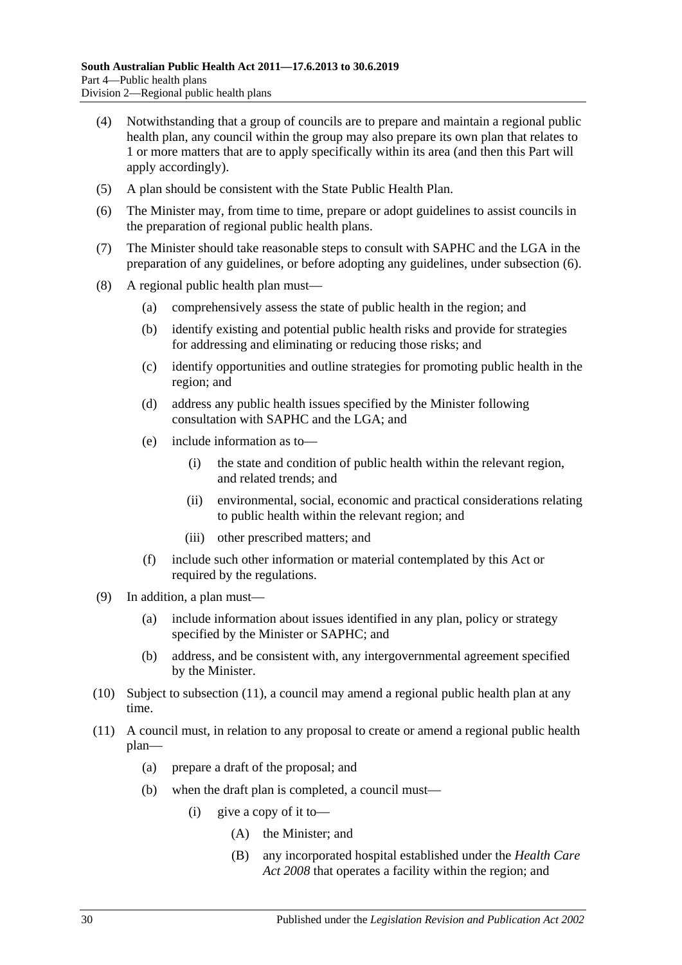- (4) Notwithstanding that a group of councils are to prepare and maintain a regional public health plan, any council within the group may also prepare its own plan that relates to 1 or more matters that are to apply specifically within its area (and then this Part will apply accordingly).
- (5) A plan should be consistent with the State Public Health Plan.
- <span id="page-29-0"></span>(6) The Minister may, from time to time, prepare or adopt guidelines to assist councils in the preparation of regional public health plans.
- (7) The Minister should take reasonable steps to consult with SAPHC and the LGA in the preparation of any guidelines, or before adopting any guidelines, under [subsection](#page-29-0) (6).
- (8) A regional public health plan must—
	- (a) comprehensively assess the state of public health in the region; and
	- (b) identify existing and potential public health risks and provide for strategies for addressing and eliminating or reducing those risks; and
	- (c) identify opportunities and outline strategies for promoting public health in the region; and
	- (d) address any public health issues specified by the Minister following consultation with SAPHC and the LGA; and
	- (e) include information as to—
		- (i) the state and condition of public health within the relevant region, and related trends; and
		- (ii) environmental, social, economic and practical considerations relating to public health within the relevant region; and
		- (iii) other prescribed matters; and
	- (f) include such other information or material contemplated by this Act or required by the regulations.
- (9) In addition, a plan must—
	- (a) include information about issues identified in any plan, policy or strategy specified by the Minister or SAPHC; and
	- (b) address, and be consistent with, any intergovernmental agreement specified by the Minister.
- (10) Subject to [subsection](#page-29-1) (11), a council may amend a regional public health plan at any time.
- <span id="page-29-1"></span>(11) A council must, in relation to any proposal to create or amend a regional public health plan—
	- (a) prepare a draft of the proposal; and
	- (b) when the draft plan is completed, a council must—
		- (i) give a copy of it to—
			- (A) the Minister; and
			- (B) any incorporated hospital established under the *[Health Care](http://www.legislation.sa.gov.au/index.aspx?action=legref&type=act&legtitle=Health%20Care%20Act%202008)  Act [2008](http://www.legislation.sa.gov.au/index.aspx?action=legref&type=act&legtitle=Health%20Care%20Act%202008)* that operates a facility within the region; and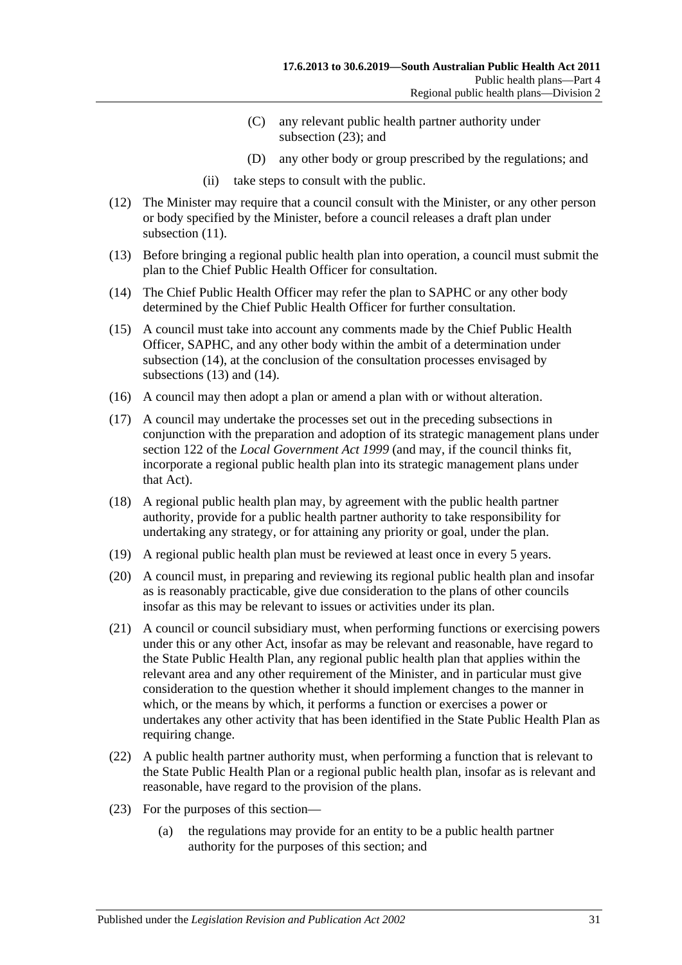- (C) any relevant public health partner authority under [subsection](#page-30-0) (23); and
- (D) any other body or group prescribed by the regulations; and
- (ii) take steps to consult with the public.
- (12) The Minister may require that a council consult with the Minister, or any other person or body specified by the Minister, before a council releases a draft plan under [subsection](#page-29-1) (11).
- <span id="page-30-2"></span>(13) Before bringing a regional public health plan into operation, a council must submit the plan to the Chief Public Health Officer for consultation.
- <span id="page-30-1"></span>(14) The Chief Public Health Officer may refer the plan to SAPHC or any other body determined by the Chief Public Health Officer for further consultation.
- (15) A council must take into account any comments made by the Chief Public Health Officer, SAPHC, and any other body within the ambit of a determination under [subsection](#page-30-1) (14), at the conclusion of the consultation processes envisaged by [subsections](#page-30-2) (13) and [\(14\).](#page-30-1)
- (16) A council may then adopt a plan or amend a plan with or without alteration.
- (17) A council may undertake the processes set out in the preceding subsections in conjunction with the preparation and adoption of its strategic management plans under section 122 of the *[Local Government Act](http://www.legislation.sa.gov.au/index.aspx?action=legref&type=act&legtitle=Local%20Government%20Act%201999) 1999* (and may, if the council thinks fit, incorporate a regional public health plan into its strategic management plans under that Act).
- (18) A regional public health plan may, by agreement with the public health partner authority, provide for a public health partner authority to take responsibility for undertaking any strategy, or for attaining any priority or goal, under the plan.
- (19) A regional public health plan must be reviewed at least once in every 5 years.
- (20) A council must, in preparing and reviewing its regional public health plan and insofar as is reasonably practicable, give due consideration to the plans of other councils insofar as this may be relevant to issues or activities under its plan.
- (21) A council or council subsidiary must, when performing functions or exercising powers under this or any other Act, insofar as may be relevant and reasonable, have regard to the State Public Health Plan, any regional public health plan that applies within the relevant area and any other requirement of the Minister, and in particular must give consideration to the question whether it should implement changes to the manner in which, or the means by which, it performs a function or exercises a power or undertakes any other activity that has been identified in the State Public Health Plan as requiring change.
- (22) A public health partner authority must, when performing a function that is relevant to the State Public Health Plan or a regional public health plan, insofar as is relevant and reasonable, have regard to the provision of the plans.
- <span id="page-30-0"></span>(23) For the purposes of this section—
	- (a) the regulations may provide for an entity to be a public health partner authority for the purposes of this section; and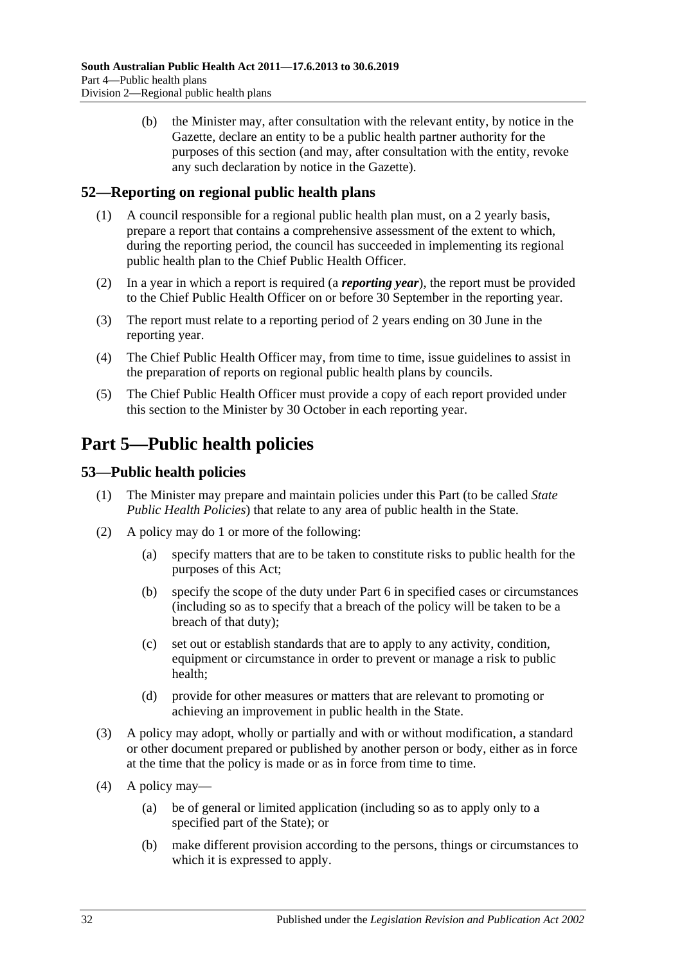(b) the Minister may, after consultation with the relevant entity, by notice in the Gazette, declare an entity to be a public health partner authority for the purposes of this section (and may, after consultation with the entity, revoke any such declaration by notice in the Gazette).

## <span id="page-31-0"></span>**52—Reporting on regional public health plans**

- (1) A council responsible for a regional public health plan must, on a 2 yearly basis, prepare a report that contains a comprehensive assessment of the extent to which, during the reporting period, the council has succeeded in implementing its regional public health plan to the Chief Public Health Officer.
- (2) In a year in which a report is required (a *reporting year*), the report must be provided to the Chief Public Health Officer on or before 30 September in the reporting year.
- (3) The report must relate to a reporting period of 2 years ending on 30 June in the reporting year.
- (4) The Chief Public Health Officer may, from time to time, issue guidelines to assist in the preparation of reports on regional public health plans by councils.
- (5) The Chief Public Health Officer must provide a copy of each report provided under this section to the Minister by 30 October in each reporting year.

## <span id="page-31-1"></span>**Part 5—Public health policies**

## <span id="page-31-2"></span>**53—Public health policies**

- (1) The Minister may prepare and maintain policies under this Part (to be called *State Public Health Policies*) that relate to any area of public health in the State.
- (2) A policy may do 1 or more of the following:
	- (a) specify matters that are to be taken to constitute risks to public health for the purposes of this Act;
	- (b) specify the scope of the duty under [Part](#page-33-0) 6 in specified cases or circumstances (including so as to specify that a breach of the policy will be taken to be a breach of that duty);
	- (c) set out or establish standards that are to apply to any activity, condition, equipment or circumstance in order to prevent or manage a risk to public health;
	- (d) provide for other measures or matters that are relevant to promoting or achieving an improvement in public health in the State.
- (3) A policy may adopt, wholly or partially and with or without modification, a standard or other document prepared or published by another person or body, either as in force at the time that the policy is made or as in force from time to time.
- (4) A policy may—
	- (a) be of general or limited application (including so as to apply only to a specified part of the State); or
	- (b) make different provision according to the persons, things or circumstances to which it is expressed to apply.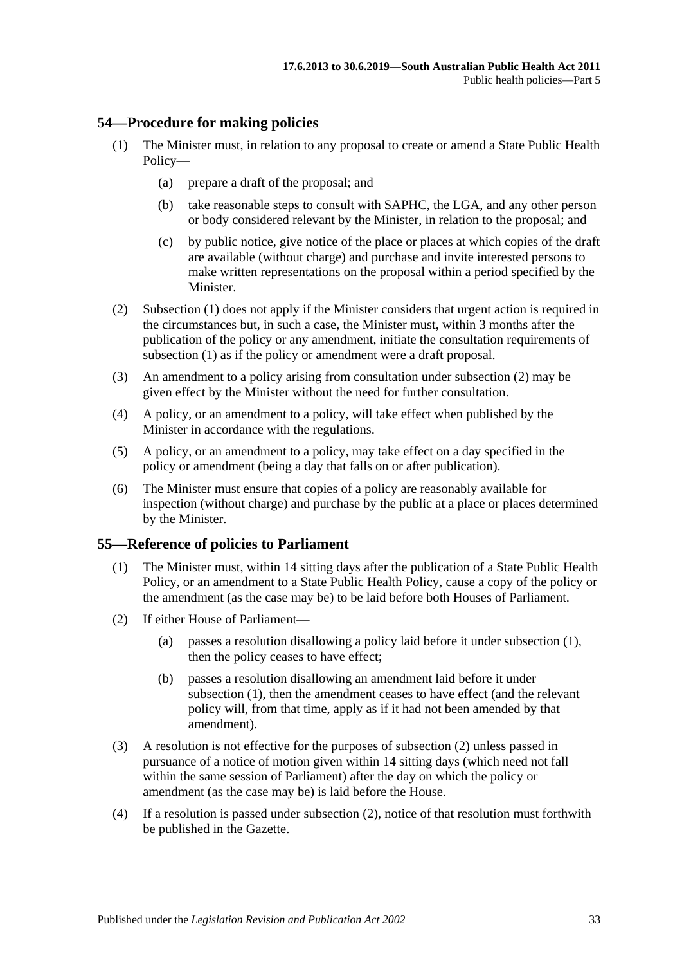#### <span id="page-32-2"></span><span id="page-32-0"></span>**54—Procedure for making policies**

- (1) The Minister must, in relation to any proposal to create or amend a State Public Health Policy—
	- (a) prepare a draft of the proposal; and
	- (b) take reasonable steps to consult with SAPHC, the LGA, and any other person or body considered relevant by the Minister, in relation to the proposal; and
	- (c) by public notice, give notice of the place or places at which copies of the draft are available (without charge) and purchase and invite interested persons to make written representations on the proposal within a period specified by the Minister.
- <span id="page-32-3"></span>(2) [Subsection](#page-32-2) (1) does not apply if the Minister considers that urgent action is required in the circumstances but, in such a case, the Minister must, within 3 months after the publication of the policy or any amendment, initiate the consultation requirements of [subsection](#page-32-2) (1) as if the policy or amendment were a draft proposal.
- (3) An amendment to a policy arising from consultation under [subsection](#page-32-3) (2) may be given effect by the Minister without the need for further consultation.
- (4) A policy, or an amendment to a policy, will take effect when published by the Minister in accordance with the regulations.
- (5) A policy, or an amendment to a policy, may take effect on a day specified in the policy or amendment (being a day that falls on or after publication).
- (6) The Minister must ensure that copies of a policy are reasonably available for inspection (without charge) and purchase by the public at a place or places determined by the Minister.

#### <span id="page-32-4"></span><span id="page-32-1"></span>**55—Reference of policies to Parliament**

- (1) The Minister must, within 14 sitting days after the publication of a State Public Health Policy, or an amendment to a State Public Health Policy, cause a copy of the policy or the amendment (as the case may be) to be laid before both Houses of Parliament.
- <span id="page-32-5"></span>(2) If either House of Parliament—
	- (a) passes a resolution disallowing a policy laid before it under [subsection](#page-32-4) (1), then the policy ceases to have effect;
	- (b) passes a resolution disallowing an amendment laid before it under [subsection](#page-32-4) (1), then the amendment ceases to have effect (and the relevant policy will, from that time, apply as if it had not been amended by that amendment).
- (3) A resolution is not effective for the purposes of [subsection](#page-32-5) (2) unless passed in pursuance of a notice of motion given within 14 sitting days (which need not fall within the same session of Parliament) after the day on which the policy or amendment (as the case may be) is laid before the House.
- (4) If a resolution is passed under [subsection](#page-32-5) (2), notice of that resolution must forthwith be published in the Gazette.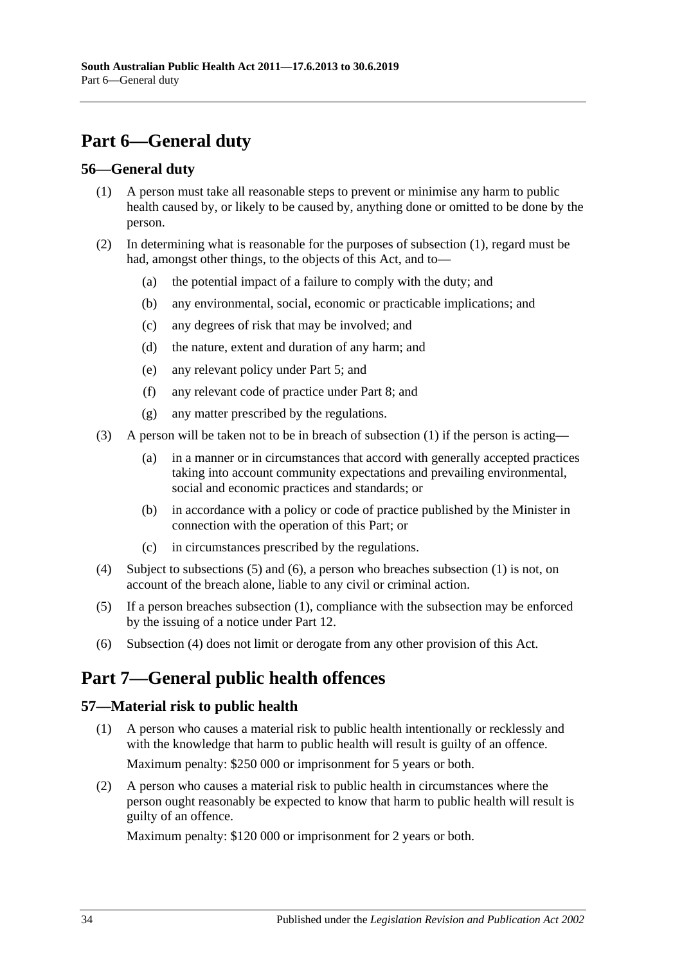## <span id="page-33-0"></span>**Part 6—General duty**

### <span id="page-33-4"></span><span id="page-33-1"></span>**56—General duty**

- (1) A person must take all reasonable steps to prevent or minimise any harm to public health caused by, or likely to be caused by, anything done or omitted to be done by the person.
- (2) In determining what is reasonable for the purposes of [subsection](#page-33-4) (1), regard must be had, amongst other things, to the objects of this Act, and to—
	- (a) the potential impact of a failure to comply with the duty; and
	- (b) any environmental, social, economic or practicable implications; and
	- (c) any degrees of risk that may be involved; and
	- (d) the nature, extent and duration of any harm; and
	- (e) any relevant policy under [Part](#page-31-1) 5; and
	- (f) any relevant code of practice under [Part](#page-35-1) 8; and
	- (g) any matter prescribed by the regulations.
- (3) A person will be taken not to be in breach of [subsection](#page-33-4) (1) if the person is acting—
	- (a) in a manner or in circumstances that accord with generally accepted practices taking into account community expectations and prevailing environmental, social and economic practices and standards; or
	- (b) in accordance with a policy or code of practice published by the Minister in connection with the operation of this Part; or
	- (c) in circumstances prescribed by the regulations.
- <span id="page-33-7"></span>(4) Subject to [subsections](#page-33-5) (5) and [\(6\),](#page-33-6) a person who breaches [subsection](#page-33-4) (1) is not, on account of the breach alone, liable to any civil or criminal action.
- <span id="page-33-5"></span>(5) If a person breaches [subsection](#page-33-4) (1), compliance with the subsection may be enforced by the issuing of a notice under [Part](#page-58-0) 12.
- <span id="page-33-6"></span>(6) [Subsection](#page-33-7) (4) does not limit or derogate from any other provision of this Act.

## <span id="page-33-2"></span>**Part 7—General public health offences**

## <span id="page-33-3"></span>**57—Material risk to public health**

- (1) A person who causes a material risk to public health intentionally or recklessly and with the knowledge that harm to public health will result is guilty of an offence. Maximum penalty: \$250 000 or imprisonment for 5 years or both.
- (2) A person who causes a material risk to public health in circumstances where the person ought reasonably be expected to know that harm to public health will result is guilty of an offence.

Maximum penalty: \$120 000 or imprisonment for 2 years or both.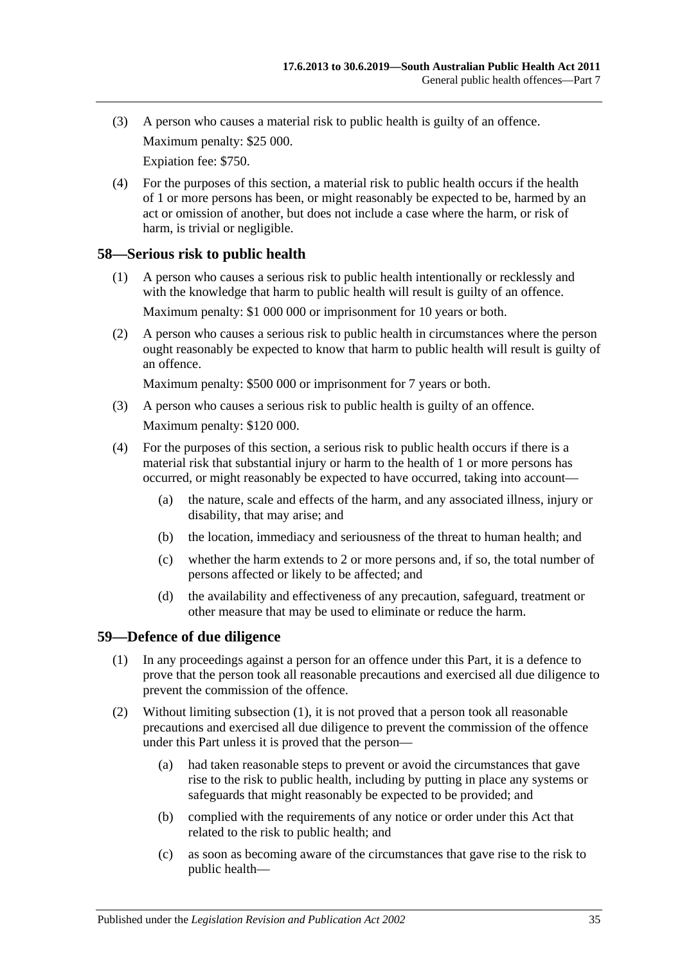- (3) A person who causes a material risk to public health is guilty of an offence. Maximum penalty: \$25 000. Expiation fee: \$750.
- (4) For the purposes of this section, a material risk to public health occurs if the health of 1 or more persons has been, or might reasonably be expected to be, harmed by an act or omission of another, but does not include a case where the harm, or risk of harm, is trivial or negligible.

### <span id="page-34-0"></span>**58—Serious risk to public health**

- (1) A person who causes a serious risk to public health intentionally or recklessly and with the knowledge that harm to public health will result is guilty of an offence. Maximum penalty: \$1 000 000 or imprisonment for 10 years or both.
- (2) A person who causes a serious risk to public health in circumstances where the person ought reasonably be expected to know that harm to public health will result is guilty of an offence.

Maximum penalty: \$500 000 or imprisonment for 7 years or both.

- (3) A person who causes a serious risk to public health is guilty of an offence. Maximum penalty: \$120 000.
- (4) For the purposes of this section, a serious risk to public health occurs if there is a material risk that substantial injury or harm to the health of 1 or more persons has occurred, or might reasonably be expected to have occurred, taking into account—
	- (a) the nature, scale and effects of the harm, and any associated illness, injury or disability, that may arise; and
	- (b) the location, immediacy and seriousness of the threat to human health; and
	- (c) whether the harm extends to 2 or more persons and, if so, the total number of persons affected or likely to be affected; and
	- (d) the availability and effectiveness of any precaution, safeguard, treatment or other measure that may be used to eliminate or reduce the harm.

## <span id="page-34-2"></span><span id="page-34-1"></span>**59—Defence of due diligence**

- (1) In any proceedings against a person for an offence under this Part, it is a defence to prove that the person took all reasonable precautions and exercised all due diligence to prevent the commission of the offence.
- (2) Without limiting [subsection](#page-34-2) (1), it is not proved that a person took all reasonable precautions and exercised all due diligence to prevent the commission of the offence under this Part unless it is proved that the person—
	- (a) had taken reasonable steps to prevent or avoid the circumstances that gave rise to the risk to public health, including by putting in place any systems or safeguards that might reasonably be expected to be provided; and
	- (b) complied with the requirements of any notice or order under this Act that related to the risk to public health; and
	- (c) as soon as becoming aware of the circumstances that gave rise to the risk to public health—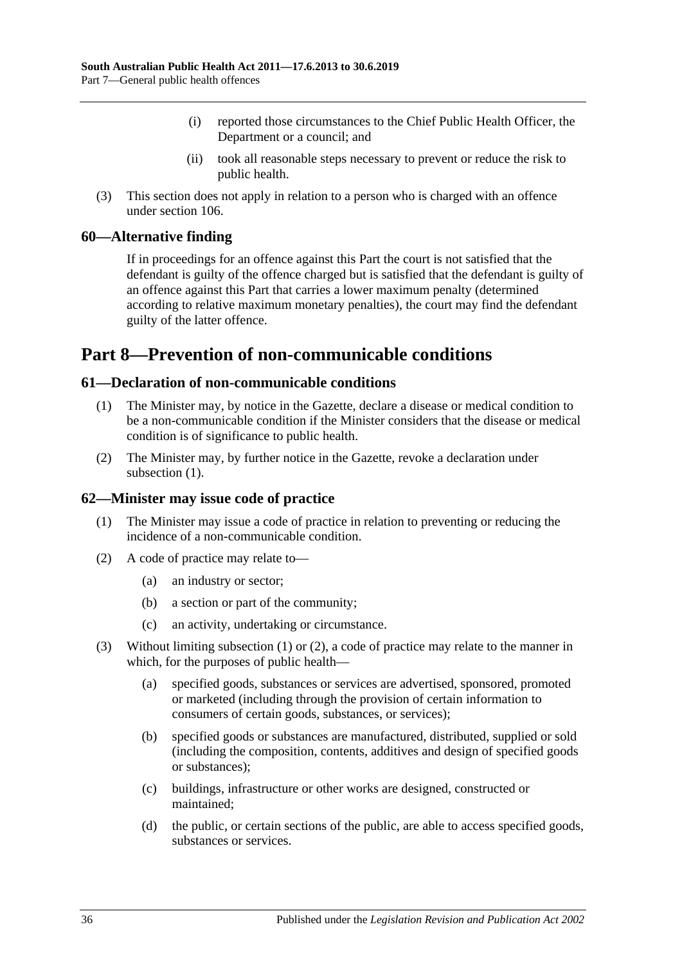- (i) reported those circumstances to the Chief Public Health Officer, the Department or a council; and
- (ii) took all reasonable steps necessary to prevent or reduce the risk to public health.
- (3) This section does not apply in relation to a person who is charged with an offence under [section](#page-69-2) 106.

#### <span id="page-35-0"></span>**60—Alternative finding**

If in proceedings for an offence against this Part the court is not satisfied that the defendant is guilty of the offence charged but is satisfied that the defendant is guilty of an offence against this Part that carries a lower maximum penalty (determined according to relative maximum monetary penalties), the court may find the defendant guilty of the latter offence.

## <span id="page-35-1"></span>**Part 8—Prevention of non-communicable conditions**

#### <span id="page-35-4"></span><span id="page-35-2"></span>**61—Declaration of non-communicable conditions**

- (1) The Minister may, by notice in the Gazette, declare a disease or medical condition to be a non-communicable condition if the Minister considers that the disease or medical condition is of significance to public health.
- (2) The Minister may, by further notice in the Gazette, revoke a declaration under [subsection](#page-35-4)  $(1)$ .

#### <span id="page-35-5"></span><span id="page-35-3"></span>**62—Minister may issue code of practice**

- (1) The Minister may issue a code of practice in relation to preventing or reducing the incidence of a non-communicable condition.
- <span id="page-35-6"></span>(2) A code of practice may relate to—
	- (a) an industry or sector;
	- (b) a section or part of the community;
	- (c) an activity, undertaking or circumstance.
- (3) Without limiting [subsection](#page-35-5) (1) or [\(2\),](#page-35-6) a code of practice may relate to the manner in which, for the purposes of public health—
	- (a) specified goods, substances or services are advertised, sponsored, promoted or marketed (including through the provision of certain information to consumers of certain goods, substances, or services);
	- (b) specified goods or substances are manufactured, distributed, supplied or sold (including the composition, contents, additives and design of specified goods or substances);
	- (c) buildings, infrastructure or other works are designed, constructed or maintained;
	- (d) the public, or certain sections of the public, are able to access specified goods, substances or services.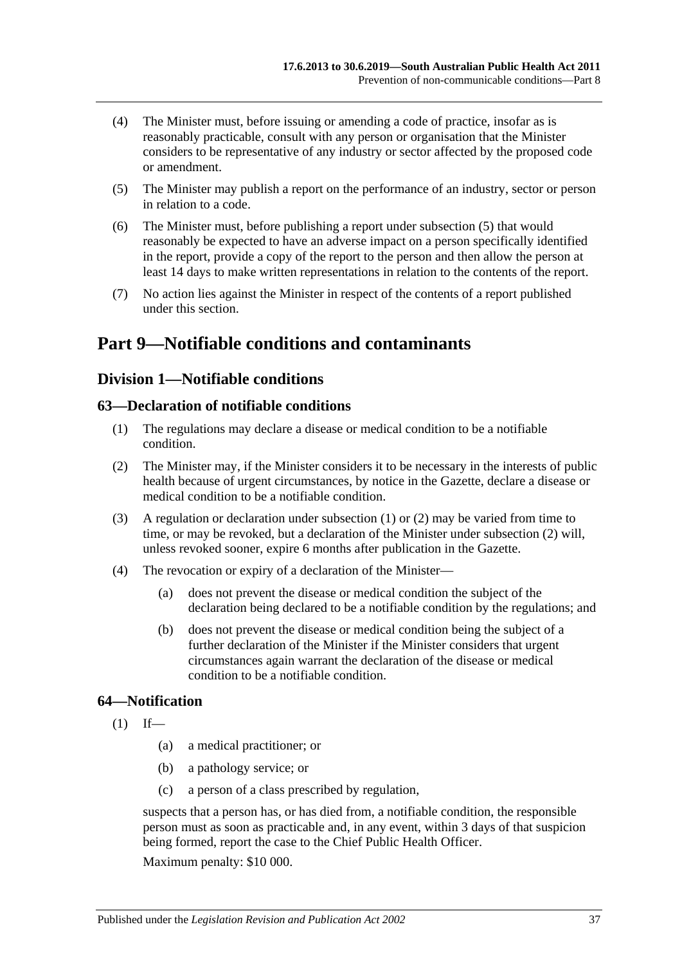- (4) The Minister must, before issuing or amending a code of practice, insofar as is reasonably practicable, consult with any person or organisation that the Minister considers to be representative of any industry or sector affected by the proposed code or amendment.
- <span id="page-36-0"></span>(5) The Minister may publish a report on the performance of an industry, sector or person in relation to a code.
- (6) The Minister must, before publishing a report under [subsection](#page-36-0) (5) that would reasonably be expected to have an adverse impact on a person specifically identified in the report, provide a copy of the report to the person and then allow the person at least 14 days to make written representations in relation to the contents of the report.
- (7) No action lies against the Minister in respect of the contents of a report published under this section.

# **Part 9—Notifiable conditions and contaminants**

# **Division 1—Notifiable conditions**

# <span id="page-36-1"></span>**63—Declaration of notifiable conditions**

- (1) The regulations may declare a disease or medical condition to be a notifiable condition.
- <span id="page-36-2"></span>(2) The Minister may, if the Minister considers it to be necessary in the interests of public health because of urgent circumstances, by notice in the Gazette, declare a disease or medical condition to be a notifiable condition.
- (3) A regulation or declaration under [subsection](#page-36-1) (1) or [\(2\)](#page-36-2) may be varied from time to time, or may be revoked, but a declaration of the Minister under [subsection](#page-36-2) (2) will, unless revoked sooner, expire 6 months after publication in the Gazette.
- (4) The revocation or expiry of a declaration of the Minister—
	- (a) does not prevent the disease or medical condition the subject of the declaration being declared to be a notifiable condition by the regulations; and
	- (b) does not prevent the disease or medical condition being the subject of a further declaration of the Minister if the Minister considers that urgent circumstances again warrant the declaration of the disease or medical condition to be a notifiable condition.

# <span id="page-36-3"></span>**64—Notification**

- $(1)$  If—
	- (a) a medical practitioner; or
	- (b) a pathology service; or
	- (c) a person of a class prescribed by regulation,

suspects that a person has, or has died from, a notifiable condition, the responsible person must as soon as practicable and, in any event, within 3 days of that suspicion being formed, report the case to the Chief Public Health Officer.

Maximum penalty: \$10 000.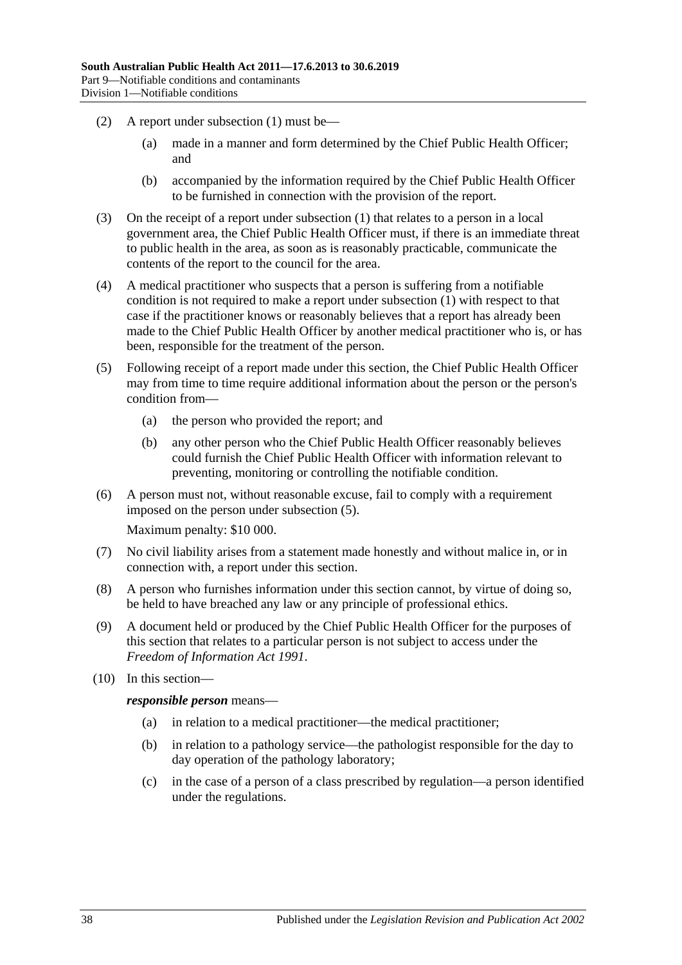- (2) A report under [subsection](#page-36-3) (1) must be—
	- (a) made in a manner and form determined by the Chief Public Health Officer; and
	- (b) accompanied by the information required by the Chief Public Health Officer to be furnished in connection with the provision of the report.
- (3) On the receipt of a report under [subsection](#page-36-3) (1) that relates to a person in a local government area, the Chief Public Health Officer must, if there is an immediate threat to public health in the area, as soon as is reasonably practicable, communicate the contents of the report to the council for the area.
- (4) A medical practitioner who suspects that a person is suffering from a notifiable condition is not required to make a report under [subsection](#page-36-3) (1) with respect to that case if the practitioner knows or reasonably believes that a report has already been made to the Chief Public Health Officer by another medical practitioner who is, or has been, responsible for the treatment of the person.
- <span id="page-37-0"></span>(5) Following receipt of a report made under this section, the Chief Public Health Officer may from time to time require additional information about the person or the person's condition from—
	- (a) the person who provided the report; and
	- (b) any other person who the Chief Public Health Officer reasonably believes could furnish the Chief Public Health Officer with information relevant to preventing, monitoring or controlling the notifiable condition.
- (6) A person must not, without reasonable excuse, fail to comply with a requirement imposed on the person under [subsection](#page-37-0) (5).

Maximum penalty: \$10 000.

- (7) No civil liability arises from a statement made honestly and without malice in, or in connection with, a report under this section.
- (8) A person who furnishes information under this section cannot, by virtue of doing so, be held to have breached any law or any principle of professional ethics.
- (9) A document held or produced by the Chief Public Health Officer for the purposes of this section that relates to a particular person is not subject to access under the *[Freedom of Information Act](http://www.legislation.sa.gov.au/index.aspx?action=legref&type=act&legtitle=Freedom%20of%20Information%20Act%201991) 1991*.
- (10) In this section—

*responsible person* means—

- (a) in relation to a medical practitioner—the medical practitioner;
- (b) in relation to a pathology service—the pathologist responsible for the day to day operation of the pathology laboratory;
- (c) in the case of a person of a class prescribed by regulation—a person identified under the regulations.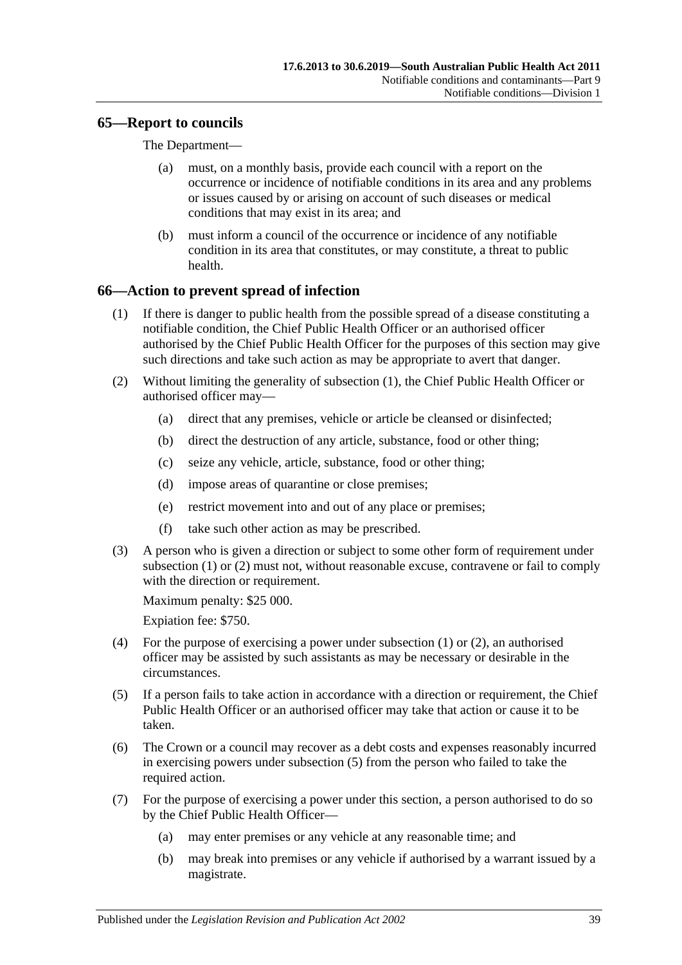# **65—Report to councils**

The Department—

- (a) must, on a monthly basis, provide each council with a report on the occurrence or incidence of notifiable conditions in its area and any problems or issues caused by or arising on account of such diseases or medical conditions that may exist in its area; and
- (b) must inform a council of the occurrence or incidence of any notifiable condition in its area that constitutes, or may constitute, a threat to public health.

# <span id="page-38-0"></span>**66—Action to prevent spread of infection**

- (1) If there is danger to public health from the possible spread of a disease constituting a notifiable condition, the Chief Public Health Officer or an authorised officer authorised by the Chief Public Health Officer for the purposes of this section may give such directions and take such action as may be appropriate to avert that danger.
- <span id="page-38-1"></span>(2) Without limiting the generality of [subsection](#page-38-0) (1), the Chief Public Health Officer or authorised officer may—
	- (a) direct that any premises, vehicle or article be cleansed or disinfected;
	- (b) direct the destruction of any article, substance, food or other thing;
	- (c) seize any vehicle, article, substance, food or other thing;
	- (d) impose areas of quarantine or close premises;
	- (e) restrict movement into and out of any place or premises;
	- (f) take such other action as may be prescribed.
- (3) A person who is given a direction or subject to some other form of requirement under [subsection](#page-38-0) (1) or [\(2\)](#page-38-1) must not, without reasonable excuse, contravene or fail to comply with the direction or requirement.

Maximum penalty: \$25 000.

Expiation fee: \$750.

- (4) For the purpose of exercising a power under [subsection](#page-38-0) (1) or [\(2\),](#page-38-1) an authorised officer may be assisted by such assistants as may be necessary or desirable in the circumstances.
- <span id="page-38-2"></span>(5) If a person fails to take action in accordance with a direction or requirement, the Chief Public Health Officer or an authorised officer may take that action or cause it to be taken.
- (6) The Crown or a council may recover as a debt costs and expenses reasonably incurred in exercising powers under [subsection](#page-38-2) (5) from the person who failed to take the required action.
- <span id="page-38-3"></span>(7) For the purpose of exercising a power under this section, a person authorised to do so by the Chief Public Health Officer—
	- (a) may enter premises or any vehicle at any reasonable time; and
	- (b) may break into premises or any vehicle if authorised by a warrant issued by a magistrate.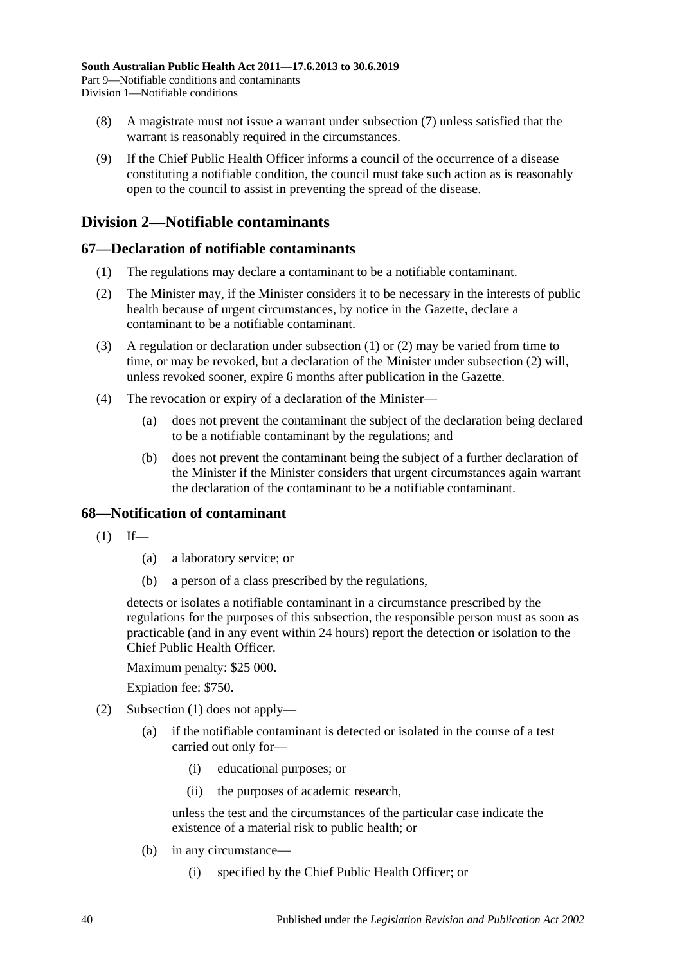- (8) A magistrate must not issue a warrant under [subsection](#page-38-3) (7) unless satisfied that the warrant is reasonably required in the circumstances.
- (9) If the Chief Public Health Officer informs a council of the occurrence of a disease constituting a notifiable condition, the council must take such action as is reasonably open to the council to assist in preventing the spread of the disease.

# **Division 2—Notifiable contaminants**

# <span id="page-39-0"></span>**67—Declaration of notifiable contaminants**

- (1) The regulations may declare a contaminant to be a notifiable contaminant.
- <span id="page-39-1"></span>(2) The Minister may, if the Minister considers it to be necessary in the interests of public health because of urgent circumstances, by notice in the Gazette, declare a contaminant to be a notifiable contaminant.
- (3) A regulation or declaration under [subsection](#page-39-0) (1) or [\(2\)](#page-39-1) may be varied from time to time, or may be revoked, but a declaration of the Minister under [subsection](#page-39-1) (2) will, unless revoked sooner, expire 6 months after publication in the Gazette.
- (4) The revocation or expiry of a declaration of the Minister—
	- (a) does not prevent the contaminant the subject of the declaration being declared to be a notifiable contaminant by the regulations; and
	- (b) does not prevent the contaminant being the subject of a further declaration of the Minister if the Minister considers that urgent circumstances again warrant the declaration of the contaminant to be a notifiable contaminant.

# <span id="page-39-2"></span>**68—Notification of contaminant**

- $(1)$  If—
	- (a) a laboratory service; or
	- (b) a person of a class prescribed by the regulations,

detects or isolates a notifiable contaminant in a circumstance prescribed by the regulations for the purposes of this subsection, the responsible person must as soon as practicable (and in any event within 24 hours) report the detection or isolation to the Chief Public Health Officer.

Maximum penalty: \$25 000.

Expiation fee: \$750.

- <span id="page-39-3"></span>(2) [Subsection](#page-39-2) (1) does not apply—
	- (a) if the notifiable contaminant is detected or isolated in the course of a test carried out only for—
		- (i) educational purposes; or
		- (ii) the purposes of academic research,

unless the test and the circumstances of the particular case indicate the existence of a material risk to public health; or

- (b) in any circumstance—
	- (i) specified by the Chief Public Health Officer; or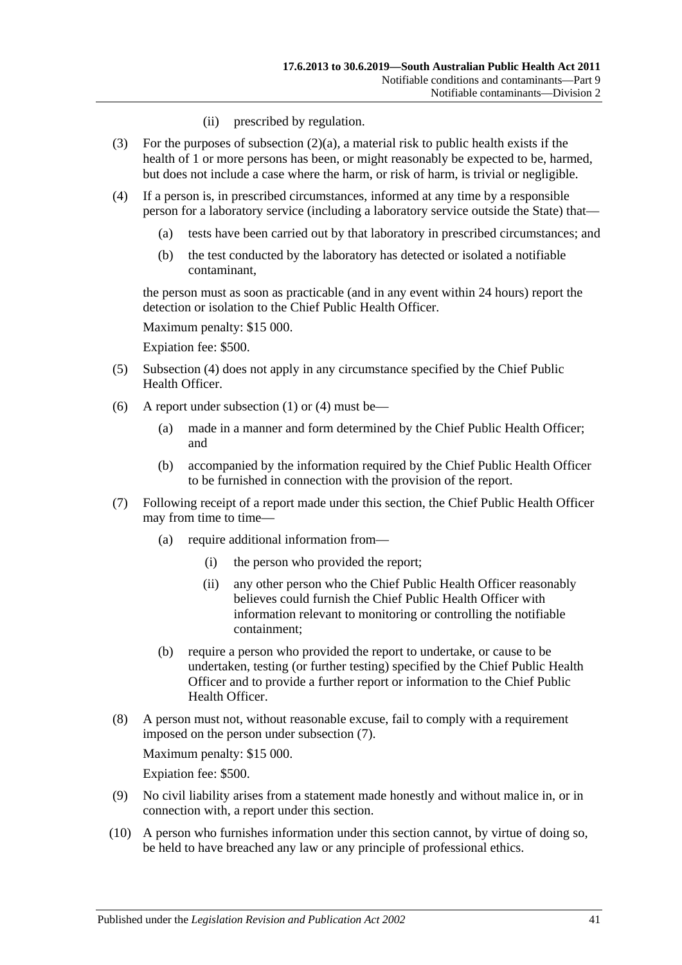- (ii) prescribed by regulation.
- (3) For the purposes of [subsection](#page-39-3)  $(2)(a)$ , a material risk to public health exists if the health of 1 or more persons has been, or might reasonably be expected to be, harmed, but does not include a case where the harm, or risk of harm, is trivial or negligible.
- <span id="page-40-0"></span>(4) If a person is, in prescribed circumstances, informed at any time by a responsible person for a laboratory service (including a laboratory service outside the State) that—
	- (a) tests have been carried out by that laboratory in prescribed circumstances; and
	- (b) the test conducted by the laboratory has detected or isolated a notifiable contaminant,

the person must as soon as practicable (and in any event within 24 hours) report the detection or isolation to the Chief Public Health Officer.

Maximum penalty: \$15 000.

Expiation fee: \$500.

- (5) [Subsection](#page-40-0) (4) does not apply in any circumstance specified by the Chief Public Health Officer.
- (6) A report under [subsection](#page-39-2) (1) or [\(4\)](#page-40-0) must be—
	- (a) made in a manner and form determined by the Chief Public Health Officer; and
	- (b) accompanied by the information required by the Chief Public Health Officer to be furnished in connection with the provision of the report.
- <span id="page-40-1"></span>(7) Following receipt of a report made under this section, the Chief Public Health Officer may from time to time—
	- (a) require additional information from—
		- (i) the person who provided the report;
		- (ii) any other person who the Chief Public Health Officer reasonably believes could furnish the Chief Public Health Officer with information relevant to monitoring or controlling the notifiable containment;
	- (b) require a person who provided the report to undertake, or cause to be undertaken, testing (or further testing) specified by the Chief Public Health Officer and to provide a further report or information to the Chief Public Health Officer.
- (8) A person must not, without reasonable excuse, fail to comply with a requirement imposed on the person under [subsection](#page-40-1) (7).

Maximum penalty: \$15 000.

Expiation fee: \$500.

- (9) No civil liability arises from a statement made honestly and without malice in, or in connection with, a report under this section.
- (10) A person who furnishes information under this section cannot, by virtue of doing so, be held to have breached any law or any principle of professional ethics.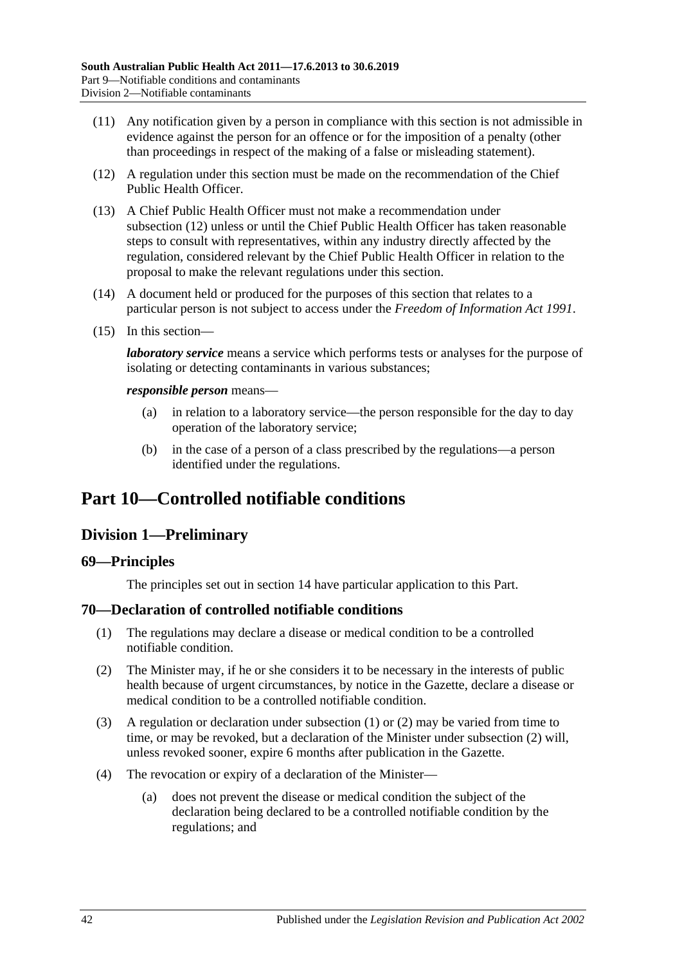- (11) Any notification given by a person in compliance with this section is not admissible in evidence against the person for an offence or for the imposition of a penalty (other than proceedings in respect of the making of a false or misleading statement).
- <span id="page-41-0"></span>(12) A regulation under this section must be made on the recommendation of the Chief Public Health Officer.
- (13) A Chief Public Health Officer must not make a recommendation under [subsection](#page-41-0) (12) unless or until the Chief Public Health Officer has taken reasonable steps to consult with representatives, within any industry directly affected by the regulation, considered relevant by the Chief Public Health Officer in relation to the proposal to make the relevant regulations under this section.
- (14) A document held or produced for the purposes of this section that relates to a particular person is not subject to access under the *[Freedom of Information Act](http://www.legislation.sa.gov.au/index.aspx?action=legref&type=act&legtitle=Freedom%20of%20Information%20Act%201991) 1991*.
- (15) In this section—

*laboratory service* means a service which performs tests or analyses for the purpose of isolating or detecting contaminants in various substances;

#### *responsible person* means—

- (a) in relation to a laboratory service—the person responsible for the day to day operation of the laboratory service;
- (b) in the case of a person of a class prescribed by the regulations—a person identified under the regulations.

# <span id="page-41-3"></span>**Part 10—Controlled notifiable conditions**

# **Division 1—Preliminary**

# **69—Principles**

The principles set out in [section](#page-9-0) 14 have particular application to this Part.

# <span id="page-41-1"></span>**70—Declaration of controlled notifiable conditions**

- (1) The regulations may declare a disease or medical condition to be a controlled notifiable condition.
- <span id="page-41-2"></span>(2) The Minister may, if he or she considers it to be necessary in the interests of public health because of urgent circumstances, by notice in the Gazette, declare a disease or medical condition to be a controlled notifiable condition.
- (3) A regulation or declaration under [subsection](#page-41-1) (1) or [\(2\)](#page-41-2) may be varied from time to time, or may be revoked, but a declaration of the Minister under [subsection](#page-41-2) (2) will, unless revoked sooner, expire 6 months after publication in the Gazette.
- (4) The revocation or expiry of a declaration of the Minister—
	- (a) does not prevent the disease or medical condition the subject of the declaration being declared to be a controlled notifiable condition by the regulations; and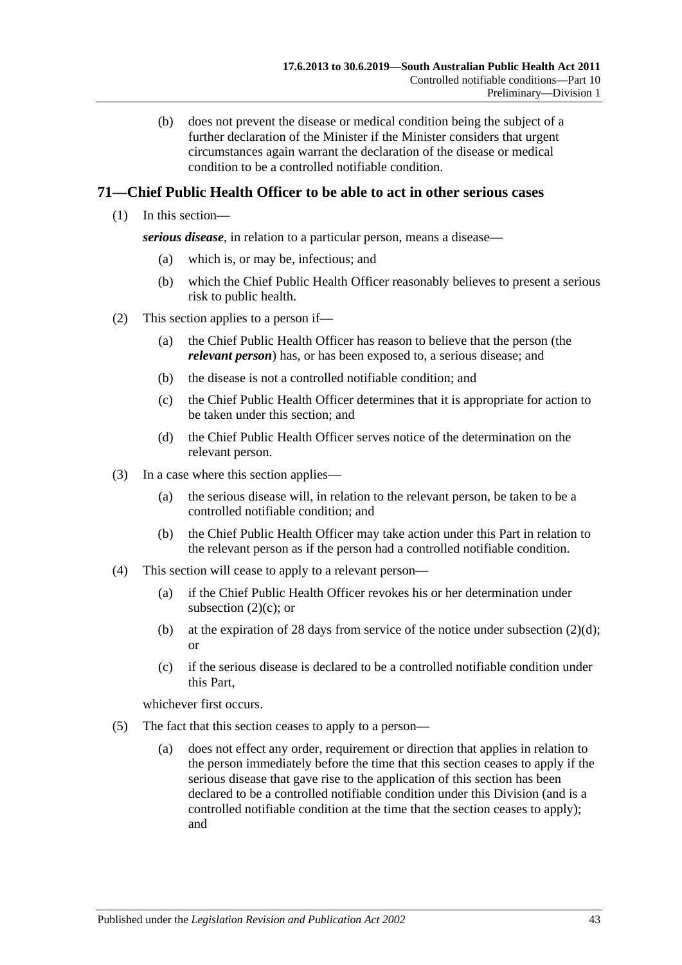(b) does not prevent the disease or medical condition being the subject of a further declaration of the Minister if the Minister considers that urgent circumstances again warrant the declaration of the disease or medical condition to be a controlled notifiable condition.

# **71—Chief Public Health Officer to be able to act in other serious cases**

(1) In this section—

*serious disease*, in relation to a particular person, means a disease—

- (a) which is, or may be, infectious; and
- (b) which the Chief Public Health Officer reasonably believes to present a serious risk to public health.
- <span id="page-42-2"></span><span id="page-42-0"></span>(2) This section applies to a person if—
	- (a) the Chief Public Health Officer has reason to believe that the person (the *relevant person*) has, or has been exposed to, a serious disease; and
	- (b) the disease is not a controlled notifiable condition; and
	- (c) the Chief Public Health Officer determines that it is appropriate for action to be taken under this section; and
	- (d) the Chief Public Health Officer serves notice of the determination on the relevant person.
- <span id="page-42-1"></span>(3) In a case where this section applies—
	- (a) the serious disease will, in relation to the relevant person, be taken to be a controlled notifiable condition; and
	- (b) the Chief Public Health Officer may take action under this Part in relation to the relevant person as if the person had a controlled notifiable condition.
- (4) This section will cease to apply to a relevant person—
	- (a) if the Chief Public Health Officer revokes his or her determination under [subsection](#page-42-0)  $(2)(c)$ ; or
	- (b) at the expiration of 28 days from service of the notice under [subsection](#page-42-1)  $(2)(d)$ ; or
	- (c) if the serious disease is declared to be a controlled notifiable condition under this Part,

whichever first occurs.

- (5) The fact that this section ceases to apply to a person—
	- (a) does not effect any order, requirement or direction that applies in relation to the person immediately before the time that this section ceases to apply if the serious disease that gave rise to the application of this section has been declared to be a controlled notifiable condition under this Division (and is a controlled notifiable condition at the time that the section ceases to apply); and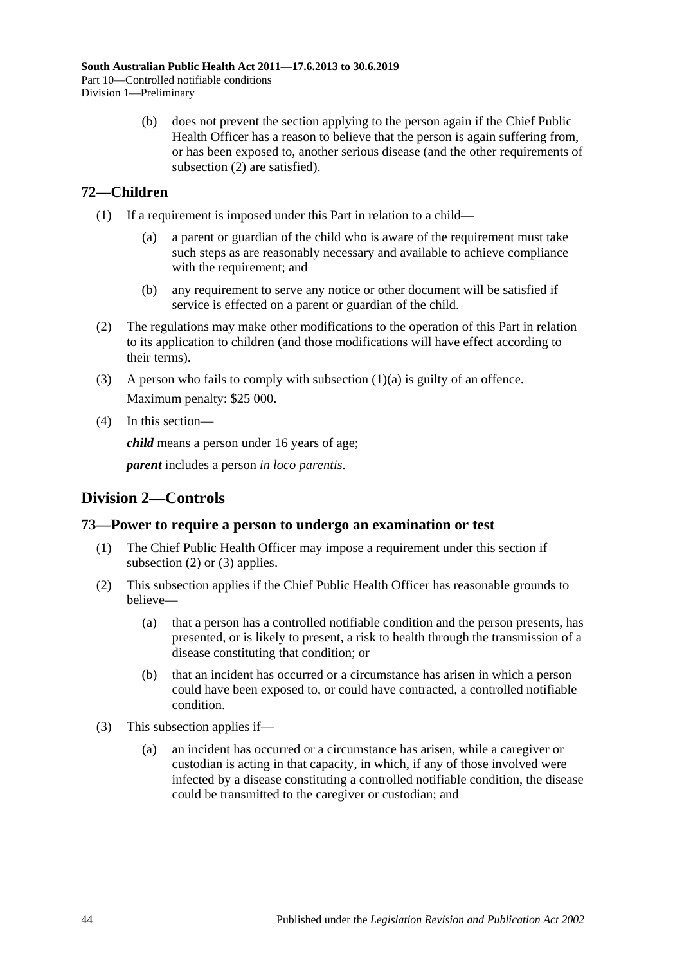(b) does not prevent the section applying to the person again if the Chief Public Health Officer has a reason to believe that the person is again suffering from, or has been exposed to, another serious disease (and the other requirements of [subsection](#page-42-2) (2) are satisfied).

# **72—Children**

- <span id="page-43-0"></span>(1) If a requirement is imposed under this Part in relation to a child—
	- (a) a parent or guardian of the child who is aware of the requirement must take such steps as are reasonably necessary and available to achieve compliance with the requirement; and
	- (b) any requirement to serve any notice or other document will be satisfied if service is effected on a parent or guardian of the child.
- (2) The regulations may make other modifications to the operation of this Part in relation to its application to children (and those modifications will have effect according to their terms).
- (3) A person who fails to comply with [subsection](#page-43-0)  $(1)(a)$  is guilty of an offence. Maximum penalty: \$25 000.
- (4) In this section—

*child* means a person under 16 years of age;

*parent* includes a person *in loco parentis*.

# **Division 2—Controls**

# **73—Power to require a person to undergo an examination or test**

- (1) The Chief Public Health Officer may impose a requirement under this section if [subsection](#page-43-1) (2) or [\(3\)](#page-43-2) applies.
- <span id="page-43-1"></span>(2) This subsection applies if the Chief Public Health Officer has reasonable grounds to believe—
	- (a) that a person has a controlled notifiable condition and the person presents, has presented, or is likely to present, a risk to health through the transmission of a disease constituting that condition; or
	- (b) that an incident has occurred or a circumstance has arisen in which a person could have been exposed to, or could have contracted, a controlled notifiable condition.
- <span id="page-43-2"></span>(3) This subsection applies if—
	- (a) an incident has occurred or a circumstance has arisen, while a caregiver or custodian is acting in that capacity, in which, if any of those involved were infected by a disease constituting a controlled notifiable condition, the disease could be transmitted to the caregiver or custodian; and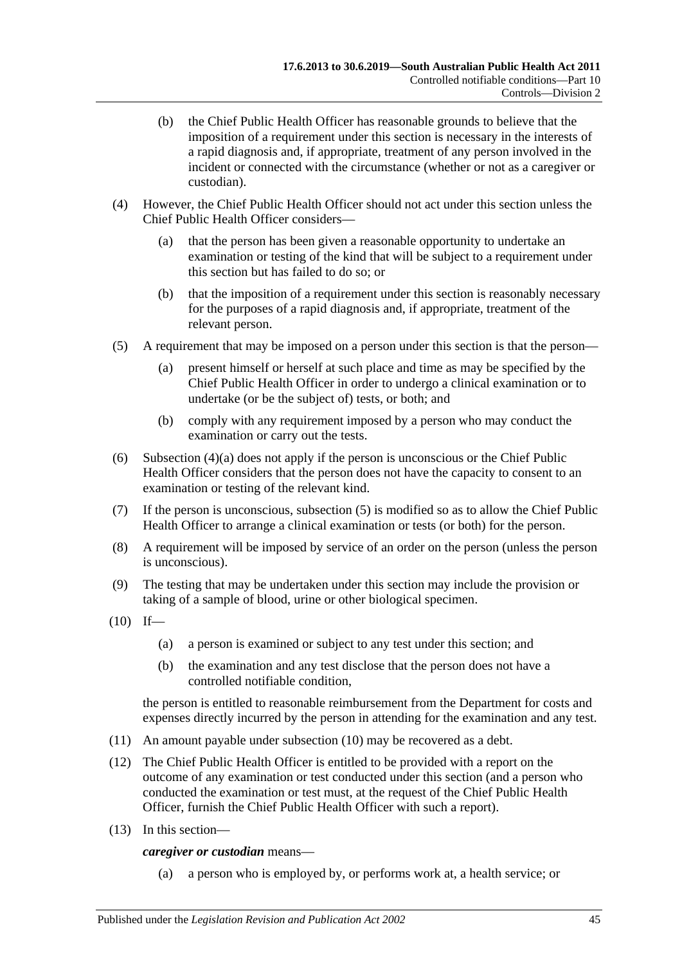- (b) the Chief Public Health Officer has reasonable grounds to believe that the imposition of a requirement under this section is necessary in the interests of a rapid diagnosis and, if appropriate, treatment of any person involved in the incident or connected with the circumstance (whether or not as a caregiver or custodian).
- <span id="page-44-0"></span>(4) However, the Chief Public Health Officer should not act under this section unless the Chief Public Health Officer considers—
	- (a) that the person has been given a reasonable opportunity to undertake an examination or testing of the kind that will be subject to a requirement under this section but has failed to do so; or
	- (b) that the imposition of a requirement under this section is reasonably necessary for the purposes of a rapid diagnosis and, if appropriate, treatment of the relevant person.
- <span id="page-44-1"></span>(5) A requirement that may be imposed on a person under this section is that the person—
	- (a) present himself or herself at such place and time as may be specified by the Chief Public Health Officer in order to undergo a clinical examination or to undertake (or be the subject of) tests, or both; and
	- (b) comply with any requirement imposed by a person who may conduct the examination or carry out the tests.
- (6) [Subsection](#page-44-0) (4)(a) does not apply if the person is unconscious or the Chief Public Health Officer considers that the person does not have the capacity to consent to an examination or testing of the relevant kind.
- (7) If the person is unconscious, [subsection](#page-44-1) (5) is modified so as to allow the Chief Public Health Officer to arrange a clinical examination or tests (or both) for the person.
- (8) A requirement will be imposed by service of an order on the person (unless the person is unconscious).
- (9) The testing that may be undertaken under this section may include the provision or taking of a sample of blood, urine or other biological specimen.
- <span id="page-44-2"></span> $(10)$  If—
	- (a) a person is examined or subject to any test under this section; and
	- (b) the examination and any test disclose that the person does not have a controlled notifiable condition,

the person is entitled to reasonable reimbursement from the Department for costs and expenses directly incurred by the person in attending for the examination and any test.

- (11) An amount payable under [subsection](#page-44-2) (10) may be recovered as a debt.
- (12) The Chief Public Health Officer is entitled to be provided with a report on the outcome of any examination or test conducted under this section (and a person who conducted the examination or test must, at the request of the Chief Public Health Officer, furnish the Chief Public Health Officer with such a report).
- (13) In this section—

*caregiver or custodian* means—

(a) a person who is employed by, or performs work at, a health service; or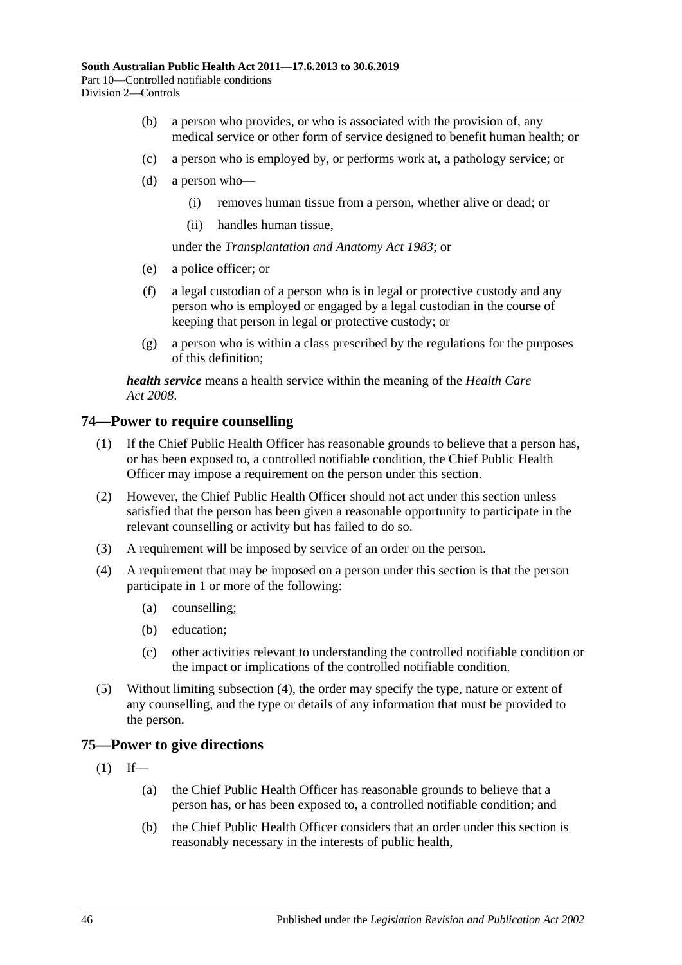- (b) a person who provides, or who is associated with the provision of, any medical service or other form of service designed to benefit human health; or
- (c) a person who is employed by, or performs work at, a pathology service; or
- (d) a person who—
	- (i) removes human tissue from a person, whether alive or dead; or
	- (ii) handles human tissue,

under the *[Transplantation and Anatomy Act](http://www.legislation.sa.gov.au/index.aspx?action=legref&type=act&legtitle=Transplantation%20and%20Anatomy%20Act%201983) 1983*; or

- (e) a police officer; or
- (f) a legal custodian of a person who is in legal or protective custody and any person who is employed or engaged by a legal custodian in the course of keeping that person in legal or protective custody; or
- (g) a person who is within a class prescribed by the regulations for the purposes of this definition;

*health service* means a health service within the meaning of the *[Health Care](http://www.legislation.sa.gov.au/index.aspx?action=legref&type=act&legtitle=Health%20Care%20Act%202008)  Act [2008](http://www.legislation.sa.gov.au/index.aspx?action=legref&type=act&legtitle=Health%20Care%20Act%202008)*.

#### **74—Power to require counselling**

- (1) If the Chief Public Health Officer has reasonable grounds to believe that a person has, or has been exposed to, a controlled notifiable condition, the Chief Public Health Officer may impose a requirement on the person under this section.
- (2) However, the Chief Public Health Officer should not act under this section unless satisfied that the person has been given a reasonable opportunity to participate in the relevant counselling or activity but has failed to do so.
- (3) A requirement will be imposed by service of an order on the person.
- <span id="page-45-0"></span>(4) A requirement that may be imposed on a person under this section is that the person participate in 1 or more of the following:
	- (a) counselling;
	- (b) education;
	- (c) other activities relevant to understanding the controlled notifiable condition or the impact or implications of the controlled notifiable condition.
- (5) Without limiting [subsection](#page-45-0) (4), the order may specify the type, nature or extent of any counselling, and the type or details of any information that must be provided to the person.

#### <span id="page-45-1"></span>**75—Power to give directions**

- $(1)$  If—
	- (a) the Chief Public Health Officer has reasonable grounds to believe that a person has, or has been exposed to, a controlled notifiable condition; and
	- (b) the Chief Public Health Officer considers that an order under this section is reasonably necessary in the interests of public health,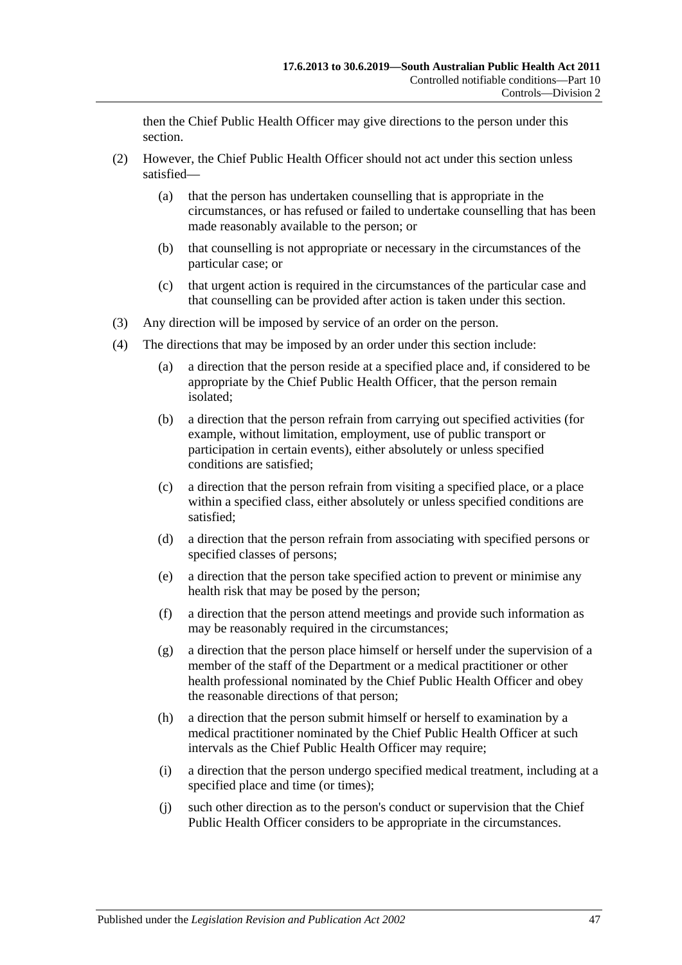then the Chief Public Health Officer may give directions to the person under this section.

- (2) However, the Chief Public Health Officer should not act under this section unless satisfied—
	- (a) that the person has undertaken counselling that is appropriate in the circumstances, or has refused or failed to undertake counselling that has been made reasonably available to the person; or
	- (b) that counselling is not appropriate or necessary in the circumstances of the particular case; or
	- (c) that urgent action is required in the circumstances of the particular case and that counselling can be provided after action is taken under this section.
- (3) Any direction will be imposed by service of an order on the person.
- <span id="page-46-1"></span><span id="page-46-0"></span>(4) The directions that may be imposed by an order under this section include:
	- (a) a direction that the person reside at a specified place and, if considered to be appropriate by the Chief Public Health Officer, that the person remain isolated;
	- (b) a direction that the person refrain from carrying out specified activities (for example, without limitation, employment, use of public transport or participation in certain events), either absolutely or unless specified conditions are satisfied;
	- (c) a direction that the person refrain from visiting a specified place, or a place within a specified class, either absolutely or unless specified conditions are satisfied;
	- (d) a direction that the person refrain from associating with specified persons or specified classes of persons;
	- (e) a direction that the person take specified action to prevent or minimise any health risk that may be posed by the person;
	- (f) a direction that the person attend meetings and provide such information as may be reasonably required in the circumstances;
	- (g) a direction that the person place himself or herself under the supervision of a member of the staff of the Department or a medical practitioner or other health professional nominated by the Chief Public Health Officer and obey the reasonable directions of that person;
	- (h) a direction that the person submit himself or herself to examination by a medical practitioner nominated by the Chief Public Health Officer at such intervals as the Chief Public Health Officer may require;
	- (i) a direction that the person undergo specified medical treatment, including at a specified place and time (or times);
	- (j) such other direction as to the person's conduct or supervision that the Chief Public Health Officer considers to be appropriate in the circumstances.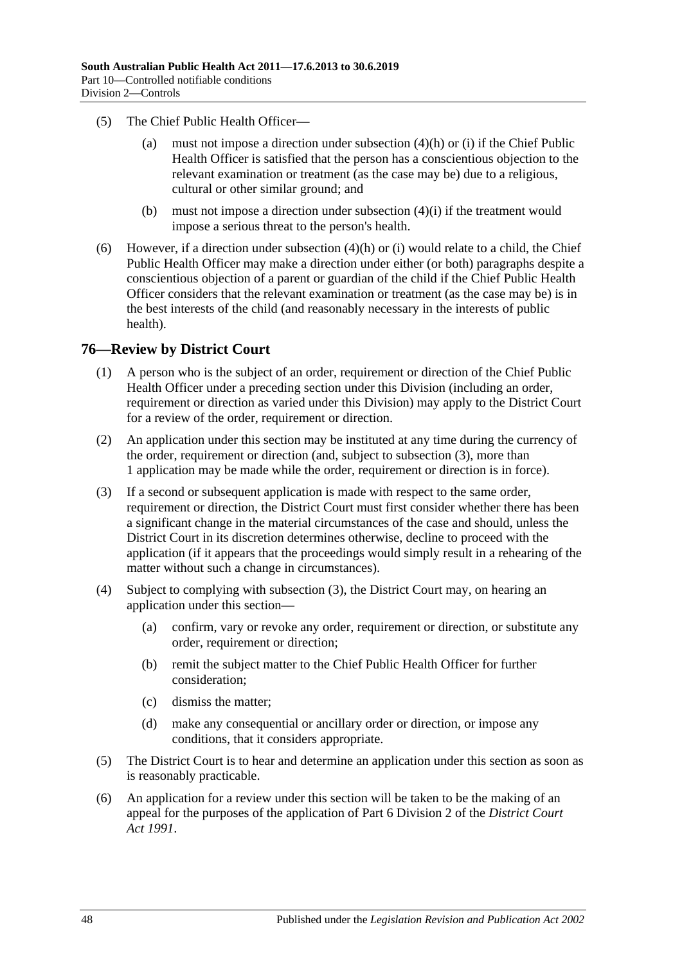- (5) The Chief Public Health Officer—
	- (a) must not impose a direction under [subsection](#page-46-0) (4)(h) or [\(i\)](#page-46-1) if the Chief Public Health Officer is satisfied that the person has a conscientious objection to the relevant examination or treatment (as the case may be) due to a religious, cultural or other similar ground; and
	- (b) must not impose a direction under [subsection](#page-46-1) (4)(i) if the treatment would impose a serious threat to the person's health.
- (6) However, if a direction under [subsection](#page-46-0) (4)(h) or [\(i\)](#page-46-1) would relate to a child, the Chief Public Health Officer may make a direction under either (or both) paragraphs despite a conscientious objection of a parent or guardian of the child if the Chief Public Health Officer considers that the relevant examination or treatment (as the case may be) is in the best interests of the child (and reasonably necessary in the interests of public health).

### **76—Review by District Court**

- (1) A person who is the subject of an order, requirement or direction of the Chief Public Health Officer under a preceding section under this Division (including an order, requirement or direction as varied under this Division) may apply to the District Court for a review of the order, requirement or direction.
- (2) An application under this section may be instituted at any time during the currency of the order, requirement or direction (and, subject to [subsection](#page-47-0) (3), more than 1 application may be made while the order, requirement or direction is in force).
- <span id="page-47-0"></span>(3) If a second or subsequent application is made with respect to the same order, requirement or direction, the District Court must first consider whether there has been a significant change in the material circumstances of the case and should, unless the District Court in its discretion determines otherwise, decline to proceed with the application (if it appears that the proceedings would simply result in a rehearing of the matter without such a change in circumstances).
- (4) Subject to complying with [subsection](#page-47-0) (3), the District Court may, on hearing an application under this section—
	- (a) confirm, vary or revoke any order, requirement or direction, or substitute any order, requirement or direction;
	- (b) remit the subject matter to the Chief Public Health Officer for further consideration;
	- (c) dismiss the matter;
	- (d) make any consequential or ancillary order or direction, or impose any conditions, that it considers appropriate.
- (5) The District Court is to hear and determine an application under this section as soon as is reasonably practicable.
- (6) An application for a review under this section will be taken to be the making of an appeal for the purposes of the application of Part 6 Division 2 of the *[District Court](http://www.legislation.sa.gov.au/index.aspx?action=legref&type=act&legtitle=District%20Court%20Act%201991)  Act [1991](http://www.legislation.sa.gov.au/index.aspx?action=legref&type=act&legtitle=District%20Court%20Act%201991)*.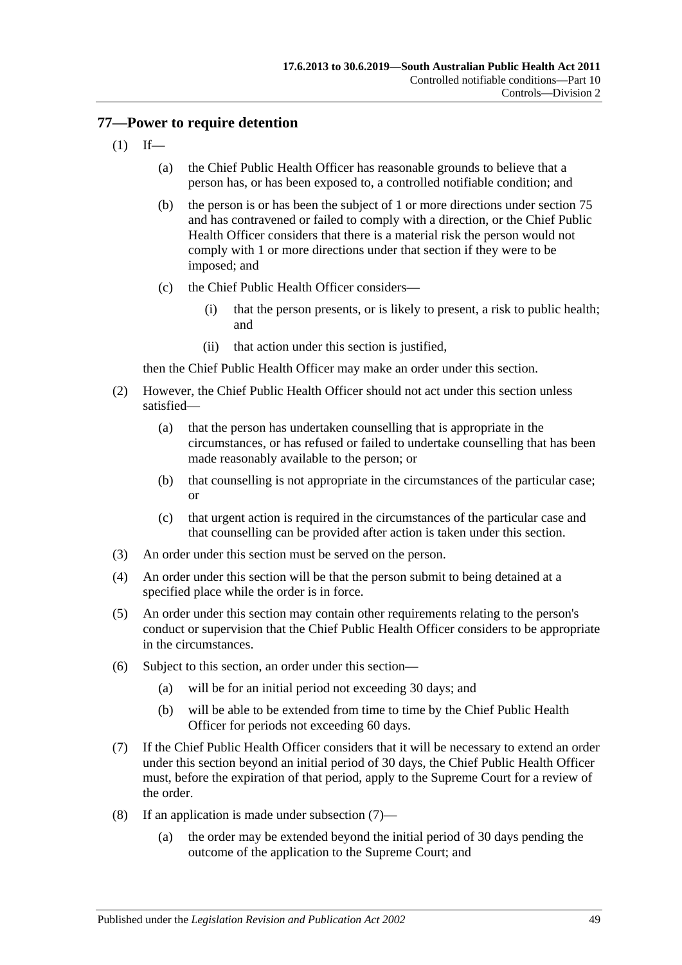# <span id="page-48-2"></span>**77—Power to require detention**

- $(1)$  If—
	- (a) the Chief Public Health Officer has reasonable grounds to believe that a person has, or has been exposed to, a controlled notifiable condition; and
	- (b) the person is or has been the subject of 1 or more directions under [section](#page-45-1) 75 and has contravened or failed to comply with a direction, or the Chief Public Health Officer considers that there is a material risk the person would not comply with 1 or more directions under that section if they were to be imposed; and
	- (c) the Chief Public Health Officer considers—
		- (i) that the person presents, or is likely to present, a risk to public health; and
		- (ii) that action under this section is justified,

then the Chief Public Health Officer may make an order under this section.

- (2) However, the Chief Public Health Officer should not act under this section unless satisfied—
	- (a) that the person has undertaken counselling that is appropriate in the circumstances, or has refused or failed to undertake counselling that has been made reasonably available to the person; or
	- (b) that counselling is not appropriate in the circumstances of the particular case; or
	- (c) that urgent action is required in the circumstances of the particular case and that counselling can be provided after action is taken under this section.
- (3) An order under this section must be served on the person.
- (4) An order under this section will be that the person submit to being detained at a specified place while the order is in force.
- (5) An order under this section may contain other requirements relating to the person's conduct or supervision that the Chief Public Health Officer considers to be appropriate in the circumstances.
- (6) Subject to this section, an order under this section—
	- (a) will be for an initial period not exceeding 30 days; and
	- (b) will be able to be extended from time to time by the Chief Public Health Officer for periods not exceeding 60 days.
- <span id="page-48-0"></span>(7) If the Chief Public Health Officer considers that it will be necessary to extend an order under this section beyond an initial period of 30 days, the Chief Public Health Officer must, before the expiration of that period, apply to the Supreme Court for a review of the order.
- <span id="page-48-1"></span>(8) If an application is made under [subsection](#page-48-0) (7)—
	- (a) the order may be extended beyond the initial period of 30 days pending the outcome of the application to the Supreme Court; and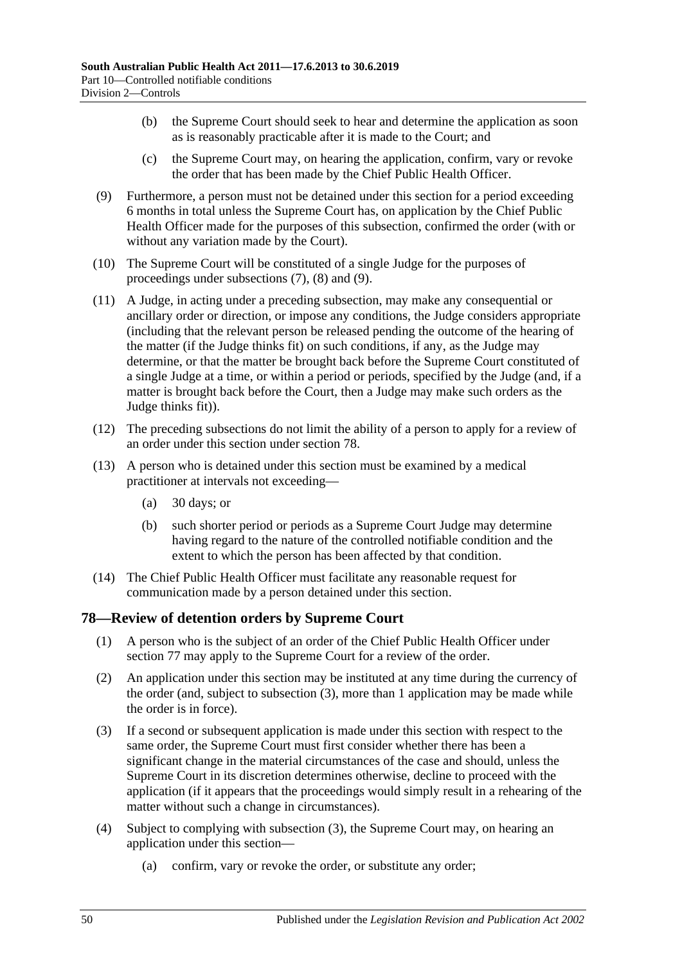- (b) the Supreme Court should seek to hear and determine the application as soon as is reasonably practicable after it is made to the Court; and
- (c) the Supreme Court may, on hearing the application, confirm, vary or revoke the order that has been made by the Chief Public Health Officer.
- <span id="page-49-0"></span>(9) Furthermore, a person must not be detained under this section for a period exceeding 6 months in total unless the Supreme Court has, on application by the Chief Public Health Officer made for the purposes of this subsection, confirmed the order (with or without any variation made by the Court).
- (10) The Supreme Court will be constituted of a single Judge for the purposes of proceedings under [subsections](#page-48-0) (7), [\(8\)](#page-48-1) and [\(9\).](#page-49-0)
- (11) A Judge, in acting under a preceding subsection, may make any consequential or ancillary order or direction, or impose any conditions, the Judge considers appropriate (including that the relevant person be released pending the outcome of the hearing of the matter (if the Judge thinks fit) on such conditions, if any, as the Judge may determine, or that the matter be brought back before the Supreme Court constituted of a single Judge at a time, or within a period or periods, specified by the Judge (and, if a matter is brought back before the Court, then a Judge may make such orders as the Judge thinks fit)).
- (12) The preceding subsections do not limit the ability of a person to apply for a review of an order under this section under [section](#page-49-1) 78.
- (13) A person who is detained under this section must be examined by a medical practitioner at intervals not exceeding—
	- (a) 30 days; or
	- (b) such shorter period or periods as a Supreme Court Judge may determine having regard to the nature of the controlled notifiable condition and the extent to which the person has been affected by that condition.
- (14) The Chief Public Health Officer must facilitate any reasonable request for communication made by a person detained under this section.

# <span id="page-49-1"></span>**78—Review of detention orders by Supreme Court**

- (1) A person who is the subject of an order of the Chief Public Health Officer under [section](#page-48-2) 77 may apply to the Supreme Court for a review of the order.
- (2) An application under this section may be instituted at any time during the currency of the order (and, subject to [subsection](#page-49-2) (3), more than 1 application may be made while the order is in force).
- <span id="page-49-2"></span>(3) If a second or subsequent application is made under this section with respect to the same order, the Supreme Court must first consider whether there has been a significant change in the material circumstances of the case and should, unless the Supreme Court in its discretion determines otherwise, decline to proceed with the application (if it appears that the proceedings would simply result in a rehearing of the matter without such a change in circumstances).
- (4) Subject to complying with [subsection](#page-49-2) (3), the Supreme Court may, on hearing an application under this section—
	- (a) confirm, vary or revoke the order, or substitute any order;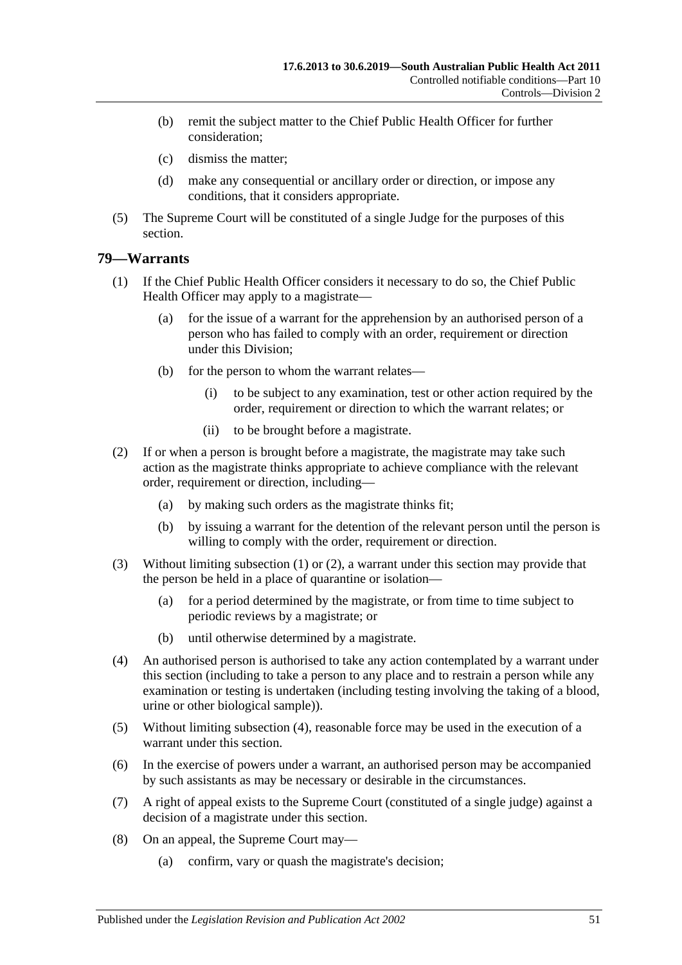- (b) remit the subject matter to the Chief Public Health Officer for further consideration;
- (c) dismiss the matter;
- (d) make any consequential or ancillary order or direction, or impose any conditions, that it considers appropriate.
- (5) The Supreme Court will be constituted of a single Judge for the purposes of this section.

### <span id="page-50-0"></span>**79—Warrants**

- (1) If the Chief Public Health Officer considers it necessary to do so, the Chief Public Health Officer may apply to a magistrate—
	- (a) for the issue of a warrant for the apprehension by an authorised person of a person who has failed to comply with an order, requirement or direction under this Division;
	- (b) for the person to whom the warrant relates—
		- (i) to be subject to any examination, test or other action required by the order, requirement or direction to which the warrant relates; or
		- (ii) to be brought before a magistrate.
- <span id="page-50-1"></span>(2) If or when a person is brought before a magistrate, the magistrate may take such action as the magistrate thinks appropriate to achieve compliance with the relevant order, requirement or direction, including—
	- (a) by making such orders as the magistrate thinks fit;
	- (b) by issuing a warrant for the detention of the relevant person until the person is willing to comply with the order, requirement or direction.
- (3) Without limiting [subsection](#page-50-0) (1) or [\(2\),](#page-50-1) a warrant under this section may provide that the person be held in a place of quarantine or isolation—
	- (a) for a period determined by the magistrate, or from time to time subject to periodic reviews by a magistrate; or
	- (b) until otherwise determined by a magistrate.
- <span id="page-50-2"></span>(4) An authorised person is authorised to take any action contemplated by a warrant under this section (including to take a person to any place and to restrain a person while any examination or testing is undertaken (including testing involving the taking of a blood, urine or other biological sample)).
- (5) Without limiting [subsection](#page-50-2) (4), reasonable force may be used in the execution of a warrant under this section.
- (6) In the exercise of powers under a warrant, an authorised person may be accompanied by such assistants as may be necessary or desirable in the circumstances.
- (7) A right of appeal exists to the Supreme Court (constituted of a single judge) against a decision of a magistrate under this section.
- (8) On an appeal, the Supreme Court may—
	- (a) confirm, vary or quash the magistrate's decision;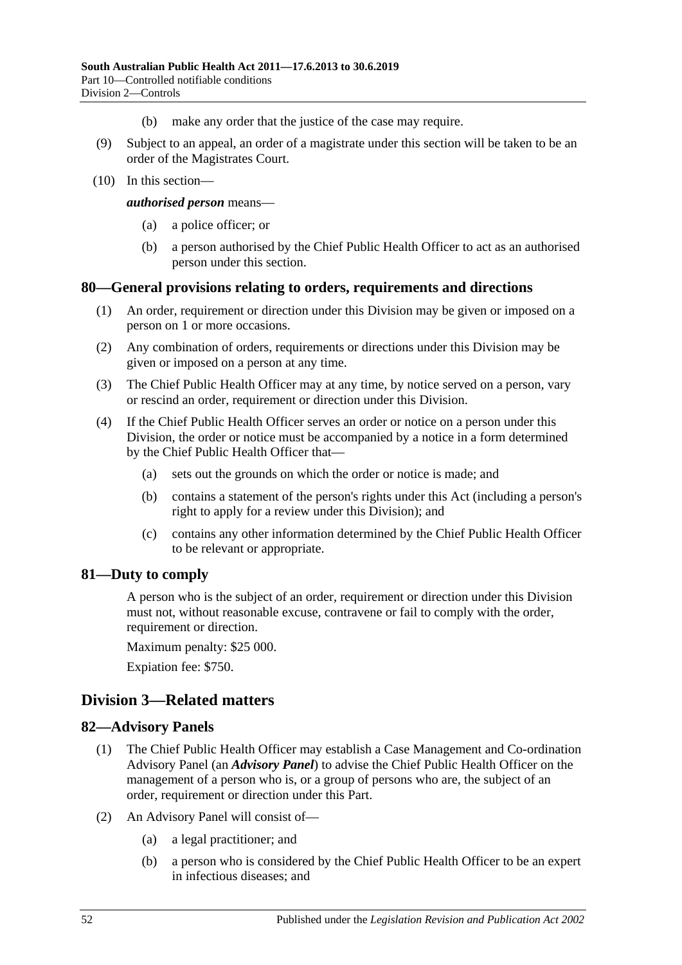- (b) make any order that the justice of the case may require.
- (9) Subject to an appeal, an order of a magistrate under this section will be taken to be an order of the Magistrates Court.
- (10) In this section—

*authorised person* means—

- (a) a police officer; or
- (b) a person authorised by the Chief Public Health Officer to act as an authorised person under this section.

#### **80—General provisions relating to orders, requirements and directions**

- (1) An order, requirement or direction under this Division may be given or imposed on a person on 1 or more occasions.
- (2) Any combination of orders, requirements or directions under this Division may be given or imposed on a person at any time.
- (3) The Chief Public Health Officer may at any time, by notice served on a person, vary or rescind an order, requirement or direction under this Division.
- (4) If the Chief Public Health Officer serves an order or notice on a person under this Division, the order or notice must be accompanied by a notice in a form determined by the Chief Public Health Officer that—
	- (a) sets out the grounds on which the order or notice is made; and
	- (b) contains a statement of the person's rights under this Act (including a person's right to apply for a review under this Division); and
	- (c) contains any other information determined by the Chief Public Health Officer to be relevant or appropriate.

### **81—Duty to comply**

A person who is the subject of an order, requirement or direction under this Division must not, without reasonable excuse, contravene or fail to comply with the order, requirement or direction.

Maximum penalty: \$25 000.

Expiation fee: \$750.

# **Division 3—Related matters**

#### **82—Advisory Panels**

- (1) The Chief Public Health Officer may establish a Case Management and Co-ordination Advisory Panel (an *Advisory Panel*) to advise the Chief Public Health Officer on the management of a person who is, or a group of persons who are, the subject of an order, requirement or direction under this Part.
- (2) An Advisory Panel will consist of—
	- (a) a legal practitioner; and
	- (b) a person who is considered by the Chief Public Health Officer to be an expert in infectious diseases; and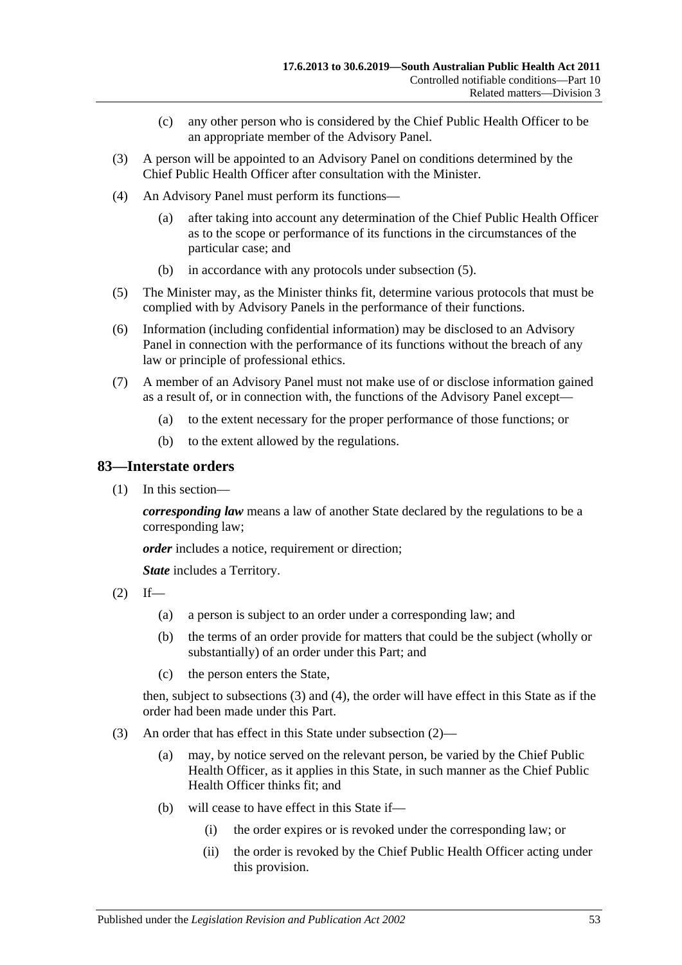- (c) any other person who is considered by the Chief Public Health Officer to be an appropriate member of the Advisory Panel.
- (3) A person will be appointed to an Advisory Panel on conditions determined by the Chief Public Health Officer after consultation with the Minister.
- (4) An Advisory Panel must perform its functions—
	- (a) after taking into account any determination of the Chief Public Health Officer as to the scope or performance of its functions in the circumstances of the particular case; and
	- (b) in accordance with any protocols under [subsection](#page-52-0) (5).
- <span id="page-52-0"></span>(5) The Minister may, as the Minister thinks fit, determine various protocols that must be complied with by Advisory Panels in the performance of their functions.
- (6) Information (including confidential information) may be disclosed to an Advisory Panel in connection with the performance of its functions without the breach of any law or principle of professional ethics.
- (7) A member of an Advisory Panel must not make use of or disclose information gained as a result of, or in connection with, the functions of the Advisory Panel except—
	- (a) to the extent necessary for the proper performance of those functions; or
	- (b) to the extent allowed by the regulations.

#### **83—Interstate orders**

(1) In this section—

*corresponding law* means a law of another State declared by the regulations to be a corresponding law;

*order* includes a notice, requirement or direction;

*State* includes a Territory.

- <span id="page-52-2"></span> $(2)$  If—
	- (a) a person is subject to an order under a corresponding law; and
	- (b) the terms of an order provide for matters that could be the subject (wholly or substantially) of an order under this Part; and
	- (c) the person enters the State,

then, subject to [subsections](#page-52-1) (3) and [\(4\),](#page-53-0) the order will have effect in this State as if the order had been made under this Part.

- <span id="page-52-1"></span>(3) An order that has effect in this State under [subsection](#page-52-2) (2)—
	- (a) may, by notice served on the relevant person, be varied by the Chief Public Health Officer, as it applies in this State, in such manner as the Chief Public Health Officer thinks fit: and
	- (b) will cease to have effect in this State if—
		- (i) the order expires or is revoked under the corresponding law; or
		- (ii) the order is revoked by the Chief Public Health Officer acting under this provision.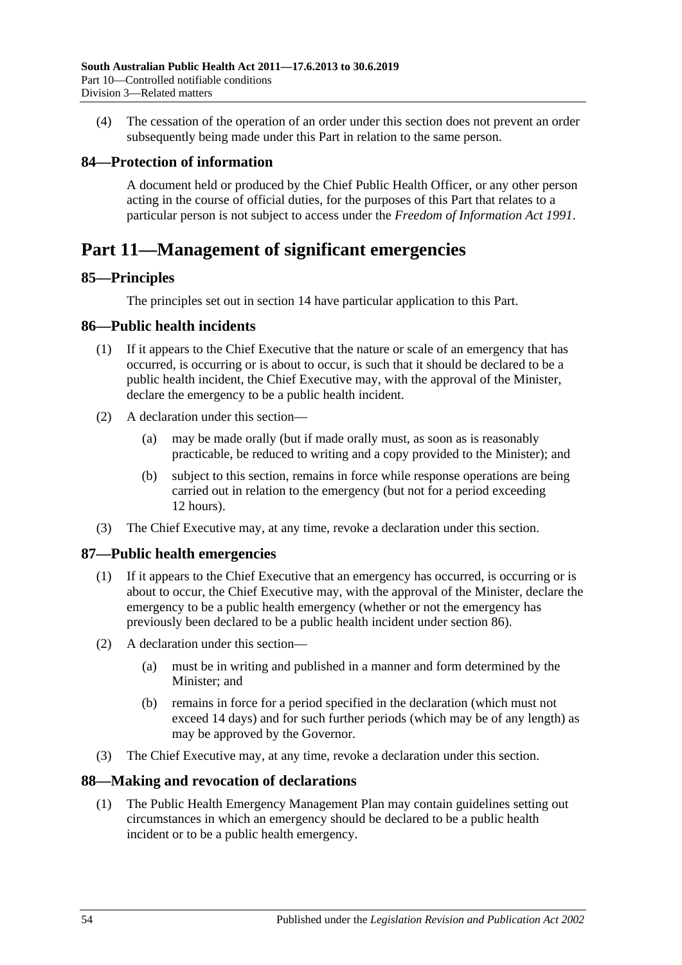<span id="page-53-0"></span>(4) The cessation of the operation of an order under this section does not prevent an order subsequently being made under this Part in relation to the same person.

# **84—Protection of information**

A document held or produced by the Chief Public Health Officer, or any other person acting in the course of official duties, for the purposes of this Part that relates to a particular person is not subject to access under the *[Freedom of Information Act](http://www.legislation.sa.gov.au/index.aspx?action=legref&type=act&legtitle=Freedom%20of%20Information%20Act%201991) 1991*.

# **Part 11—Management of significant emergencies**

# **85—Principles**

The principles set out in [section](#page-9-0) 14 have particular application to this Part.

# <span id="page-53-1"></span>**86—Public health incidents**

- (1) If it appears to the Chief Executive that the nature or scale of an emergency that has occurred, is occurring or is about to occur, is such that it should be declared to be a public health incident, the Chief Executive may, with the approval of the Minister, declare the emergency to be a public health incident.
- (2) A declaration under this section—
	- (a) may be made orally (but if made orally must, as soon as is reasonably practicable, be reduced to writing and a copy provided to the Minister); and
	- (b) subject to this section, remains in force while response operations are being carried out in relation to the emergency (but not for a period exceeding 12 hours).
- (3) The Chief Executive may, at any time, revoke a declaration under this section.

# **87—Public health emergencies**

- (1) If it appears to the Chief Executive that an emergency has occurred, is occurring or is about to occur, the Chief Executive may, with the approval of the Minister, declare the emergency to be a public health emergency (whether or not the emergency has previously been declared to be a public health incident under [section](#page-53-1) 86).
- (2) A declaration under this section—
	- (a) must be in writing and published in a manner and form determined by the Minister; and
	- (b) remains in force for a period specified in the declaration (which must not exceed 14 days) and for such further periods (which may be of any length) as may be approved by the Governor.
- (3) The Chief Executive may, at any time, revoke a declaration under this section.

# **88—Making and revocation of declarations**

(1) The Public Health Emergency Management Plan may contain guidelines setting out circumstances in which an emergency should be declared to be a public health incident or to be a public health emergency.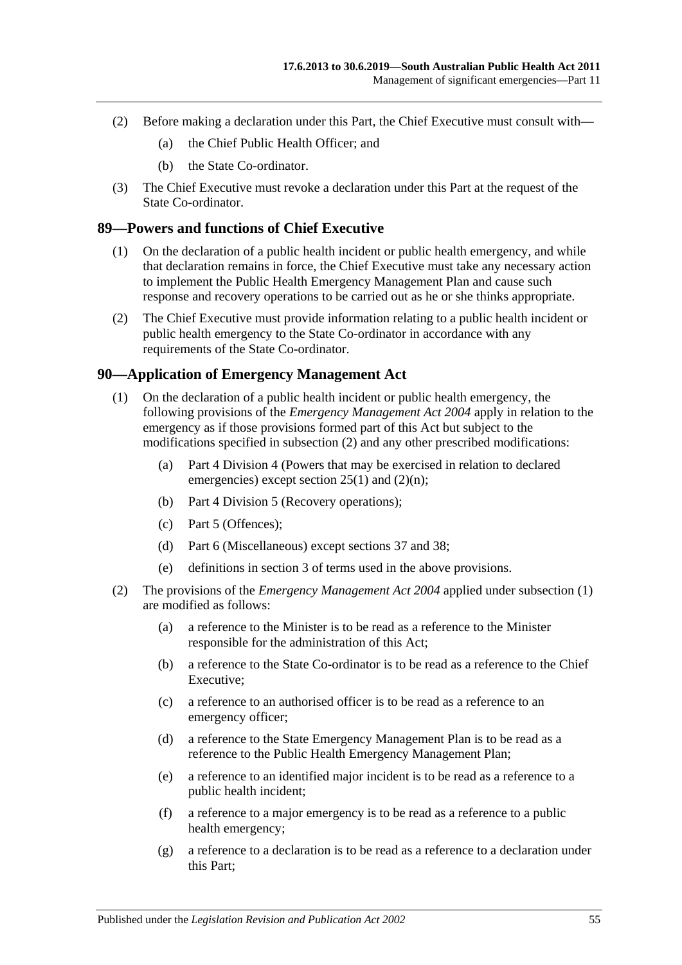- (2) Before making a declaration under this Part, the Chief Executive must consult with—
	- (a) the Chief Public Health Officer; and
	- (b) the State Co-ordinator.
- (3) The Chief Executive must revoke a declaration under this Part at the request of the State Co-ordinator.

### <span id="page-54-2"></span>**89—Powers and functions of Chief Executive**

- (1) On the declaration of a public health incident or public health emergency, and while that declaration remains in force, the Chief Executive must take any necessary action to implement the Public Health Emergency Management Plan and cause such response and recovery operations to be carried out as he or she thinks appropriate.
- (2) The Chief Executive must provide information relating to a public health incident or public health emergency to the State Co-ordinator in accordance with any requirements of the State Co-ordinator.

### <span id="page-54-1"></span>**90—Application of Emergency Management Act**

- (1) On the declaration of a public health incident or public health emergency, the following provisions of the *[Emergency Management Act](http://www.legislation.sa.gov.au/index.aspx?action=legref&type=act&legtitle=Emergency%20Management%20Act%202004) 2004* apply in relation to the emergency as if those provisions formed part of this Act but subject to the modifications specified in [subsection](#page-54-0) (2) and any other prescribed modifications:
	- (a) Part 4 Division 4 (Powers that may be exercised in relation to declared emergencies) except section 25(1) and (2)(n);
	- (b) Part 4 Division 5 (Recovery operations);
	- (c) Part 5 (Offences);
	- (d) Part 6 (Miscellaneous) except sections 37 and 38;
	- (e) definitions in section 3 of terms used in the above provisions.
- <span id="page-54-0"></span>(2) The provisions of the *[Emergency Management Act](http://www.legislation.sa.gov.au/index.aspx?action=legref&type=act&legtitle=Emergency%20Management%20Act%202004) 2004* applied under [subsection](#page-54-1) (1) are modified as follows:
	- (a) a reference to the Minister is to be read as a reference to the Minister responsible for the administration of this Act;
	- (b) a reference to the State Co-ordinator is to be read as a reference to the Chief Executive;
	- (c) a reference to an authorised officer is to be read as a reference to an emergency officer;
	- (d) a reference to the State Emergency Management Plan is to be read as a reference to the Public Health Emergency Management Plan;
	- (e) a reference to an identified major incident is to be read as a reference to a public health incident;
	- (f) a reference to a major emergency is to be read as a reference to a public health emergency;
	- (g) a reference to a declaration is to be read as a reference to a declaration under this Part;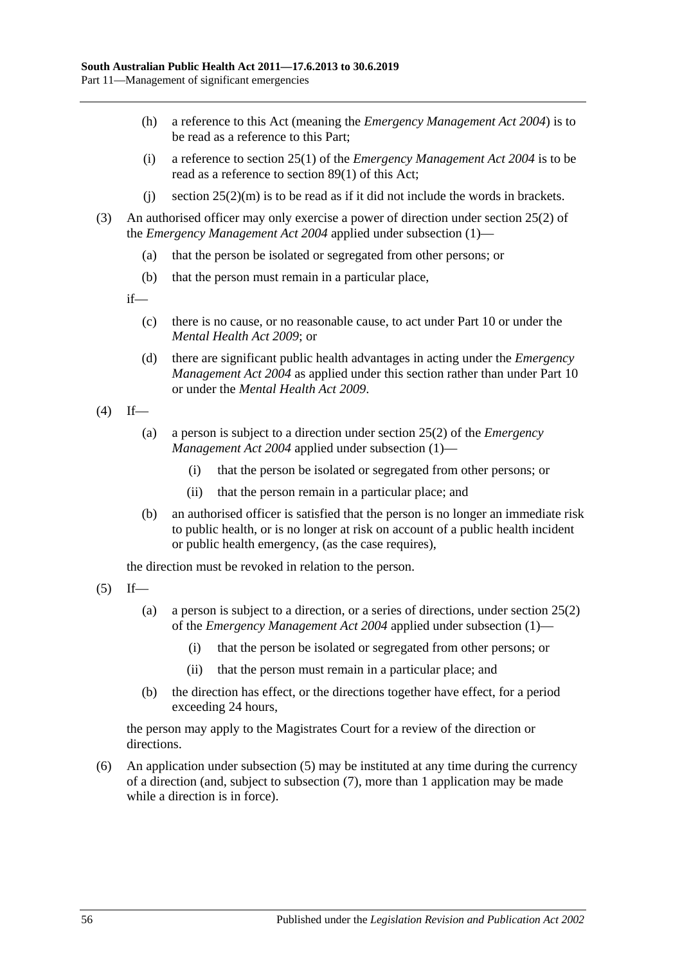- (h) a reference to this Act (meaning the *[Emergency Management Act](http://www.legislation.sa.gov.au/index.aspx?action=legref&type=act&legtitle=Emergency%20Management%20Act%202004) 2004*) is to be read as a reference to this Part;
- (i) a reference to section 25(1) of the *[Emergency Management Act](http://www.legislation.sa.gov.au/index.aspx?action=legref&type=act&legtitle=Emergency%20Management%20Act%202004) 2004* is to be read as a reference to [section](#page-54-2) 89(1) of this Act;
- (i) section  $25(2)(m)$  is to be read as if it did not include the words in brackets.
- (3) An authorised officer may only exercise a power of direction under section 25(2) of the *[Emergency Management Act](http://www.legislation.sa.gov.au/index.aspx?action=legref&type=act&legtitle=Emergency%20Management%20Act%202004) 2004* applied under [subsection](#page-54-1) (1)—
	- (a) that the person be isolated or segregated from other persons; or
	- (b) that the person must remain in a particular place,

if—

- (c) there is no cause, or no reasonable cause, to act under [Part](#page-41-3) 10 or under the *[Mental Health Act](http://www.legislation.sa.gov.au/index.aspx?action=legref&type=act&legtitle=Mental%20Health%20Act%202009) 2009*; or
- (d) there are significant public health advantages in acting under the *[Emergency](http://www.legislation.sa.gov.au/index.aspx?action=legref&type=act&legtitle=Emergency%20Management%20Act%202004)  [Management Act](http://www.legislation.sa.gov.au/index.aspx?action=legref&type=act&legtitle=Emergency%20Management%20Act%202004) 2004* as applied under this section rather than under [Part](#page-41-3) 10 or under the *[Mental Health Act](http://www.legislation.sa.gov.au/index.aspx?action=legref&type=act&legtitle=Mental%20Health%20Act%202009) 2009*.
- $(4)$  If—
	- (a) a person is subject to a direction under section 25(2) of the *[Emergency](http://www.legislation.sa.gov.au/index.aspx?action=legref&type=act&legtitle=Emergency%20Management%20Act%202004)  [Management Act](http://www.legislation.sa.gov.au/index.aspx?action=legref&type=act&legtitle=Emergency%20Management%20Act%202004) 2004* applied under [subsection](#page-54-1) (1)—
		- (i) that the person be isolated or segregated from other persons; or
		- (ii) that the person remain in a particular place; and
	- (b) an authorised officer is satisfied that the person is no longer an immediate risk to public health, or is no longer at risk on account of a public health incident or public health emergency, (as the case requires),

the direction must be revoked in relation to the person.

<span id="page-55-0"></span> $(5)$  If—

- (a) a person is subject to a direction, or a series of directions, under section 25(2) of the *[Emergency Management Act](http://www.legislation.sa.gov.au/index.aspx?action=legref&type=act&legtitle=Emergency%20Management%20Act%202004) 2004* applied under [subsection](#page-54-1) (1)—
	- (i) that the person be isolated or segregated from other persons; or
	- (ii) that the person must remain in a particular place; and
- (b) the direction has effect, or the directions together have effect, for a period exceeding 24 hours,

the person may apply to the Magistrates Court for a review of the direction or directions.

(6) An application under [subsection](#page-55-0) (5) may be instituted at any time during the currency of a direction (and, subject to [subsection](#page-56-0) (7), more than 1 application may be made while a direction is in force).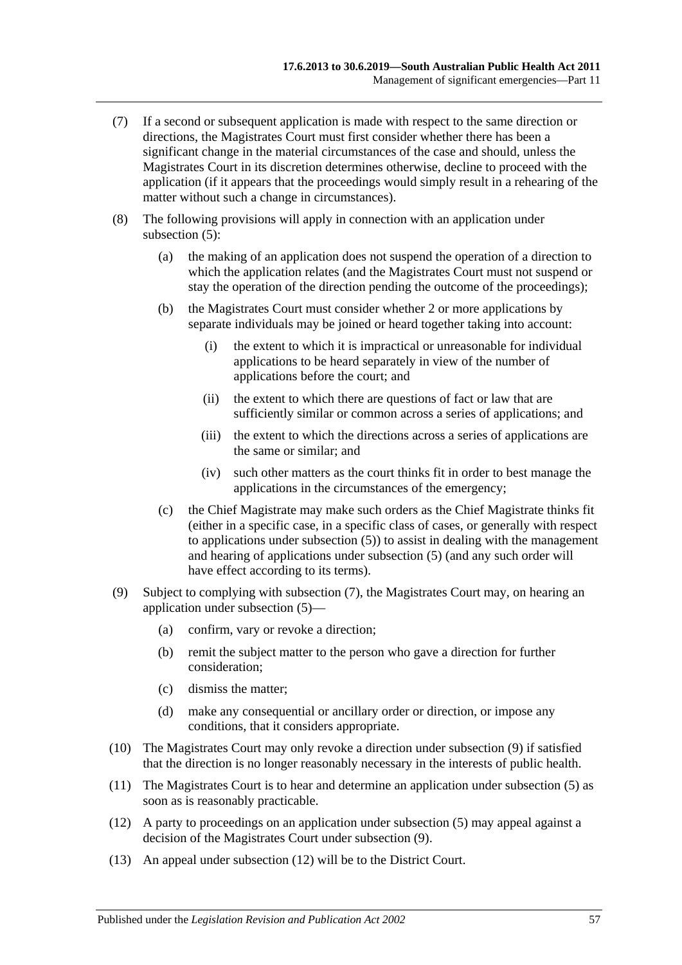- <span id="page-56-0"></span>(7) If a second or subsequent application is made with respect to the same direction or directions, the Magistrates Court must first consider whether there has been a significant change in the material circumstances of the case and should, unless the Magistrates Court in its discretion determines otherwise, decline to proceed with the application (if it appears that the proceedings would simply result in a rehearing of the matter without such a change in circumstances).
- (8) The following provisions will apply in connection with an application under [subsection](#page-55-0) (5):
	- (a) the making of an application does not suspend the operation of a direction to which the application relates (and the Magistrates Court must not suspend or stay the operation of the direction pending the outcome of the proceedings);
	- (b) the Magistrates Court must consider whether 2 or more applications by separate individuals may be joined or heard together taking into account:
		- (i) the extent to which it is impractical or unreasonable for individual applications to be heard separately in view of the number of applications before the court; and
		- (ii) the extent to which there are questions of fact or law that are sufficiently similar or common across a series of applications; and
		- (iii) the extent to which the directions across a series of applications are the same or similar; and
		- (iv) such other matters as the court thinks fit in order to best manage the applications in the circumstances of the emergency;
	- (c) the Chief Magistrate may make such orders as the Chief Magistrate thinks fit (either in a specific case, in a specific class of cases, or generally with respect to applications under [subsection](#page-55-0) (5)) to assist in dealing with the management and hearing of applications under [subsection](#page-55-0) (5) (and any such order will have effect according to its terms).
- <span id="page-56-1"></span>(9) Subject to complying with [subsection](#page-56-0) (7), the Magistrates Court may, on hearing an application under [subsection](#page-55-0) (5)—
	- (a) confirm, vary or revoke a direction;
	- (b) remit the subject matter to the person who gave a direction for further consideration;
	- (c) dismiss the matter;
	- (d) make any consequential or ancillary order or direction, or impose any conditions, that it considers appropriate.
- (10) The Magistrates Court may only revoke a direction under [subsection](#page-56-1) (9) if satisfied that the direction is no longer reasonably necessary in the interests of public health.
- (11) The Magistrates Court is to hear and determine an application under [subsection](#page-55-0) (5) as soon as is reasonably practicable.
- <span id="page-56-2"></span>(12) A party to proceedings on an application under [subsection](#page-55-0) (5) may appeal against a decision of the Magistrates Court under [subsection](#page-56-1) (9).
- (13) An appeal under [subsection](#page-56-2) (12) will be to the District Court.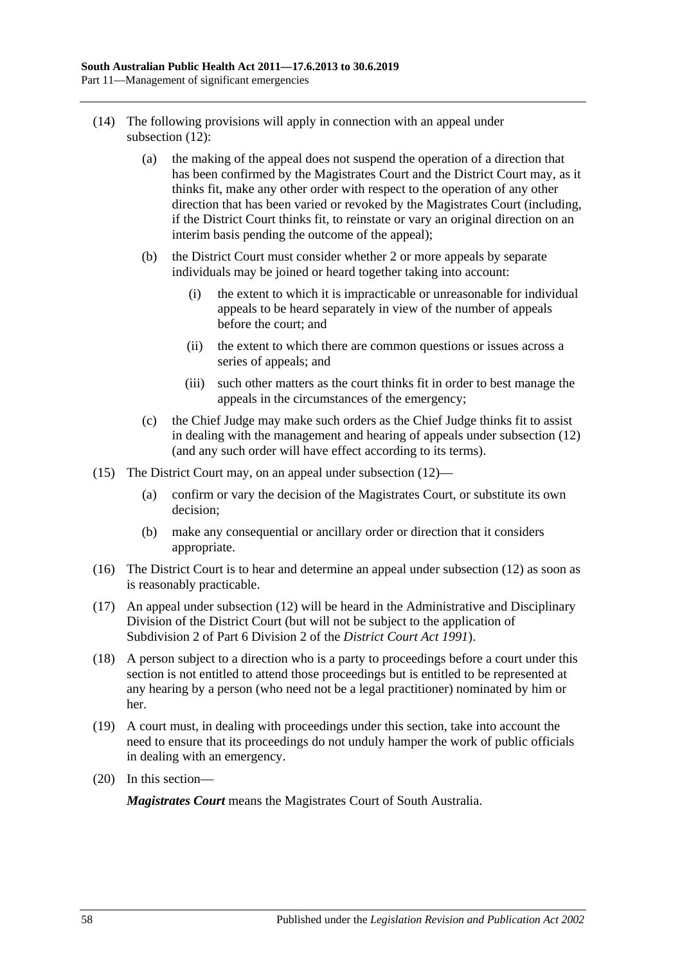- (14) The following provisions will apply in connection with an appeal under [subsection](#page-56-2) (12):
	- (a) the making of the appeal does not suspend the operation of a direction that has been confirmed by the Magistrates Court and the District Court may, as it thinks fit, make any other order with respect to the operation of any other direction that has been varied or revoked by the Magistrates Court (including, if the District Court thinks fit, to reinstate or vary an original direction on an interim basis pending the outcome of the appeal);
	- (b) the District Court must consider whether 2 or more appeals by separate individuals may be joined or heard together taking into account:
		- (i) the extent to which it is impracticable or unreasonable for individual appeals to be heard separately in view of the number of appeals before the court; and
		- (ii) the extent to which there are common questions or issues across a series of appeals; and
		- (iii) such other matters as the court thinks fit in order to best manage the appeals in the circumstances of the emergency;
	- (c) the Chief Judge may make such orders as the Chief Judge thinks fit to assist in dealing with the management and hearing of appeals under [subsection](#page-56-2) (12) (and any such order will have effect according to its terms).
- (15) The District Court may, on an appeal under [subsection](#page-56-2) (12)—
	- (a) confirm or vary the decision of the Magistrates Court, or substitute its own decision;
	- (b) make any consequential or ancillary order or direction that it considers appropriate.
- (16) The District Court is to hear and determine an appeal under [subsection](#page-56-2) (12) as soon as is reasonably practicable.
- (17) An appeal under [subsection](#page-56-2) (12) will be heard in the Administrative and Disciplinary Division of the District Court (but will not be subject to the application of Subdivision 2 of Part 6 Division 2 of the *[District Court Act](http://www.legislation.sa.gov.au/index.aspx?action=legref&type=act&legtitle=District%20Court%20Act%201991) 1991*).
- (18) A person subject to a direction who is a party to proceedings before a court under this section is not entitled to attend those proceedings but is entitled to be represented at any hearing by a person (who need not be a legal practitioner) nominated by him or her.
- (19) A court must, in dealing with proceedings under this section, take into account the need to ensure that its proceedings do not unduly hamper the work of public officials in dealing with an emergency.
- (20) In this section—

*Magistrates Court* means the Magistrates Court of South Australia.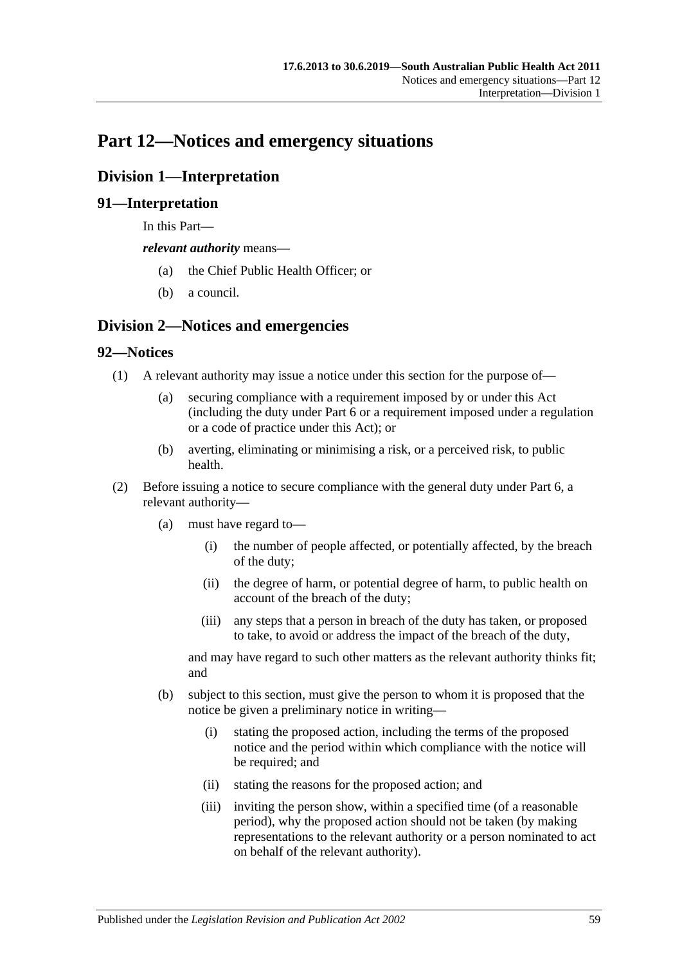# **Part 12—Notices and emergency situations**

# **Division 1—Interpretation**

# **91—Interpretation**

In this Part—

*relevant authority* means—

- (a) the Chief Public Health Officer; or
- (b) a council.

# **Division 2—Notices and emergencies**

# **92—Notices**

- (1) A relevant authority may issue a notice under this section for the purpose of—
	- (a) securing compliance with a requirement imposed by or under this Act (including the duty under [Part](#page-33-0) 6 or a requirement imposed under a regulation or a code of practice under this Act); or
	- (b) averting, eliminating or minimising a risk, or a perceived risk, to public health.
- (2) Before issuing a notice to secure compliance with the general duty under [Part](#page-33-0) 6, a relevant authority—
	- (a) must have regard to—
		- (i) the number of people affected, or potentially affected, by the breach of the duty;
		- (ii) the degree of harm, or potential degree of harm, to public health on account of the breach of the duty;
		- (iii) any steps that a person in breach of the duty has taken, or proposed to take, to avoid or address the impact of the breach of the duty,

and may have regard to such other matters as the relevant authority thinks fit; and

- <span id="page-58-0"></span>(b) subject to this section, must give the person to whom it is proposed that the notice be given a preliminary notice in writing—
	- (i) stating the proposed action, including the terms of the proposed notice and the period within which compliance with the notice will be required; and
	- (ii) stating the reasons for the proposed action; and
	- (iii) inviting the person show, within a specified time (of a reasonable period), why the proposed action should not be taken (by making representations to the relevant authority or a person nominated to act on behalf of the relevant authority).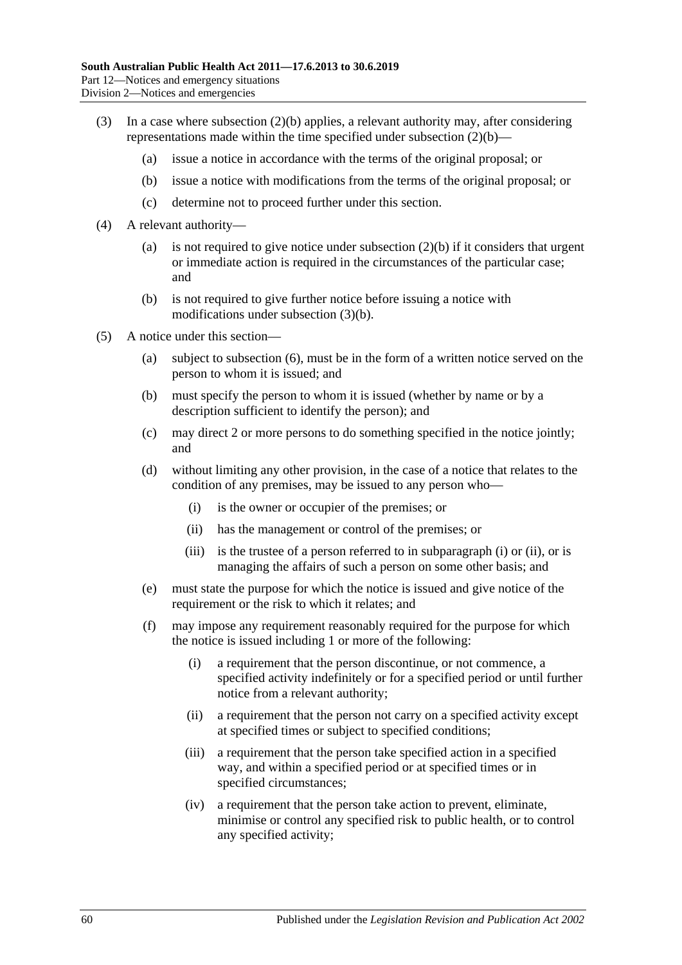- <span id="page-59-0"></span>(3) In a case where [subsection](#page-58-0) (2)(b) applies, a relevant authority may, after considering representations made within the time specified under [subsection](#page-58-0) (2)(b)—
	- (a) issue a notice in accordance with the terms of the original proposal; or
	- (b) issue a notice with modifications from the terms of the original proposal; or
	- (c) determine not to proceed further under this section.
- (4) A relevant authority
	- (a) is not required to give notice under [subsection](#page-58-0)  $(2)(b)$  if it considers that urgent or immediate action is required in the circumstances of the particular case; and
	- (b) is not required to give further notice before issuing a notice with modifications under [subsection](#page-59-0) (3)(b).
- <span id="page-59-3"></span><span id="page-59-2"></span><span id="page-59-1"></span>(5) A notice under this section—
	- (a) subject to [subsection](#page-60-0) (6), must be in the form of a written notice served on the person to whom it is issued; and
	- (b) must specify the person to whom it is issued (whether by name or by a description sufficient to identify the person); and
	- (c) may direct 2 or more persons to do something specified in the notice jointly; and
	- (d) without limiting any other provision, in the case of a notice that relates to the condition of any premises, may be issued to any person who—
		- (i) is the owner or occupier of the premises; or
		- (ii) has the management or control of the premises; or
		- (iii) is the trustee of a person referred to in [subparagraph](#page-59-1) (i) or [\(ii\),](#page-59-2) or is managing the affairs of such a person on some other basis; and
	- (e) must state the purpose for which the notice is issued and give notice of the requirement or the risk to which it relates; and
	- (f) may impose any requirement reasonably required for the purpose for which the notice is issued including 1 or more of the following:
		- (i) a requirement that the person discontinue, or not commence, a specified activity indefinitely or for a specified period or until further notice from a relevant authority;
		- (ii) a requirement that the person not carry on a specified activity except at specified times or subject to specified conditions;
		- (iii) a requirement that the person take specified action in a specified way, and within a specified period or at specified times or in specified circumstances;
		- (iv) a requirement that the person take action to prevent, eliminate, minimise or control any specified risk to public health, or to control any specified activity;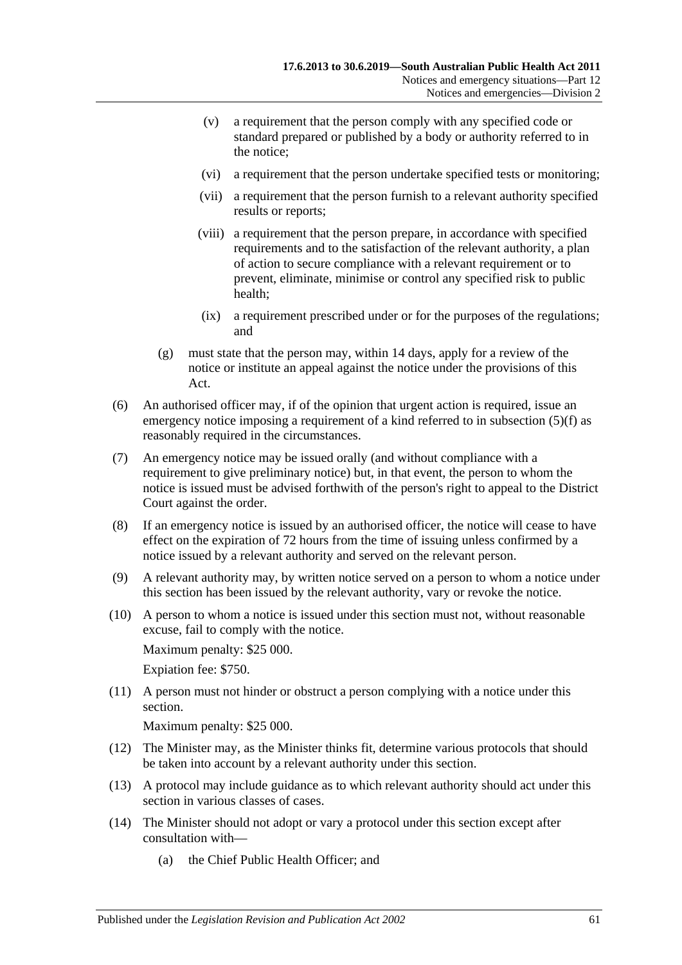- (v) a requirement that the person comply with any specified code or standard prepared or published by a body or authority referred to in the notice;
- (vi) a requirement that the person undertake specified tests or monitoring;
- (vii) a requirement that the person furnish to a relevant authority specified results or reports;
- (viii) a requirement that the person prepare, in accordance with specified requirements and to the satisfaction of the relevant authority, a plan of action to secure compliance with a relevant requirement or to prevent, eliminate, minimise or control any specified risk to public health;
- (ix) a requirement prescribed under or for the purposes of the regulations; and
- (g) must state that the person may, within 14 days, apply for a review of the notice or institute an appeal against the notice under the provisions of this Act.
- <span id="page-60-0"></span>(6) An authorised officer may, if of the opinion that urgent action is required, issue an emergency notice imposing a requirement of a kind referred to in [subsection](#page-59-3) (5)(f) as reasonably required in the circumstances.
- (7) An emergency notice may be issued orally (and without compliance with a requirement to give preliminary notice) but, in that event, the person to whom the notice is issued must be advised forthwith of the person's right to appeal to the District Court against the order.
- (8) If an emergency notice is issued by an authorised officer, the notice will cease to have effect on the expiration of 72 hours from the time of issuing unless confirmed by a notice issued by a relevant authority and served on the relevant person.
- (9) A relevant authority may, by written notice served on a person to whom a notice under this section has been issued by the relevant authority, vary or revoke the notice.
- <span id="page-60-1"></span>(10) A person to whom a notice is issued under this section must not, without reasonable excuse, fail to comply with the notice.

Maximum penalty: \$25 000.

Expiation fee: \$750.

(11) A person must not hinder or obstruct a person complying with a notice under this section.

Maximum penalty: \$25 000.

- (12) The Minister may, as the Minister thinks fit, determine various protocols that should be taken into account by a relevant authority under this section.
- (13) A protocol may include guidance as to which relevant authority should act under this section in various classes of cases.
- (14) The Minister should not adopt or vary a protocol under this section except after consultation with—
	- (a) the Chief Public Health Officer; and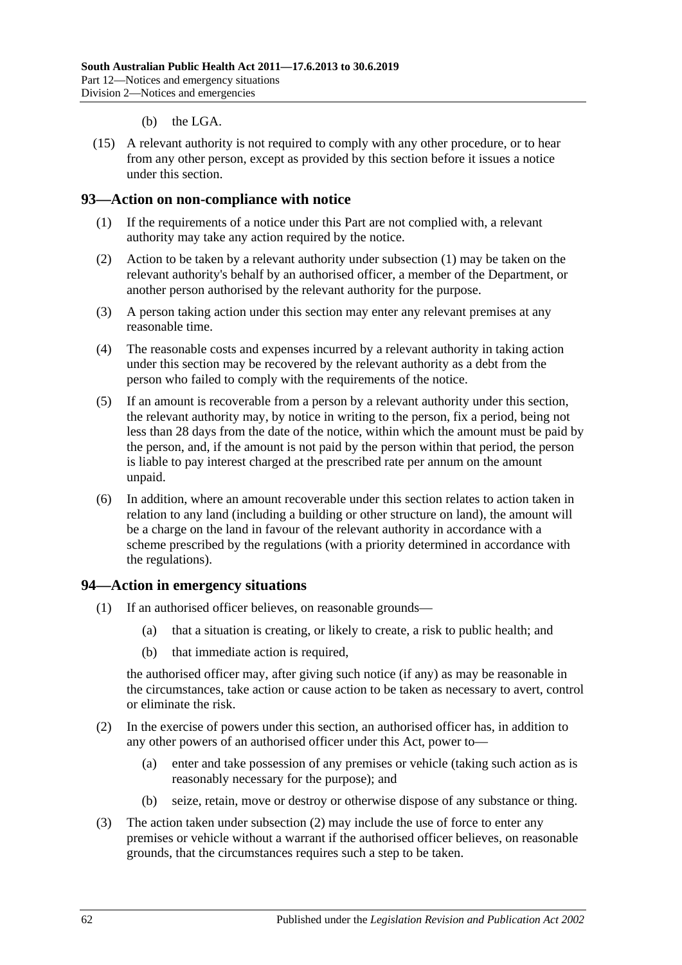- (b) the LGA.
- (15) A relevant authority is not required to comply with any other procedure, or to hear from any other person, except as provided by this section before it issues a notice under this section.

### <span id="page-61-0"></span>**93—Action on non-compliance with notice**

- (1) If the requirements of a notice under this Part are not complied with, a relevant authority may take any action required by the notice.
- (2) Action to be taken by a relevant authority under [subsection](#page-61-0) (1) may be taken on the relevant authority's behalf by an authorised officer, a member of the Department, or another person authorised by the relevant authority for the purpose.
- (3) A person taking action under this section may enter any relevant premises at any reasonable time.
- (4) The reasonable costs and expenses incurred by a relevant authority in taking action under this section may be recovered by the relevant authority as a debt from the person who failed to comply with the requirements of the notice.
- (5) If an amount is recoverable from a person by a relevant authority under this section, the relevant authority may, by notice in writing to the person, fix a period, being not less than 28 days from the date of the notice, within which the amount must be paid by the person, and, if the amount is not paid by the person within that period, the person is liable to pay interest charged at the prescribed rate per annum on the amount unpaid.
- (6) In addition, where an amount recoverable under this section relates to action taken in relation to any land (including a building or other structure on land), the amount will be a charge on the land in favour of the relevant authority in accordance with a scheme prescribed by the regulations (with a priority determined in accordance with the regulations).

### **94—Action in emergency situations**

- (1) If an authorised officer believes, on reasonable grounds—
	- (a) that a situation is creating, or likely to create, a risk to public health; and
	- (b) that immediate action is required,

the authorised officer may, after giving such notice (if any) as may be reasonable in the circumstances, take action or cause action to be taken as necessary to avert, control or eliminate the risk.

- <span id="page-61-1"></span>(2) In the exercise of powers under this section, an authorised officer has, in addition to any other powers of an authorised officer under this Act, power to—
	- (a) enter and take possession of any premises or vehicle (taking such action as is reasonably necessary for the purpose); and
	- (b) seize, retain, move or destroy or otherwise dispose of any substance or thing.
- (3) The action taken under [subsection](#page-61-1) (2) may include the use of force to enter any premises or vehicle without a warrant if the authorised officer believes, on reasonable grounds, that the circumstances requires such a step to be taken.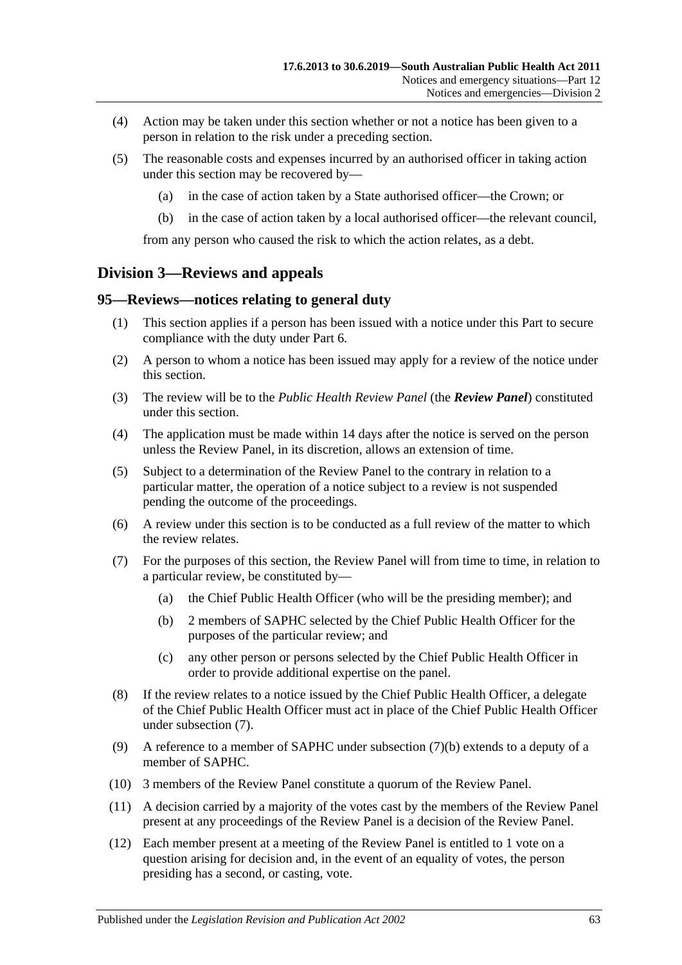- (4) Action may be taken under this section whether or not a notice has been given to a person in relation to the risk under a preceding section.
- (5) The reasonable costs and expenses incurred by an authorised officer in taking action under this section may be recovered by—
	- (a) in the case of action taken by a State authorised officer—the Crown; or
	- (b) in the case of action taken by a local authorised officer—the relevant council,

from any person who caused the risk to which the action relates, as a debt.

# **Division 3—Reviews and appeals**

#### **95—Reviews—notices relating to general duty**

- (1) This section applies if a person has been issued with a notice under this Part to secure compliance with the duty under [Part](#page-33-0) 6.
- (2) A person to whom a notice has been issued may apply for a review of the notice under this section.
- (3) The review will be to the *Public Health Review Panel* (the *Review Panel*) constituted under this section.
- (4) The application must be made within 14 days after the notice is served on the person unless the Review Panel, in its discretion, allows an extension of time.
- (5) Subject to a determination of the Review Panel to the contrary in relation to a particular matter, the operation of a notice subject to a review is not suspended pending the outcome of the proceedings.
- (6) A review under this section is to be conducted as a full review of the matter to which the review relates.
- <span id="page-62-1"></span><span id="page-62-0"></span>(7) For the purposes of this section, the Review Panel will from time to time, in relation to a particular review, be constituted by—
	- (a) the Chief Public Health Officer (who will be the presiding member); and
	- (b) 2 members of SAPHC selected by the Chief Public Health Officer for the purposes of the particular review; and
	- (c) any other person or persons selected by the Chief Public Health Officer in order to provide additional expertise on the panel.
- (8) If the review relates to a notice issued by the Chief Public Health Officer, a delegate of the Chief Public Health Officer must act in place of the Chief Public Health Officer under [subsection](#page-62-0) (7).
- (9) A reference to a member of SAPHC under [subsection](#page-62-1) (7)(b) extends to a deputy of a member of SAPHC.
- (10) 3 members of the Review Panel constitute a quorum of the Review Panel.
- (11) A decision carried by a majority of the votes cast by the members of the Review Panel present at any proceedings of the Review Panel is a decision of the Review Panel.
- (12) Each member present at a meeting of the Review Panel is entitled to 1 vote on a question arising for decision and, in the event of an equality of votes, the person presiding has a second, or casting, vote.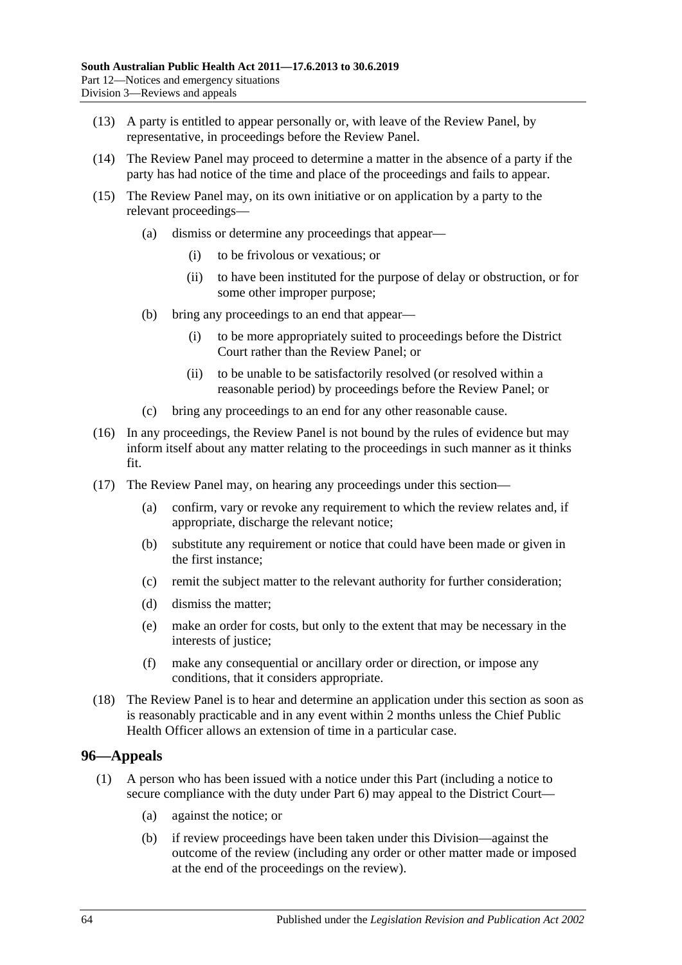- (13) A party is entitled to appear personally or, with leave of the Review Panel, by representative, in proceedings before the Review Panel.
- (14) The Review Panel may proceed to determine a matter in the absence of a party if the party has had notice of the time and place of the proceedings and fails to appear.
- (15) The Review Panel may, on its own initiative or on application by a party to the relevant proceedings—
	- (a) dismiss or determine any proceedings that appear—
		- (i) to be frivolous or vexatious; or
		- (ii) to have been instituted for the purpose of delay or obstruction, or for some other improper purpose;
	- (b) bring any proceedings to an end that appear—
		- (i) to be more appropriately suited to proceedings before the District Court rather than the Review Panel; or
		- (ii) to be unable to be satisfactorily resolved (or resolved within a reasonable period) by proceedings before the Review Panel; or
	- (c) bring any proceedings to an end for any other reasonable cause.
- (16) In any proceedings, the Review Panel is not bound by the rules of evidence but may inform itself about any matter relating to the proceedings in such manner as it thinks fit.
- (17) The Review Panel may, on hearing any proceedings under this section—
	- (a) confirm, vary or revoke any requirement to which the review relates and, if appropriate, discharge the relevant notice;
	- (b) substitute any requirement or notice that could have been made or given in the first instance;
	- (c) remit the subject matter to the relevant authority for further consideration;
	- (d) dismiss the matter;
	- (e) make an order for costs, but only to the extent that may be necessary in the interests of justice;
	- (f) make any consequential or ancillary order or direction, or impose any conditions, that it considers appropriate.
- (18) The Review Panel is to hear and determine an application under this section as soon as is reasonably practicable and in any event within 2 months unless the Chief Public Health Officer allows an extension of time in a particular case.

# **96—Appeals**

- <span id="page-63-1"></span><span id="page-63-0"></span>(1) A person who has been issued with a notice under this Part (including a notice to secure compliance with the duty under [Part](#page-33-0) 6) may appeal to the District Court—
	- (a) against the notice; or
	- (b) if review proceedings have been taken under this Division—against the outcome of the review (including any order or other matter made or imposed at the end of the proceedings on the review).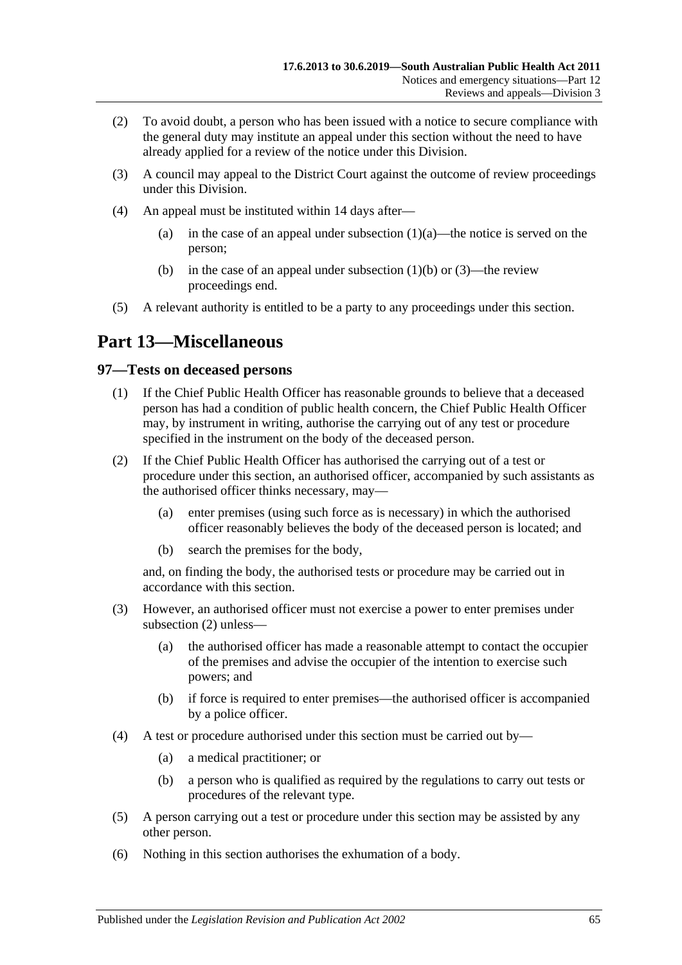- (2) To avoid doubt, a person who has been issued with a notice to secure compliance with the general duty may institute an appeal under this section without the need to have already applied for a review of the notice under this Division.
- <span id="page-64-0"></span>(3) A council may appeal to the District Court against the outcome of review proceedings under this Division.
- (4) An appeal must be instituted within 14 days after
	- (a) in the case of an appeal under [subsection](#page-63-0)  $(1)(a)$ —the notice is served on the person;
	- (b) in the case of an appeal under [subsection](#page-63-1)  $(1)(b)$  or  $(3)$ —the review proceedings end.
- (5) A relevant authority is entitled to be a party to any proceedings under this section.

# **Part 13—Miscellaneous**

# **97—Tests on deceased persons**

- (1) If the Chief Public Health Officer has reasonable grounds to believe that a deceased person has had a condition of public health concern, the Chief Public Health Officer may, by instrument in writing, authorise the carrying out of any test or procedure specified in the instrument on the body of the deceased person.
- <span id="page-64-1"></span>(2) If the Chief Public Health Officer has authorised the carrying out of a test or procedure under this section, an authorised officer, accompanied by such assistants as the authorised officer thinks necessary, may—
	- (a) enter premises (using such force as is necessary) in which the authorised officer reasonably believes the body of the deceased person is located; and
	- (b) search the premises for the body,

and, on finding the body, the authorised tests or procedure may be carried out in accordance with this section.

- (3) However, an authorised officer must not exercise a power to enter premises under [subsection](#page-64-1) (2) unless—
	- (a) the authorised officer has made a reasonable attempt to contact the occupier of the premises and advise the occupier of the intention to exercise such powers; and
	- (b) if force is required to enter premises—the authorised officer is accompanied by a police officer.
- (4) A test or procedure authorised under this section must be carried out by—
	- (a) a medical practitioner; or
	- (b) a person who is qualified as required by the regulations to carry out tests or procedures of the relevant type.
- (5) A person carrying out a test or procedure under this section may be assisted by any other person.
- (6) Nothing in this section authorises the exhumation of a body.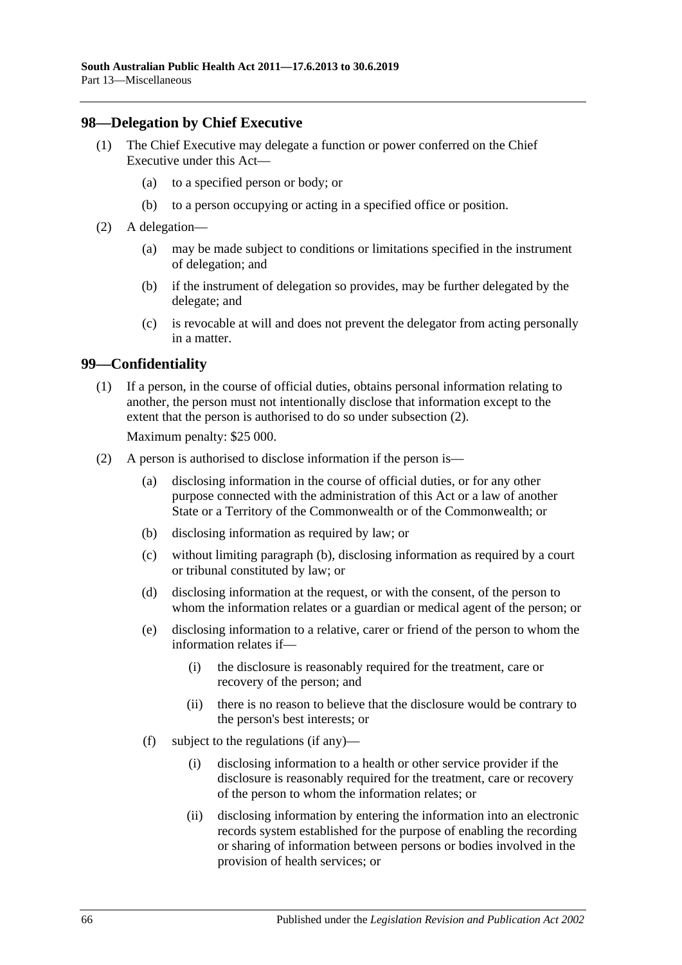### **98—Delegation by Chief Executive**

- (1) The Chief Executive may delegate a function or power conferred on the Chief Executive under this Act—
	- (a) to a specified person or body; or
	- (b) to a person occupying or acting in a specified office or position.
- (2) A delegation—
	- (a) may be made subject to conditions or limitations specified in the instrument of delegation; and
	- (b) if the instrument of delegation so provides, may be further delegated by the delegate; and
	- (c) is revocable at will and does not prevent the delegator from acting personally in a matter.

#### **99—Confidentiality**

(1) If a person, in the course of official duties, obtains personal information relating to another, the person must not intentionally disclose that information except to the extent that the person is authorised to do so under [subsection](#page-65-0) (2).

Maximum penalty: \$25 000.

- <span id="page-65-2"></span><span id="page-65-1"></span><span id="page-65-0"></span>(2) A person is authorised to disclose information if the person is—
	- (a) disclosing information in the course of official duties, or for any other purpose connected with the administration of this Act or a law of another State or a Territory of the Commonwealth or of the Commonwealth; or
	- (b) disclosing information as required by law; or
	- (c) without limiting [paragraph](#page-65-1) (b), disclosing information as required by a court or tribunal constituted by law; or
	- (d) disclosing information at the request, or with the consent, of the person to whom the information relates or a guardian or medical agent of the person; or
	- (e) disclosing information to a relative, carer or friend of the person to whom the information relates if—
		- (i) the disclosure is reasonably required for the treatment, care or recovery of the person; and
		- (ii) there is no reason to believe that the disclosure would be contrary to the person's best interests; or
	- (f) subject to the regulations (if any)—
		- (i) disclosing information to a health or other service provider if the disclosure is reasonably required for the treatment, care or recovery of the person to whom the information relates; or
		- (ii) disclosing information by entering the information into an electronic records system established for the purpose of enabling the recording or sharing of information between persons or bodies involved in the provision of health services; or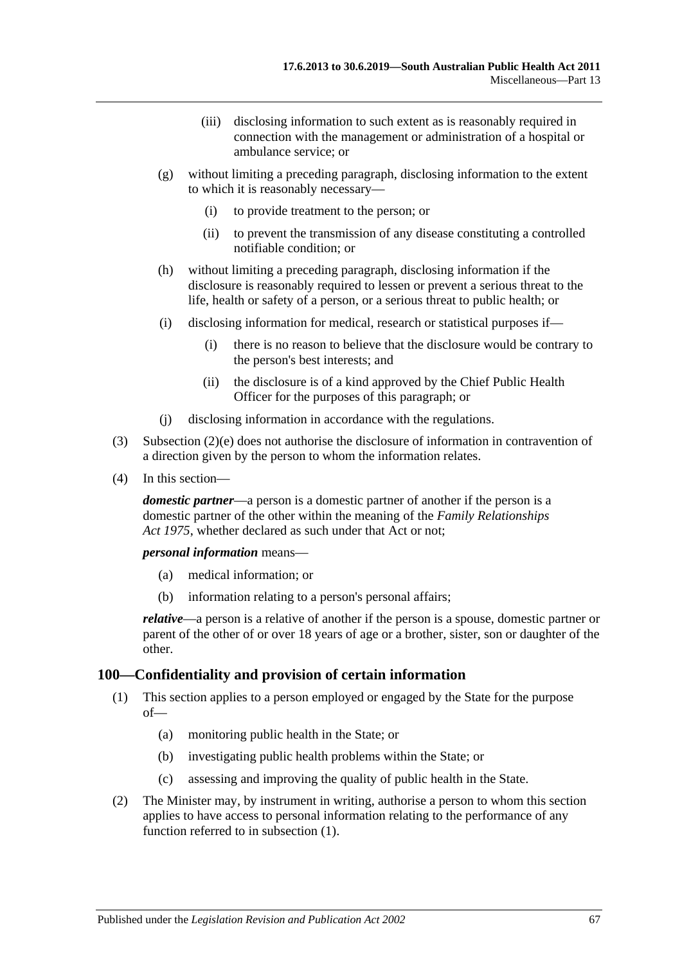- (iii) disclosing information to such extent as is reasonably required in connection with the management or administration of a hospital or ambulance service; or
- (g) without limiting a preceding paragraph, disclosing information to the extent to which it is reasonably necessary—
	- (i) to provide treatment to the person; or
	- (ii) to prevent the transmission of any disease constituting a controlled notifiable condition; or
- (h) without limiting a preceding paragraph, disclosing information if the disclosure is reasonably required to lessen or prevent a serious threat to the life, health or safety of a person, or a serious threat to public health; or
- (i) disclosing information for medical, research or statistical purposes if—
	- (i) there is no reason to believe that the disclosure would be contrary to the person's best interests; and
	- (ii) the disclosure is of a kind approved by the Chief Public Health Officer for the purposes of this paragraph; or
- (j) disclosing information in accordance with the regulations.
- (3) [Subsection](#page-65-2) (2)(e) does not authorise the disclosure of information in contravention of a direction given by the person to whom the information relates.
- (4) In this section—

*domestic partner*—a person is a domestic partner of another if the person is a domestic partner of the other within the meaning of the *[Family Relationships](http://www.legislation.sa.gov.au/index.aspx?action=legref&type=act&legtitle=Family%20Relationships%20Act%201975)  Act [1975](http://www.legislation.sa.gov.au/index.aspx?action=legref&type=act&legtitle=Family%20Relationships%20Act%201975)*, whether declared as such under that Act or not;

*personal information* means—

- (a) medical information; or
- (b) information relating to a person's personal affairs;

*relative*—a person is a relative of another if the person is a spouse, domestic partner or parent of the other of or over 18 years of age or a brother, sister, son or daughter of the other.

#### <span id="page-66-0"></span>**100—Confidentiality and provision of certain information**

- (1) This section applies to a person employed or engaged by the State for the purpose of—
	- (a) monitoring public health in the State; or
	- (b) investigating public health problems within the State; or
	- (c) assessing and improving the quality of public health in the State.
- <span id="page-66-1"></span>(2) The Minister may, by instrument in writing, authorise a person to whom this section applies to have access to personal information relating to the performance of any function referred to in [subsection](#page-66-0) (1).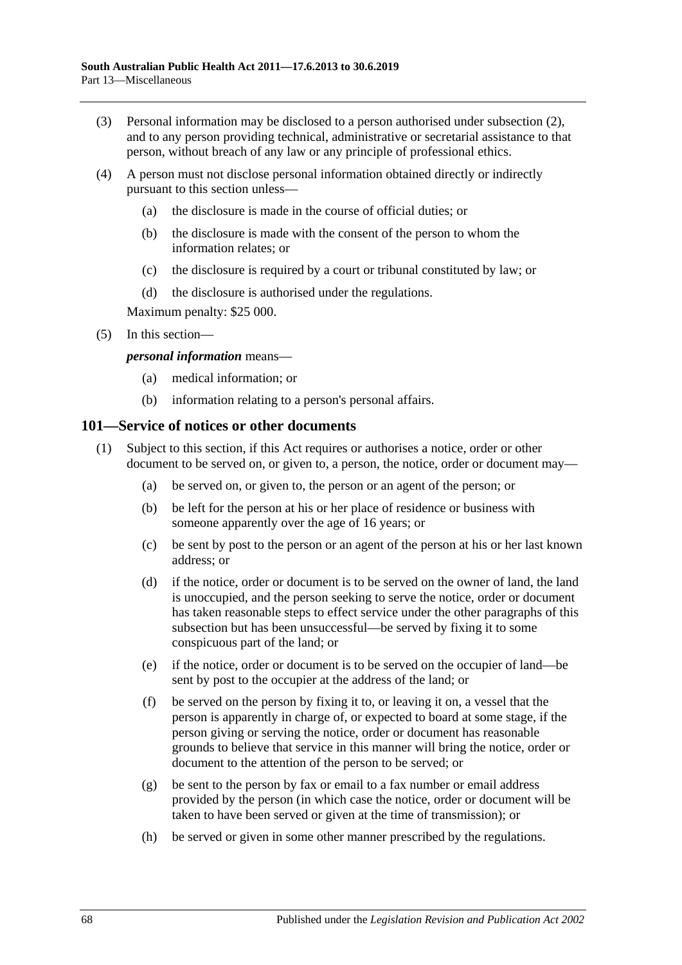- (3) Personal information may be disclosed to a person authorised under [subsection](#page-66-1) (2), and to any person providing technical, administrative or secretarial assistance to that person, without breach of any law or any principle of professional ethics.
- (4) A person must not disclose personal information obtained directly or indirectly pursuant to this section unless—
	- (a) the disclosure is made in the course of official duties; or
	- (b) the disclosure is made with the consent of the person to whom the information relates; or
	- (c) the disclosure is required by a court or tribunal constituted by law; or
	- (d) the disclosure is authorised under the regulations.

Maximum penalty: \$25 000.

(5) In this section—

#### *personal information* means—

- (a) medical information; or
- (b) information relating to a person's personal affairs.

#### <span id="page-67-0"></span>**101—Service of notices or other documents**

- (1) Subject to this section, if this Act requires or authorises a notice, order or other document to be served on, or given to, a person, the notice, order or document may—
	- (a) be served on, or given to, the person or an agent of the person; or
	- (b) be left for the person at his or her place of residence or business with someone apparently over the age of 16 years; or
	- (c) be sent by post to the person or an agent of the person at his or her last known address; or
	- (d) if the notice, order or document is to be served on the owner of land, the land is unoccupied, and the person seeking to serve the notice, order or document has taken reasonable steps to effect service under the other paragraphs of this subsection but has been unsuccessful—be served by fixing it to some conspicuous part of the land; or
	- (e) if the notice, order or document is to be served on the occupier of land—be sent by post to the occupier at the address of the land; or
	- (f) be served on the person by fixing it to, or leaving it on, a vessel that the person is apparently in charge of, or expected to board at some stage, if the person giving or serving the notice, order or document has reasonable grounds to believe that service in this manner will bring the notice, order or document to the attention of the person to be served; or
	- (g) be sent to the person by fax or email to a fax number or email address provided by the person (in which case the notice, order or document will be taken to have been served or given at the time of transmission); or
	- (h) be served or given in some other manner prescribed by the regulations.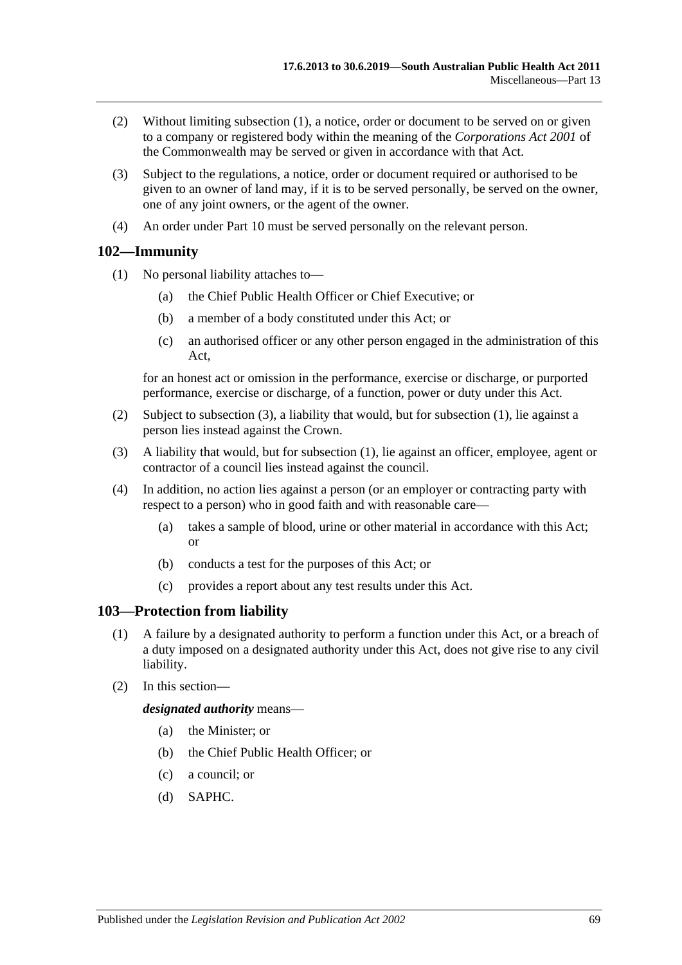- (2) Without limiting [subsection](#page-67-0) (1), a notice, order or document to be served on or given to a company or registered body within the meaning of the *Corporations Act 2001* of the Commonwealth may be served or given in accordance with that Act.
- (3) Subject to the regulations, a notice, order or document required or authorised to be given to an owner of land may, if it is to be served personally, be served on the owner, one of any joint owners, or the agent of the owner.
- (4) An order under [Part](#page-41-3) 10 must be served personally on the relevant person.

# <span id="page-68-1"></span>**102—Immunity**

- (1) No personal liability attaches to—
	- (a) the Chief Public Health Officer or Chief Executive; or
	- (b) a member of a body constituted under this Act; or
	- (c) an authorised officer or any other person engaged in the administration of this Act,

for an honest act or omission in the performance, exercise or discharge, or purported performance, exercise or discharge, of a function, power or duty under this Act.

- (2) Subject to [subsection](#page-68-0) (3), a liability that would, but for [subsection](#page-68-1) (1), lie against a person lies instead against the Crown.
- <span id="page-68-0"></span>(3) A liability that would, but for [subsection](#page-68-1) (1), lie against an officer, employee, agent or contractor of a council lies instead against the council.
- (4) In addition, no action lies against a person (or an employer or contracting party with respect to a person) who in good faith and with reasonable care—
	- (a) takes a sample of blood, urine or other material in accordance with this Act; or
	- (b) conducts a test for the purposes of this Act; or
	- (c) provides a report about any test results under this Act.

# **103—Protection from liability**

- (1) A failure by a designated authority to perform a function under this Act, or a breach of a duty imposed on a designated authority under this Act, does not give rise to any civil liability.
- (2) In this section—

*designated authority* means—

- (a) the Minister; or
- (b) the Chief Public Health Officer; or
- (c) a council; or
- (d) SAPHC.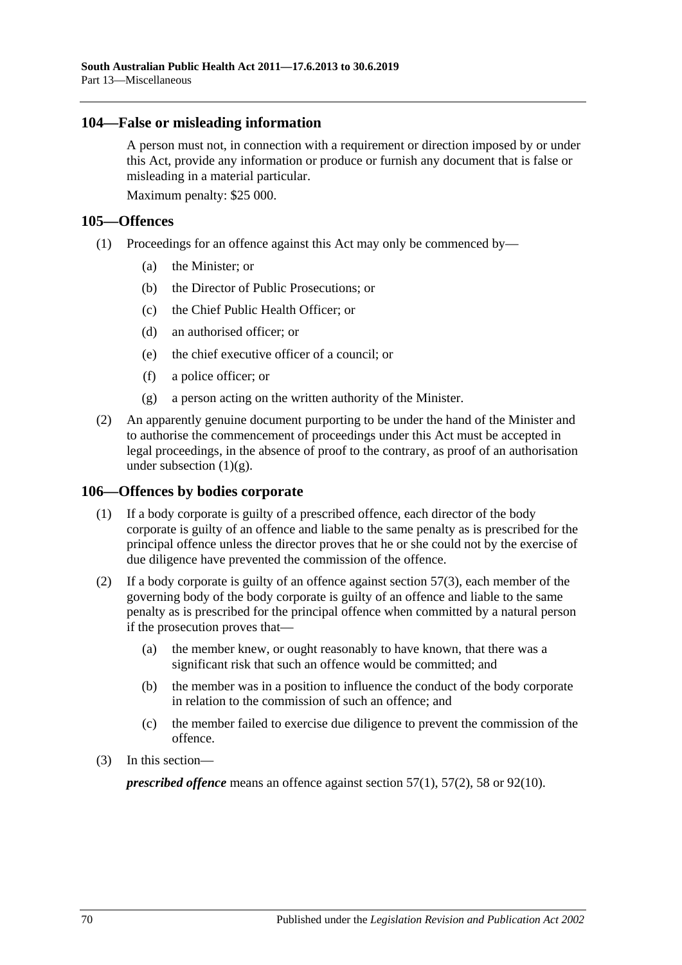### **104—False or misleading information**

A person must not, in connection with a requirement or direction imposed by or under this Act, provide any information or produce or furnish any document that is false or misleading in a material particular.

Maximum penalty: \$25 000.

### **105—Offences**

- (1) Proceedings for an offence against this Act may only be commenced by—
	- (a) the Minister; or
	- (b) the Director of Public Prosecutions; or
	- (c) the Chief Public Health Officer; or
	- (d) an authorised officer; or
	- (e) the chief executive officer of a council; or
	- (f) a police officer; or
	- (g) a person acting on the written authority of the Minister.
- <span id="page-69-0"></span>(2) An apparently genuine document purporting to be under the hand of the Minister and to authorise the commencement of proceedings under this Act must be accepted in legal proceedings, in the absence of proof to the contrary, as proof of an authorisation under [subsection](#page-69-0)  $(1)(g)$ .

# **106—Offences by bodies corporate**

- (1) If a body corporate is guilty of a prescribed offence, each director of the body corporate is guilty of an offence and liable to the same penalty as is prescribed for the principal offence unless the director proves that he or she could not by the exercise of due diligence have prevented the commission of the offence.
- (2) If a body corporate is guilty of an offence against [section](#page-34-0)  $57(3)$ , each member of the governing body of the body corporate is guilty of an offence and liable to the same penalty as is prescribed for the principal offence when committed by a natural person if the prosecution proves that—
	- (a) the member knew, or ought reasonably to have known, that there was a significant risk that such an offence would be committed; and
	- (b) the member was in a position to influence the conduct of the body corporate in relation to the commission of such an offence; and
	- (c) the member failed to exercise due diligence to prevent the commission of the offence.
- (3) In this section—

*prescribed offence* means an offence against [section](#page-33-1) 57(1), [57\(2\),](#page-33-2) [58](#page-34-1) or [92\(10\).](#page-60-1)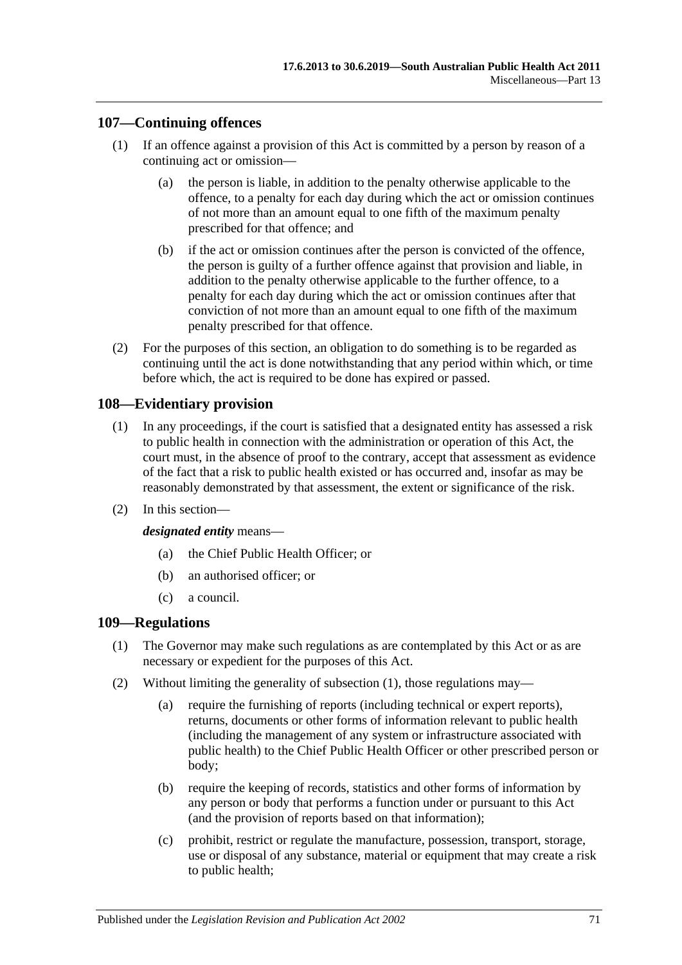# **107—Continuing offences**

- (1) If an offence against a provision of this Act is committed by a person by reason of a continuing act or omission—
	- (a) the person is liable, in addition to the penalty otherwise applicable to the offence, to a penalty for each day during which the act or omission continues of not more than an amount equal to one fifth of the maximum penalty prescribed for that offence; and
	- (b) if the act or omission continues after the person is convicted of the offence, the person is guilty of a further offence against that provision and liable, in addition to the penalty otherwise applicable to the further offence, to a penalty for each day during which the act or omission continues after that conviction of not more than an amount equal to one fifth of the maximum penalty prescribed for that offence.
- (2) For the purposes of this section, an obligation to do something is to be regarded as continuing until the act is done notwithstanding that any period within which, or time before which, the act is required to be done has expired or passed.

# **108—Evidentiary provision**

- (1) In any proceedings, if the court is satisfied that a designated entity has assessed a risk to public health in connection with the administration or operation of this Act, the court must, in the absence of proof to the contrary, accept that assessment as evidence of the fact that a risk to public health existed or has occurred and, insofar as may be reasonably demonstrated by that assessment, the extent or significance of the risk.
- (2) In this section—

#### *designated entity* means—

- (a) the Chief Public Health Officer; or
- (b) an authorised officer; or
- (c) a council.

# <span id="page-70-0"></span>**109—Regulations**

- (1) The Governor may make such regulations as are contemplated by this Act or as are necessary or expedient for the purposes of this Act.
- (2) Without limiting the generality of [subsection](#page-70-0) (1), those regulations may—
	- (a) require the furnishing of reports (including technical or expert reports), returns, documents or other forms of information relevant to public health (including the management of any system or infrastructure associated with public health) to the Chief Public Health Officer or other prescribed person or body;
	- (b) require the keeping of records, statistics and other forms of information by any person or body that performs a function under or pursuant to this Act (and the provision of reports based on that information);
	- (c) prohibit, restrict or regulate the manufacture, possession, transport, storage, use or disposal of any substance, material or equipment that may create a risk to public health;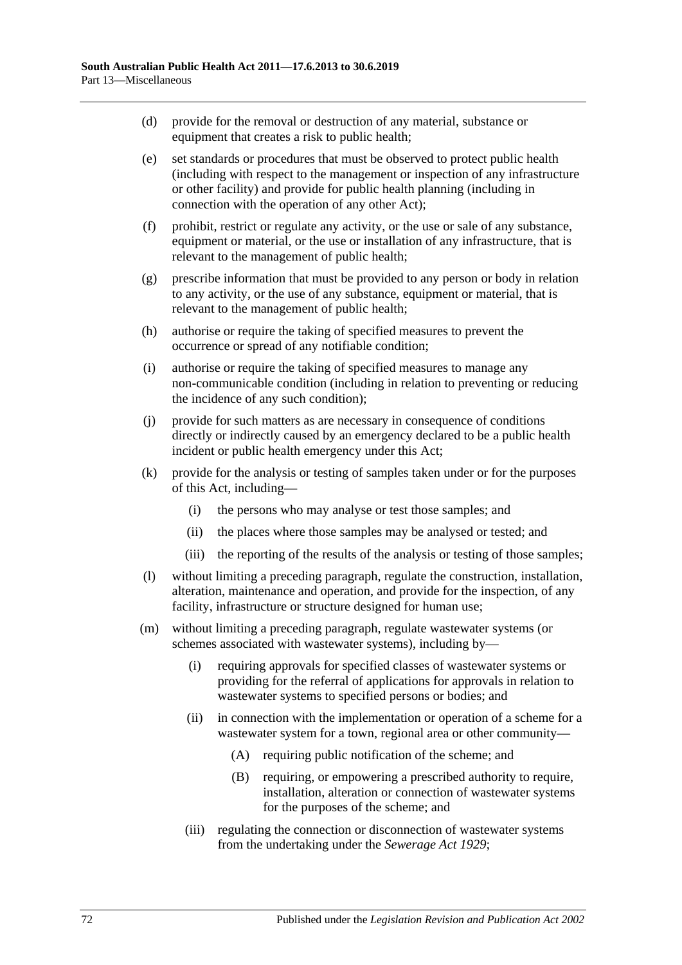- (d) provide for the removal or destruction of any material, substance or equipment that creates a risk to public health;
- (e) set standards or procedures that must be observed to protect public health (including with respect to the management or inspection of any infrastructure or other facility) and provide for public health planning (including in connection with the operation of any other Act);
- (f) prohibit, restrict or regulate any activity, or the use or sale of any substance, equipment or material, or the use or installation of any infrastructure, that is relevant to the management of public health;
- (g) prescribe information that must be provided to any person or body in relation to any activity, or the use of any substance, equipment or material, that is relevant to the management of public health;
- (h) authorise or require the taking of specified measures to prevent the occurrence or spread of any notifiable condition;
- (i) authorise or require the taking of specified measures to manage any non-communicable condition (including in relation to preventing or reducing the incidence of any such condition);
- (j) provide for such matters as are necessary in consequence of conditions directly or indirectly caused by an emergency declared to be a public health incident or public health emergency under this Act;
- (k) provide for the analysis or testing of samples taken under or for the purposes of this Act, including—
	- (i) the persons who may analyse or test those samples; and
	- (ii) the places where those samples may be analysed or tested; and
	- (iii) the reporting of the results of the analysis or testing of those samples;
- (l) without limiting a preceding paragraph, regulate the construction, installation, alteration, maintenance and operation, and provide for the inspection, of any facility, infrastructure or structure designed for human use;
- (m) without limiting a preceding paragraph, regulate wastewater systems (or schemes associated with wastewater systems), including by—
	- (i) requiring approvals for specified classes of wastewater systems or providing for the referral of applications for approvals in relation to wastewater systems to specified persons or bodies; and
	- (ii) in connection with the implementation or operation of a scheme for a wastewater system for a town, regional area or other community—
		- (A) requiring public notification of the scheme; and
		- (B) requiring, or empowering a prescribed authority to require, installation, alteration or connection of wastewater systems for the purposes of the scheme; and
	- (iii) regulating the connection or disconnection of wastewater systems from the undertaking under the *[Sewerage Act](http://www.legislation.sa.gov.au/index.aspx?action=legref&type=act&legtitle=Sewerage%20Act%201929) 1929*;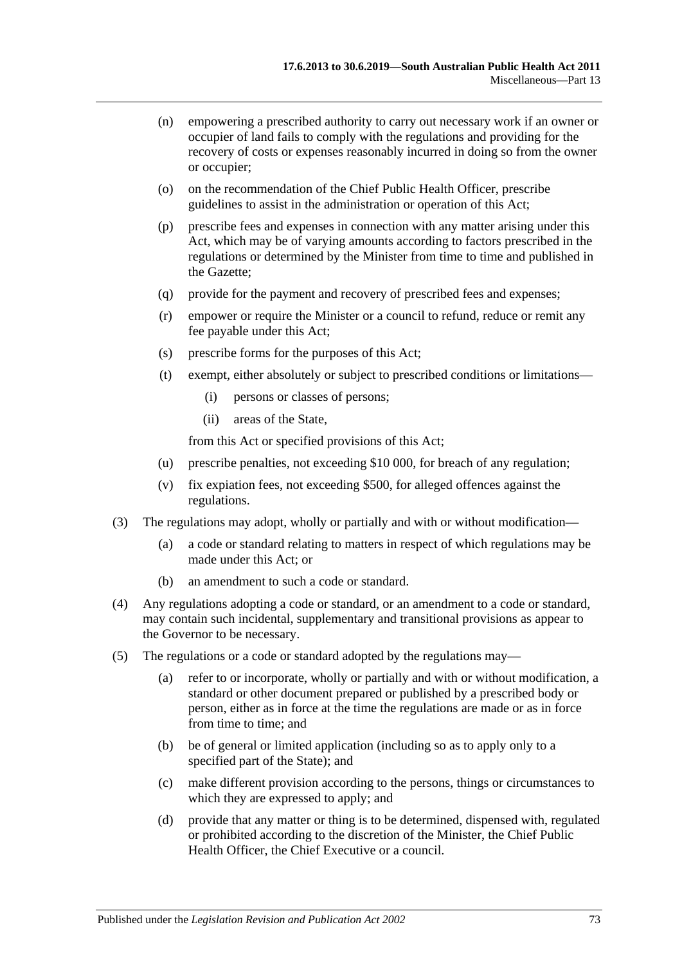- (n) empowering a prescribed authority to carry out necessary work if an owner or occupier of land fails to comply with the regulations and providing for the recovery of costs or expenses reasonably incurred in doing so from the owner or occupier;
- (o) on the recommendation of the Chief Public Health Officer, prescribe guidelines to assist in the administration or operation of this Act;
- (p) prescribe fees and expenses in connection with any matter arising under this Act, which may be of varying amounts according to factors prescribed in the regulations or determined by the Minister from time to time and published in the Gazette;
- (q) provide for the payment and recovery of prescribed fees and expenses;
- (r) empower or require the Minister or a council to refund, reduce or remit any fee payable under this Act;
- (s) prescribe forms for the purposes of this Act;
- (t) exempt, either absolutely or subject to prescribed conditions or limitations—
	- (i) persons or classes of persons;
	- (ii) areas of the State,

from this Act or specified provisions of this Act;

- (u) prescribe penalties, not exceeding \$10 000, for breach of any regulation;
- (v) fix expiation fees, not exceeding \$500, for alleged offences against the regulations.
- (3) The regulations may adopt, wholly or partially and with or without modification—
	- (a) a code or standard relating to matters in respect of which regulations may be made under this Act; or
	- (b) an amendment to such a code or standard.
- (4) Any regulations adopting a code or standard, or an amendment to a code or standard, may contain such incidental, supplementary and transitional provisions as appear to the Governor to be necessary.
- (5) The regulations or a code or standard adopted by the regulations may—
	- (a) refer to or incorporate, wholly or partially and with or without modification, a standard or other document prepared or published by a prescribed body or person, either as in force at the time the regulations are made or as in force from time to time; and
	- (b) be of general or limited application (including so as to apply only to a specified part of the State); and
	- (c) make different provision according to the persons, things or circumstances to which they are expressed to apply; and
	- (d) provide that any matter or thing is to be determined, dispensed with, regulated or prohibited according to the discretion of the Minister, the Chief Public Health Officer, the Chief Executive or a council.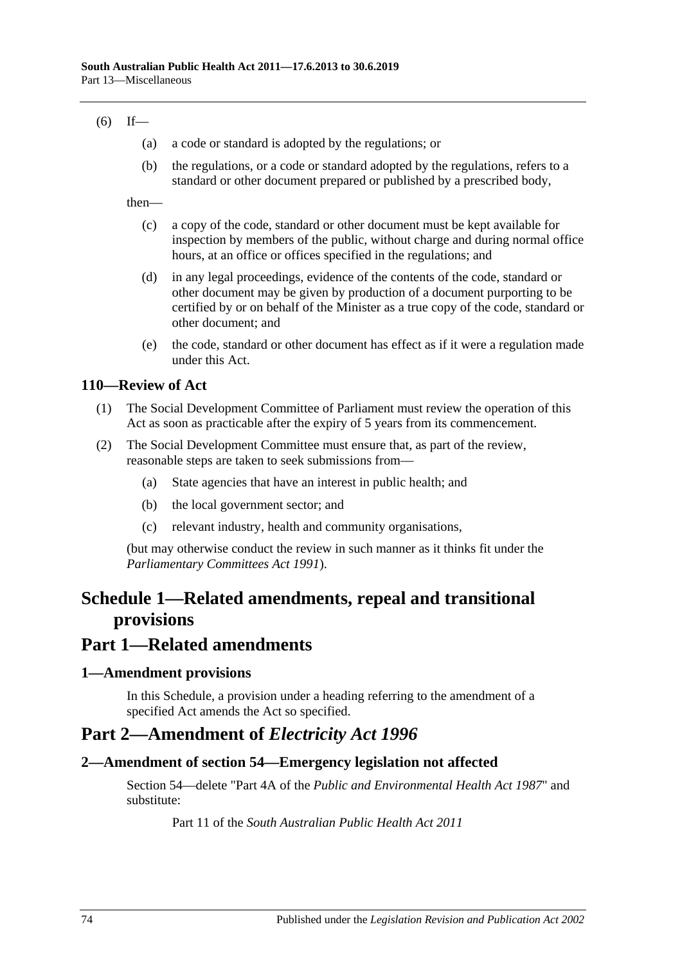#### $(6)$  If—

- (a) a code or standard is adopted by the regulations; or
- (b) the regulations, or a code or standard adopted by the regulations, refers to a standard or other document prepared or published by a prescribed body,

then—

- (c) a copy of the code, standard or other document must be kept available for inspection by members of the public, without charge and during normal office hours, at an office or offices specified in the regulations; and
- (d) in any legal proceedings, evidence of the contents of the code, standard or other document may be given by production of a document purporting to be certified by or on behalf of the Minister as a true copy of the code, standard or other document; and
- (e) the code, standard or other document has effect as if it were a regulation made under this Act.

#### **110—Review of Act**

- (1) The Social Development Committee of Parliament must review the operation of this Act as soon as practicable after the expiry of 5 years from its commencement.
- (2) The Social Development Committee must ensure that, as part of the review, reasonable steps are taken to seek submissions from—
	- (a) State agencies that have an interest in public health; and
	- (b) the local government sector; and
	- (c) relevant industry, health and community organisations,

(but may otherwise conduct the review in such manner as it thinks fit under the *[Parliamentary Committees Act](http://www.legislation.sa.gov.au/index.aspx?action=legref&type=act&legtitle=Parliamentary%20Committees%20Act%201991) 1991*).

# **Schedule 1—Related amendments, repeal and transitional provisions**

### **Part 1—Related amendments**

#### **1—Amendment provisions**

In this Schedule, a provision under a heading referring to the amendment of a specified Act amends the Act so specified.

## **Part 2—Amendment of** *Electricity Act 1996*

#### **2—Amendment of section 54—Emergency legislation not affected**

Section 54—delete "Part 4A of the *[Public and Environmental Health Act](http://www.legislation.sa.gov.au/index.aspx?action=legref&type=act&legtitle=Public%20and%20Environmental%20Health%20Act%201987) 1987*" and substitute:

Part 11 of the *[South Australian Public Health Act](http://www.legislation.sa.gov.au/index.aspx?action=legref&type=act&legtitle=South%20Australian%20Public%20Health%20Act%202011) 2011*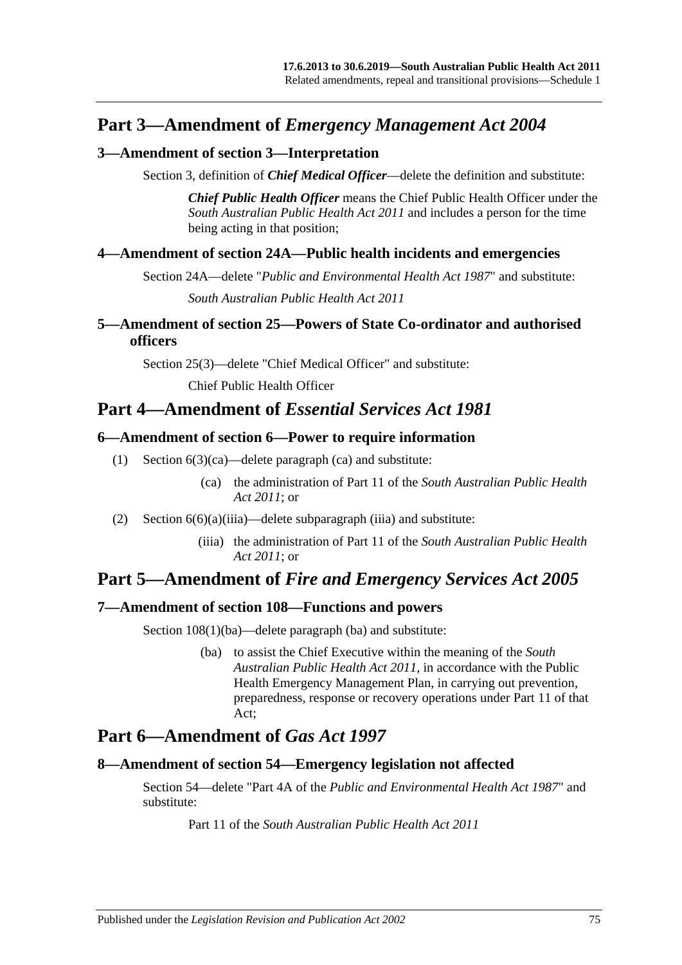## **Part 3—Amendment of** *Emergency Management Act 2004*

#### **3—Amendment of section 3—Interpretation**

Section 3, definition of *Chief Medical Officer*—delete the definition and substitute:

*Chief Public Health Officer* means the Chief Public Health Officer under the *[South Australian Public Health Act](http://www.legislation.sa.gov.au/index.aspx?action=legref&type=act&legtitle=South%20Australian%20Public%20Health%20Act%202011) 2011* and includes a person for the time being acting in that position;

#### **4—Amendment of section 24A—Public health incidents and emergencies**

Section 24A—delete "*[Public and Environmental Health Act](http://www.legislation.sa.gov.au/index.aspx?action=legref&type=act&legtitle=Public%20and%20Environmental%20Health%20Act%201987) 1987*" and substitute:

*[South Australian Public Health Act](http://www.legislation.sa.gov.au/index.aspx?action=legref&type=act&legtitle=South%20Australian%20Public%20Health%20Act%202011) 2011*

### **5—Amendment of section 25—Powers of State Co-ordinator and authorised officers**

Section 25(3)—delete "Chief Medical Officer" and substitute:

Chief Public Health Officer

## **Part 4—Amendment of** *Essential Services Act 1981*

#### **6—Amendment of section 6—Power to require information**

- (1) Section 6(3)(ca)—delete paragraph (ca) and substitute:
	- (ca) the administration of Part 11 of the *[South Australian Public Health](http://www.legislation.sa.gov.au/index.aspx?action=legref&type=act&legtitle=South%20Australian%20Public%20Health%20Act%202011)  Act [2011](http://www.legislation.sa.gov.au/index.aspx?action=legref&type=act&legtitle=South%20Australian%20Public%20Health%20Act%202011)*; or
- (2) Section  $6(6)(a)(iii)$ —delete subparagraph (iiia) and substitute:
	- (iiia) the administration of Part 11 of the *[South Australian Public Health](http://www.legislation.sa.gov.au/index.aspx?action=legref&type=act&legtitle=South%20Australian%20Public%20Health%20Act%202011)  Act [2011](http://www.legislation.sa.gov.au/index.aspx?action=legref&type=act&legtitle=South%20Australian%20Public%20Health%20Act%202011)*; or

# **Part 5—Amendment of** *Fire and Emergency Services Act 2005*

### **7—Amendment of section 108—Functions and powers**

Section  $108(1)(ba)$ —delete paragraph (ba) and substitute:

(ba) to assist the Chief Executive within the meaning of the *[South](http://www.legislation.sa.gov.au/index.aspx?action=legref&type=act&legtitle=South%20Australian%20Public%20Health%20Act%202011)  [Australian Public Health Act](http://www.legislation.sa.gov.au/index.aspx?action=legref&type=act&legtitle=South%20Australian%20Public%20Health%20Act%202011) 2011*, in accordance with the Public Health Emergency Management Plan, in carrying out prevention, preparedness, response or recovery operations under Part 11 of that Act;

# **Part 6—Amendment of** *Gas Act 1997*

#### **8—Amendment of section 54—Emergency legislation not affected**

Section 54—delete "Part 4A of the *[Public and Environmental Health Act](http://www.legislation.sa.gov.au/index.aspx?action=legref&type=act&legtitle=Public%20and%20Environmental%20Health%20Act%201987) 1987*" and substitute:

Part 11 of the *[South Australian Public Health Act](http://www.legislation.sa.gov.au/index.aspx?action=legref&type=act&legtitle=South%20Australian%20Public%20Health%20Act%202011) 2011*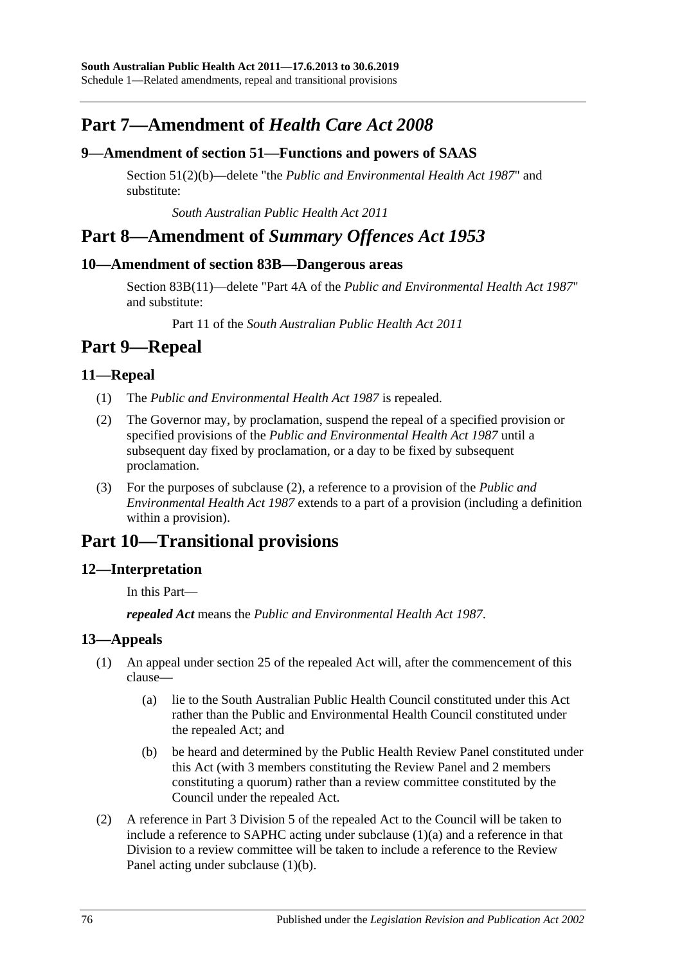# **Part 7—Amendment of** *Health Care Act 2008*

#### **9—Amendment of section 51—Functions and powers of SAAS**

Section 51(2)(b)—delete "the *[Public and Environmental Health Act](http://www.legislation.sa.gov.au/index.aspx?action=legref&type=act&legtitle=Public%20and%20Environmental%20Health%20Act%201987) 1987*" and substitute:

*[South Australian Public Health Act](http://www.legislation.sa.gov.au/index.aspx?action=legref&type=act&legtitle=South%20Australian%20Public%20Health%20Act%202011) 2011*

## **Part 8—Amendment of** *Summary Offences Act 1953*

#### **10—Amendment of section 83B—Dangerous areas**

Section 83B(11)—delete "Part 4A of the *[Public and Environmental Health Act](http://www.legislation.sa.gov.au/index.aspx?action=legref&type=act&legtitle=Public%20and%20Environmental%20Health%20Act%201987) 1987*" and substitute:

Part 11 of the *[South Australian Public Health Act](http://www.legislation.sa.gov.au/index.aspx?action=legref&type=act&legtitle=South%20Australian%20Public%20Health%20Act%202011) 2011*

# **Part 9—Repeal**

#### **11—Repeal**

- (1) The *[Public and Environmental Health Act](http://www.legislation.sa.gov.au/index.aspx?action=legref&type=act&legtitle=Public%20and%20Environmental%20Health%20Act%201987) 1987* is repealed.
- <span id="page-75-0"></span>(2) The Governor may, by proclamation, suspend the repeal of a specified provision or specified provisions of the *[Public and Environmental Health Act](http://www.legislation.sa.gov.au/index.aspx?action=legref&type=act&legtitle=Public%20and%20Environmental%20Health%20Act%201987) 1987* until a subsequent day fixed by proclamation, or a day to be fixed by subsequent proclamation.
- (3) For the purposes of [subclause](#page-75-0) (2), a reference to a provision of the *[Public and](http://www.legislation.sa.gov.au/index.aspx?action=legref&type=act&legtitle=Public%20and%20Environmental%20Health%20Act%201987)  [Environmental Health Act](http://www.legislation.sa.gov.au/index.aspx?action=legref&type=act&legtitle=Public%20and%20Environmental%20Health%20Act%201987) 1987* extends to a part of a provision (including a definition within a provision).

# **Part 10—Transitional provisions**

### **12—Interpretation**

In this Part—

*repealed Act* means the *[Public and Environmental Health Act](http://www.legislation.sa.gov.au/index.aspx?action=legref&type=act&legtitle=Public%20and%20Environmental%20Health%20Act%201987) 1987*.

### <span id="page-75-3"></span>**13—Appeals**

- <span id="page-75-1"></span>(1) An appeal under section 25 of the repealed Act will, after the commencement of this clause—
	- (a) lie to the South Australian Public Health Council constituted under this Act rather than the Public and Environmental Health Council constituted under the repealed Act; and
	- (b) be heard and determined by the Public Health Review Panel constituted under this Act (with 3 members constituting the Review Panel and 2 members constituting a quorum) rather than a review committee constituted by the Council under the repealed Act.
- <span id="page-75-4"></span><span id="page-75-2"></span>(2) A reference in Part 3 Division 5 of the repealed Act to the Council will be taken to include a reference to SAPHC acting under [subclause](#page-75-1) (1)(a) and a reference in that Division to a review committee will be taken to include a reference to the Review Panel acting under [subclause](#page-75-2) (1)(b).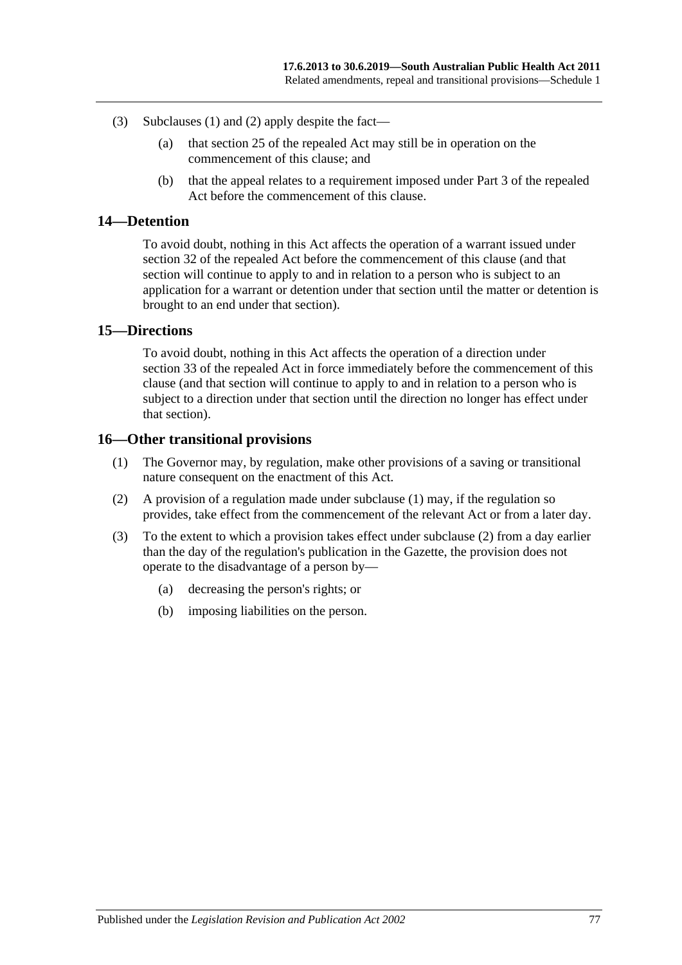- (3) [Subclauses](#page-75-3) (1) and [\(2\)](#page-75-4) apply despite the fact—
	- (a) that section 25 of the repealed Act may still be in operation on the commencement of this clause; and
	- (b) that the appeal relates to a requirement imposed under Part 3 of the repealed Act before the commencement of this clause.

#### **14—Detention**

To avoid doubt, nothing in this Act affects the operation of a warrant issued under section 32 of the repealed Act before the commencement of this clause (and that section will continue to apply to and in relation to a person who is subject to an application for a warrant or detention under that section until the matter or detention is brought to an end under that section).

#### **15—Directions**

To avoid doubt, nothing in this Act affects the operation of a direction under section 33 of the repealed Act in force immediately before the commencement of this clause (and that section will continue to apply to and in relation to a person who is subject to a direction under that section until the direction no longer has effect under that section).

#### <span id="page-76-0"></span>**16—Other transitional provisions**

- (1) The Governor may, by regulation, make other provisions of a saving or transitional nature consequent on the enactment of this Act.
- <span id="page-76-1"></span>(2) A provision of a regulation made under [subclause](#page-76-0) (1) may, if the regulation so provides, take effect from the commencement of the relevant Act or from a later day.
- (3) To the extent to which a provision takes effect under [subclause](#page-76-1) (2) from a day earlier than the day of the regulation's publication in the Gazette, the provision does not operate to the disadvantage of a person by—
	- (a) decreasing the person's rights; or
	- (b) imposing liabilities on the person.